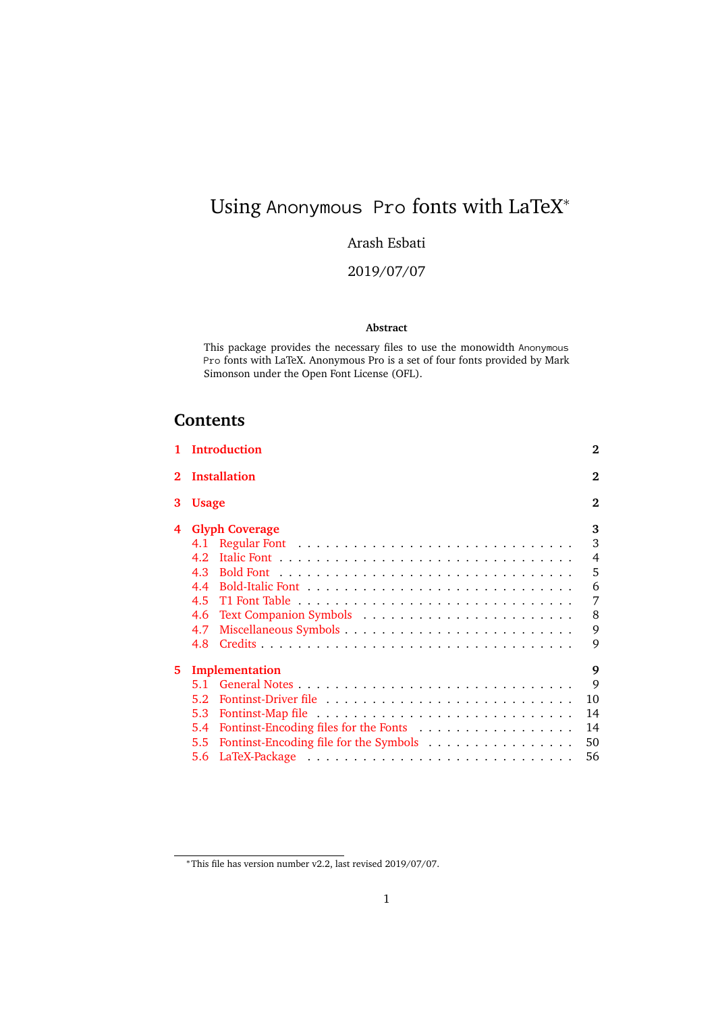# <span id="page-0-0"></span>Using Anonymous Pro fonts with LaTeX<sup>\*</sup><br>Arash Esbati<br>2019/07/07<br>Abstract

#### Arash Esbati

2019/07/07

#### **Abstract**

This package provides the necessary files to use the monowidth Anonymous Pro fonts with LaTeX. Anonymous Pro is a set of four fonts provided by Mark<br>Simonson under the Open Font License (OFL).<br>**tents** Simonson under the Open Font License (OFL).

#### **Contents**

|                | 1 Introduction                                                                                                   | $\bf{2}$                                               |  |  |  |  |
|----------------|------------------------------------------------------------------------------------------------------------------|--------------------------------------------------------|--|--|--|--|
| $\overline{2}$ | Installation                                                                                                     |                                                        |  |  |  |  |
| 3              | <b>Usage</b>                                                                                                     | $\mathbf{2}$                                           |  |  |  |  |
| 4              | <b>Glyph Coverage</b><br>4.1<br>4.2.<br>4.3<br>4.4<br>4.5<br>4.6<br>4.7<br>4.8                                   | 3<br>3<br>$\overline{4}$<br>5<br>6<br>7<br>8<br>9<br>9 |  |  |  |  |
| 5.             | Implementation<br>$5.1 -$<br>5.2<br>5.3<br>5.4<br>Fontinst-Encoding file for the Symbols<br>$5.5^{\circ}$<br>5.6 | 9<br>9<br>10<br>14<br>14<br>50<br>56                   |  |  |  |  |

<sup>∗</sup>This file has version number v2.2, last revised 2019/07/07.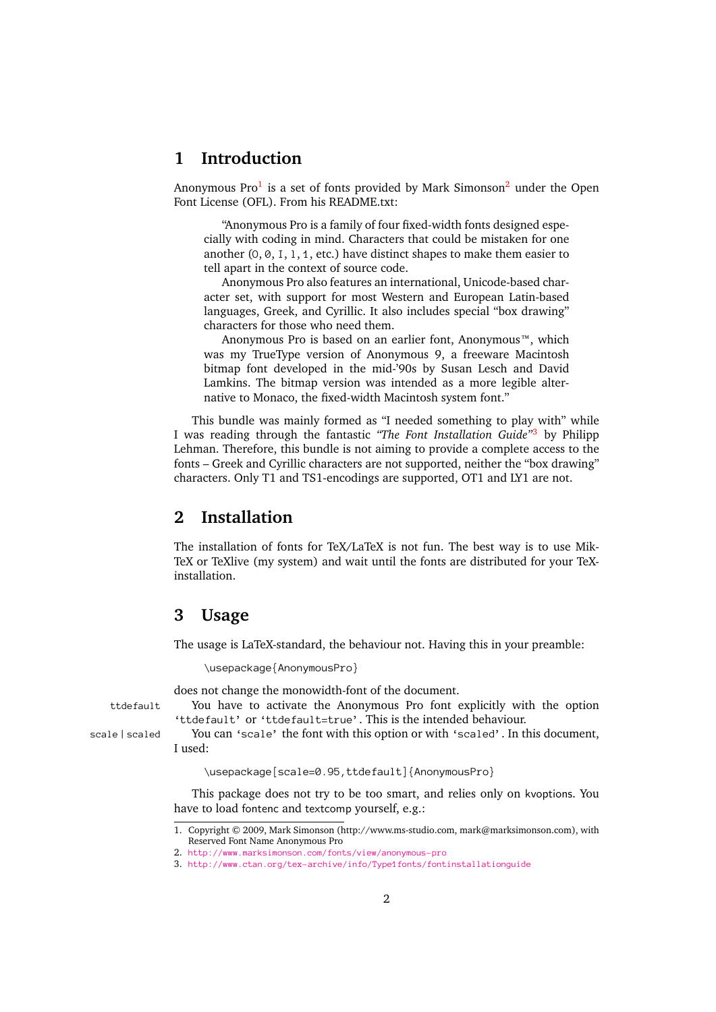#### <span id="page-1-0"></span>**1 Introduction**

Anonymous Pro<sup>[1](#page-1-3)</sup> is a set of fonts provided by Mark Simonson<sup>[2](#page-1-4)</sup> under the Open Font License (OFL). From his README.txt:

"Anonymous Pro is a family of four fixed-width fonts designed especially with coding in mind. Characters that could be mistaken for one another  $(0, 0, 1, 1, 1,$  etc.) have distinct shapes to make them easier to tell apart in the context of source code.

0, 0, I, 1, 1, etc.) have distinct shapes to make them easier to<br>in the context of source code.<br>ymous Pro also features an international, Unicode-based char-<br>with support for most Western and European Latin-based<br>s, Greek, Anonymous Pro also features an international, Unicode-based character set, with support for most Western and European Latin-based languages, Greek, and Cyrillic. It also includes special "box drawing" characters for those who need them.

Anonymous Pro is based on an earlier font, Anonymous™, which was my TrueType version of Anonymous 9, a freeware Macintosh bitmap font developed in the mid-'90s by Susan Lesch and David Lamkins. The bitmap version was intended as a more legible alternative to Monaco, the fixed-width Macintosh system font."

This bundle was mainly formed as "I needed something to play with" while I was reading through the fantastic *"The Font Installation Guide"*[3](#page-1-5) by Philipp Lehman. Therefore, this bundle is not aiming to provide a complete access to the fonts – Greek and Cyrillic characters are not supported, neither the "box drawing" characters. Only T1 and TS1-encodings are supported, OT1 and LY1 are not.

#### <span id="page-1-1"></span>**2 Installation**

The installation of fonts for TeX/LaTeX is not fun. The best way is to use Mik-TeX or TeXlive (my system) and wait until the fonts are distributed for your TeXinstallation.

#### <span id="page-1-2"></span>**3 Usage**

The usage is LaTeX-standard, the behaviour not. Having this in your preamble:

does not change the monowidth-font of the document.

\usepackage{AnonymousPro}<br>does not change the monowidth-font of the document.<br>You have to activate the Anonymous Pro font explicitly with the option<br>'ttdefault' or 'ttdefault=true'. This is the intended behaviour. ttdefault You have to activate the Anonymous Pro font explicitly with the option<br>
'ttdefault' or 'ttdefault=true'. This is the intended behaviour.<br>
You can 'scale' the font with this option or with 'scaled'. In this docume

'ttdefault' or 'ttdefault=true'. This is the intended behaviour.<br>You can 'scale' the font with this option or with 'scaled'. In t<br>I used:<br>Nusepackage [scale=0.95, ttdefault] {AnonymousPro}<br>This package does not try to be t scale | scaled You can 'scale' the font with this option or with 'scaled'. In this document,<br>I used:<br>Nusepackage [scale=0.95, ttdefault] {AnonymousPro}<br>This package does not try to be too smart, and relies only on kvoption I used:

(Exception of the fact of the fact of the fault of the fact of the fact of the fact of the fact of the fact of the fact of the fact of the fact of the fact of the fact of the fact of the fact of the fact of the fact of the This package does not try to be too smart, and relies only on kvoptions. You have to load fontenc and textcomp yourself, e.g.:

<span id="page-1-3"></span><sup>1.</sup> Copyright © 2009, Mark Simonson (http://www.ms-studio.com, mark@marksimonson.com), with Reserved Font Name Anonymous Pro

<span id="page-1-4"></span><sup>2.</sup> http://www.marksimonson.com/fonts/view/anonymous-pro

<span id="page-1-5"></span>http://www.ctan.org/tex-archive/info/Type1fonts/font<br>3. http://www.ctan.org/tex-archive/info/Type1fonts/font<br>2  $\frac{1}{2}$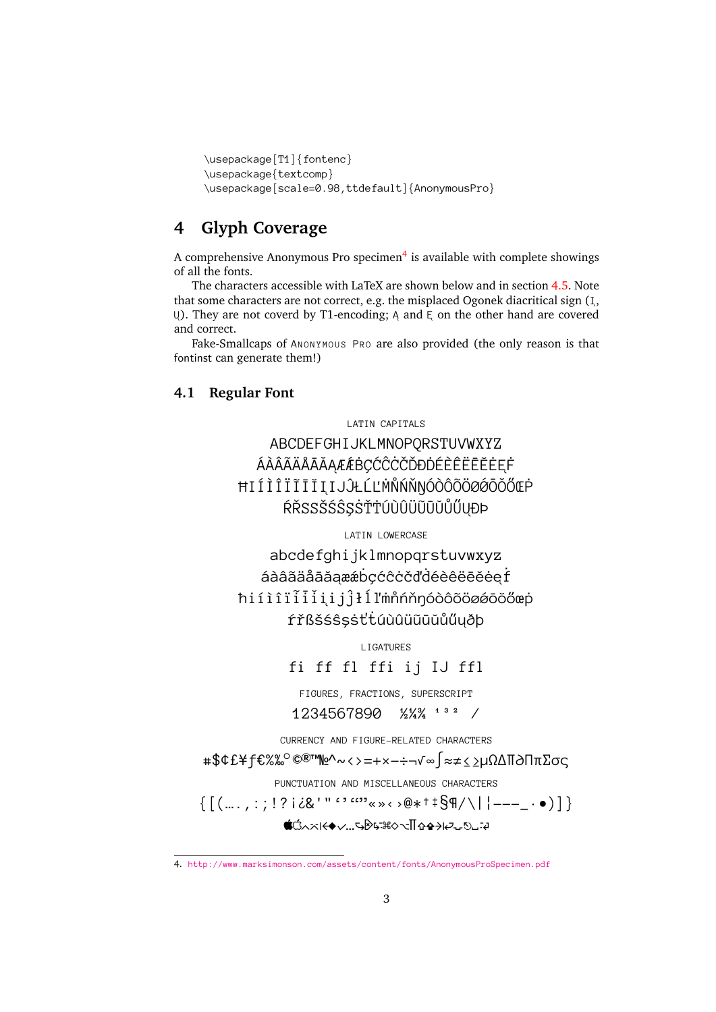```
\usepackage{textcomp}<br>\usepackage[scale=0.98,the<br>Glyph Coverage
```
### \usepackage[scale=0.9 **4 Glyph Coverage**

<span id="page-2-0"></span>4 Glyph Coverage<br>A comprehensive Anonymous Pro specimen<sup>4</sup> is available with complete showings of all the fonts.

The characters accessible with LaTeX are shown below and in section [4.5.](#page-6-0) Note that some characters are not correct, e.g. the misplaced Ogonek diacritical sign  $(I, \cup)$ . They are not coverd by T1-encoding; A and E on the other hand are covered U). They are not coverd by T1-encoding; A and E on the other hand are covered<br>and correct.<br>Fake-Smallcaps of ANONYMOUS PRO are also provided (the only reason is that<br>fontinst can generate them!)<br>**4.1 Regular Font** and correct.

Fake-Smallcaps of ANONYMOUS PRO are also provided (the only reason is that<br>tinst can generate them!)<br>| **Regular Font** fontinst can generate them!)

#### <span id="page-2-1"></span>**4.1 Regular Font**

UKLMNOPQI<br>ÉBÇĆĈĊČĎĐ<br>ĴŁĹĽMÑŃŇŊ ABCDEFGHIJKLMNOPQRSTUVWXYZ ÁÀÂÃÄůAĂA˛Æ´Æ˙BÇĆˆC˙CČĎÐ˙DÉÈÊ˯E˘E˙EE˛˙F ĦIÍÌÎÏĨĪĪĮIJĴŁĹĽMŇŃŇŊÓÒÔÕÖØÓŎŐŒĊ<br>ŔŘSSŠŚŜŞSŤŤÚÙÛÜŨŨŬŰŰŲĐÞ<br>¤ATIN LOWERCASE<br>abcdefghijklmnopqrstuvwxyz ŔŘSSŠŚŜSSŤŤÚÙÛÜŨŨŬŮŰUĐÞ

ijklmnopqr<br>æébçćĉcčďc<br>ĵłĺľmñnňŋ áàâãäåāāaææbçćĉċčďdéèêëēĕeef<br>
iìîïiiiijĵłíľmnopoôôoøøōoč<br>
fřßšśŝşsttuùûüūūūůűuðþ<br>
fiffflffi ij IJffl ħiíìîii̇̃iiijĵłĺľmňńňŋóòôõöøøōŏőœp<br>fřßšśŝşsttúùûüūūŭűűųðþ<br>Figatures<br>fi ff fl ffi ij IJ ffl<br>FIGURES, FRACTIONS, SUPERSCRIPT<br>1234567890 ½¼¼ \*\*\*

fi ff fl ffi ij IJ ffl

ŕřßšśŝşṡťtúùûüūūūŭűűuðþ<br>Figatures<br>fi ff f1 ffi ij IJ ff1<br>Figures, fractions, superscript<br>1234567890 ½¼¾ <sup>132</sup> /<br>Currency and figure-related characters FIGURES, FRACTIONS, SUPERSCRIPT<br>1234567890  $\frac{1}{2}$ <br>JREENCY AND FIGURE-RELATED CHARACTER<br>PRENCY AND FIGURE-RELATED CHARACTER<br>CREME CONTROL AND MISCELLANEOUS CHARACTER  $234567890$   $\frac{1}{2}\frac{1}{4}\frac{3}{4}$   $\frac{2}{1}$ <br>RENCY AND FIGURE-RELATED CHARACT

1234567890 ½¼¾ <sup>4 3 2</sup> /<br>RRENCY AND FIGURE-RELATED CHARACTE<br>©®™<u>№</u>∧~<>=+×−÷¬√∞∫≈≠≤≥<br>CTUATION AND MISCELLANEOUS CHARACT<br>i¿&' '' <sup>6 ? 6699</sup>«»< >@\*†‡§¶/\|<br>Q^x|<◆v...5®5-#0~T[&<del>Q</del>}|2~\$} CURRENCY AND FIGURE-RELATED CHARACTERS #\$¢£¥ƒ€%‰°©®™№^~<>=+×−÷¬√∞∫≈≠≤≥µΩΔ∏∂Ππ∑σς  ${\begin{aligned}\n\left\{ \left[ \left( ..., \right) : \left| ? \right| \< 0 \text{ if } \left( \cdot \right) \< \infty \right] \< \left( \cdot \right) \< \left( \cdot \right) \< \left( \cdot \right) \< \left( \cdot \right) \< \left( \cdot \right) \< \left( \cdot \right) \< \left( \cdot \right) \< \left( \cdot \right) \< \left( \cdot \right) \< \left( \cdot \right) \< \left( \cdot \right) \< \left( \cdot \right) \< \left( \cdot \right) \< \left($ 

<del></del>

<span id="page-2-2"></span><sup>4.</sup> http://www.marksimonson.com/assets/content/fonts/AnonymousProSpecimen.pdf  $\frac{1}{3}$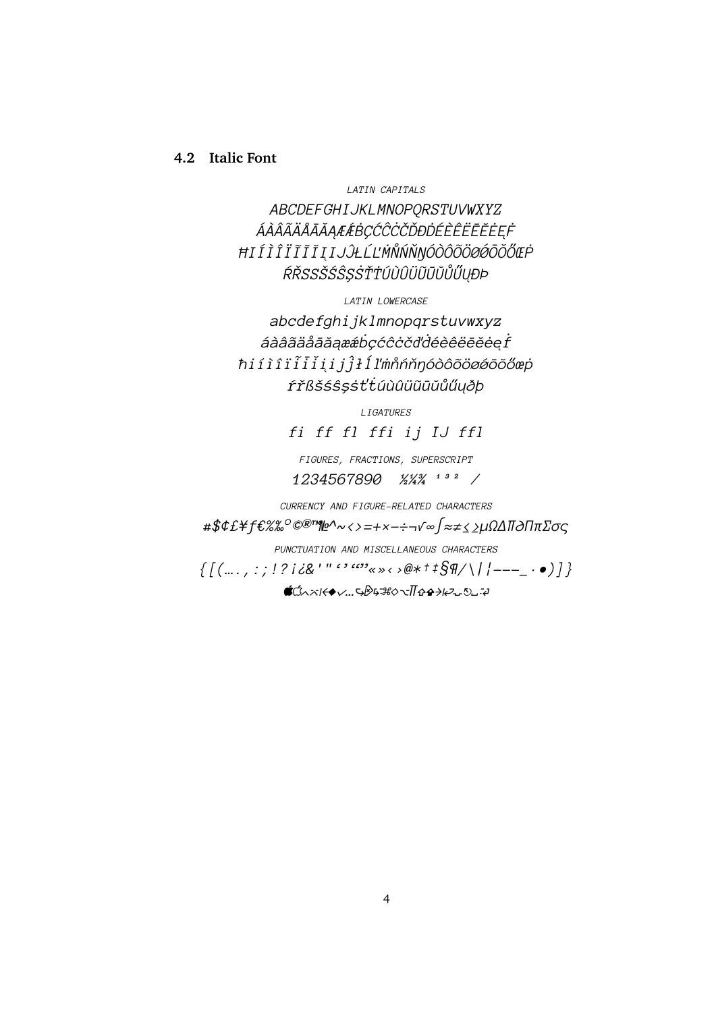#### <span id="page-3-0"></span>**4.2 Italic Font**

*LATIN CAPITALS*

*ABCDEFGHIJKLMNOPQRSTUVWXYZ ÁÀÂÃÄÅAĂA ¯ ˛ÆÆ´BÇĆ ˙ CˆCČĎÐ ˙ DÉÈÊË ˙ E¯E˘EE˙˛F˙ ĦIÍÌÎÏI˜I¯II˘˛IJJˆŁĹĽM˙N˚ŃŇŊÓÒÔÕÖØØ´O¯O˘ŐŒP˙ ŔŘSSŠŚSˆŞS˙ŤTÚÙÛÜ ˙ U˜U¯U˘ŮŰU˛ÐÞ*

*LATIN LOWERCASE*

*abcdefghijklmnopqrstuvwxyz*  $\hat{a}$ àâãäåāãaææbçćĉċčďdéèêëēĕėe $\hat{f}$ *ħiíìîïi˜i¯ii˘˛ijjˆłĺľm˙n˚ńňŋóòôõöøø´o¯o˘őœp˙ ŕřßšśsˆşs˙ťtúùûü ˙ u˜u¯u˘ůűu˛ðþ*

*LIGATURES*

*fi ff fl ffi ij IJ ffl*

*FIGURES, FRACTIONS, SUPERSCRIPT 1234567890 ½¼¾ ¹³² ⁄*

*CURRENCY AND FIGURE-RELATED CHARACTERS*

*#\$¢£¥ƒ€%‰°©®™№^~<>=+×−÷¬√∞∫≈≠≤≥µΩΔ∏∂Ππ∑σς*

*PUNCTUATION AND MISCELLANEOUS CHARACTERS*

*{[(….,:;!?¡¿&'"''""«»‹›@\*†‡§¶/\|¦---\_·•)]} ⌃⌤◆✓… ⌘◊∏ ⎈␣'*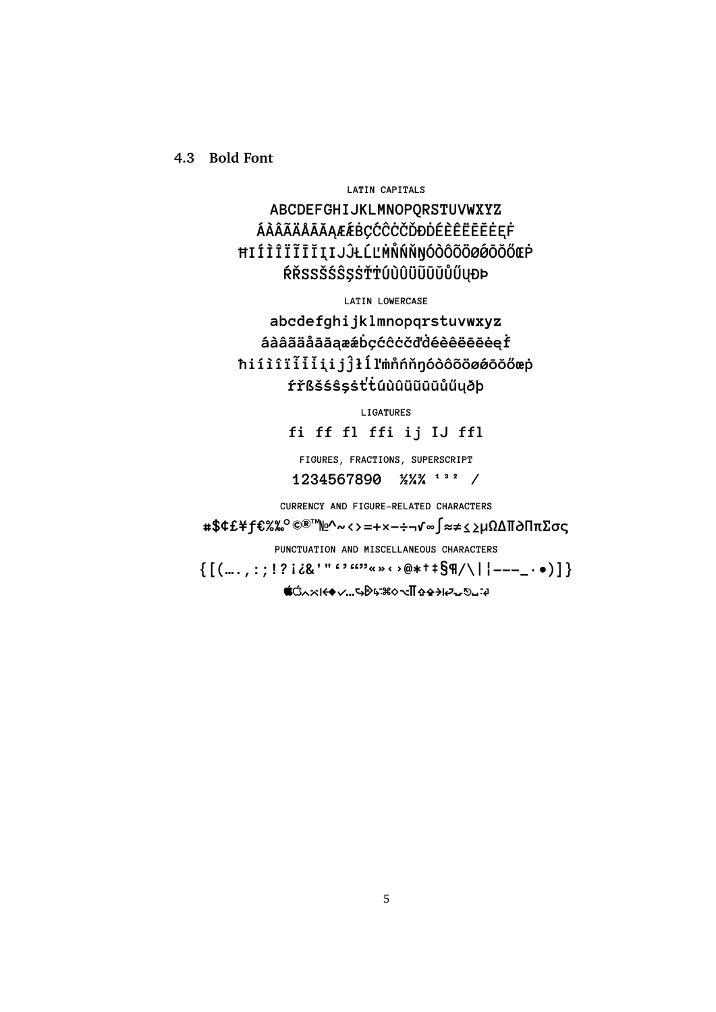<span id="page-4-0"></span>**4.3 Bold Font**

#### **LATIN CAPITALS**

**ABCDEFGHIJKLMNOPQRSTUVWXYZ ÁÀÂÃÄÅĀĂAÆÆBÇĆĈĊČĎĐDÉÈÊËĒĒEEF ĦIÍÌÎϘI¯I˘II˛IJˆJŁĹĽ˙M˚NŃŇŊÓÒÔÕÖØ´Ø¯O˘OŐŒ˙P ŔŘSSŠŚˆSŞ˙SŤ˙TÚÙÛܘU¯U˘UŮŰU˛ÐÞ**

**LATIN LOWERCASE**

**abcdefghijklmnopqrstuvwxyz áàâãäå¯aăa˛æ´æ˙bçćˆc˙cčď˙déèêë¯e˘e˙ee˛˙f ħiíìîï˜i¯i˘ii˛ijˆjłĺľ˙m˚nńňŋóòôõöø´ø¯o˘oőœ˙p ŕřßšśˆsş˙sť˙túùûü˜u¯u˘uůűu˛ðþ**

**LIGATURES**

**fi ff fl ffi ij IJ ffl**

**FIGURES, FRACTIONS, SUPERSCRIPT 1234567890 ½¼¾ ¹³² ⁄**

**CURRENCY AND FIGURE-RELATED CHARACTERS**

**#\$¢£¥ƒ€%‰°©®™№^~<>=+×−÷¬√∞∫≈≠≤≥µΩΔ∏∂Ππ∑σς**

**PUNCTUATION AND MISCELLANEOUS CHARACTERS**

**{[(….,:;!?¡¿&'"''""«»‹›@\*†‡§¶/\|¦---\_·•)]}**

**⌃⌤◆✓… ⌘◊∏ ⎈␣'**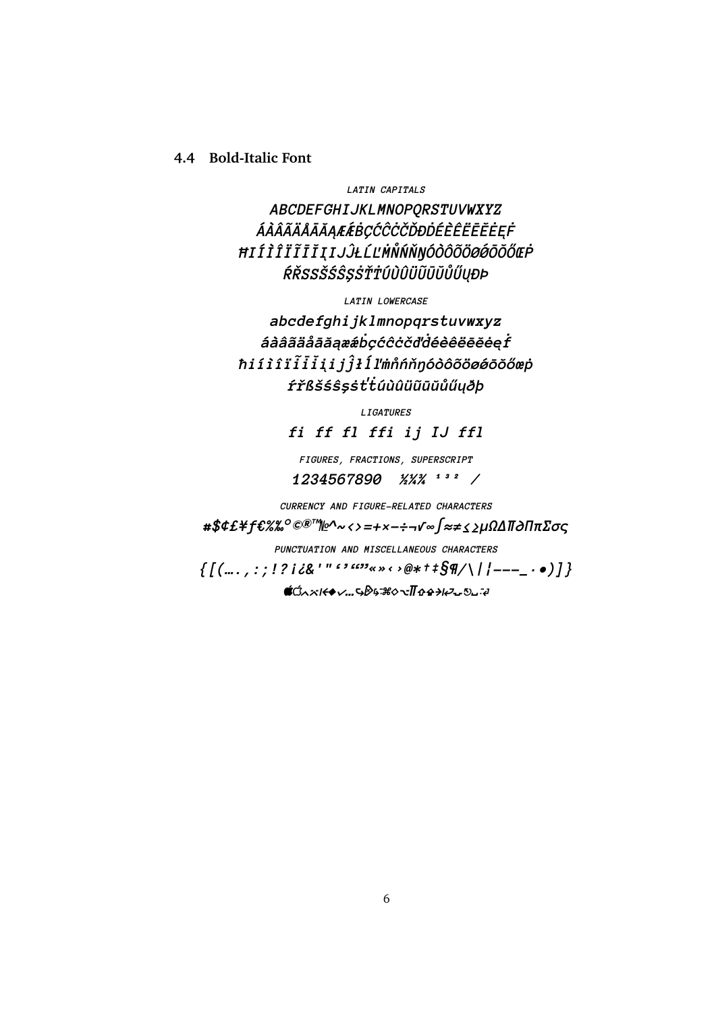#### <span id="page-5-0"></span>**4.4 Bold-Italic Font**

*LATIN CAPITALS*

*ABCDEFGHIJKLMNOPQRSTUVWXYZ ÁÀÂÃÄÅAĂA ¯ ˛ÆÆ´BÇĆ ˙ CˆCČĎÐ ˙ DÉÈÊË ˙ E¯E˘EE˙˛F˙ ĦIÍÌÎÏI˜I¯II˘˛IJJˆŁĹĽM˙N˚ŃŇŊÓÒÔÕÖØØ´O¯O˘ŐŒP˙ ŔŘSSŠŚSˆŞS˙ŤTÚÙÛÜ ˙ U˜U¯U˘ŮŰU˛ÐÞ*

*LATIN LOWERCASE*

*abcdefghijklmnopqrstuvwxyz*  $\hat{a}$ àâãäåāāaææbçćĉċčďdéêêëēĕėęf *ħiíìîïi˜i¯ii˘˛ijjˆłĺľm˙n˚ńňŋóòôõöøø´o¯o˘őœp˙ ŕřßšśsˆşs˙ťtúùûü ˙ u˜u¯u˘ůűu˛ðþ*

*LIGATURES*

*fi ff fl ffi ij IJ ffl*

*FIGURES, FRACTIONS, SUPERSCRIPT 1234567890 ½¼¾ ¹³² ⁄*

*CURRENCY AND FIGURE-RELATED CHARACTERS*

*#\$¢£¥ƒ€%‰°©®™№^~<>=+×−÷¬√∞∫≈≠≤≥µΩΔ∏∂Ππ∑σς*

*PUNCTUATION AND MISCELLANEOUS CHARACTERS*

*{[(….,:;!?¡¿&'"''""«»‹›@\*†‡§¶/\|¦---\_·•)]}*

*⌃⌤◆✓… ⌘◊∏ ⎈␣'*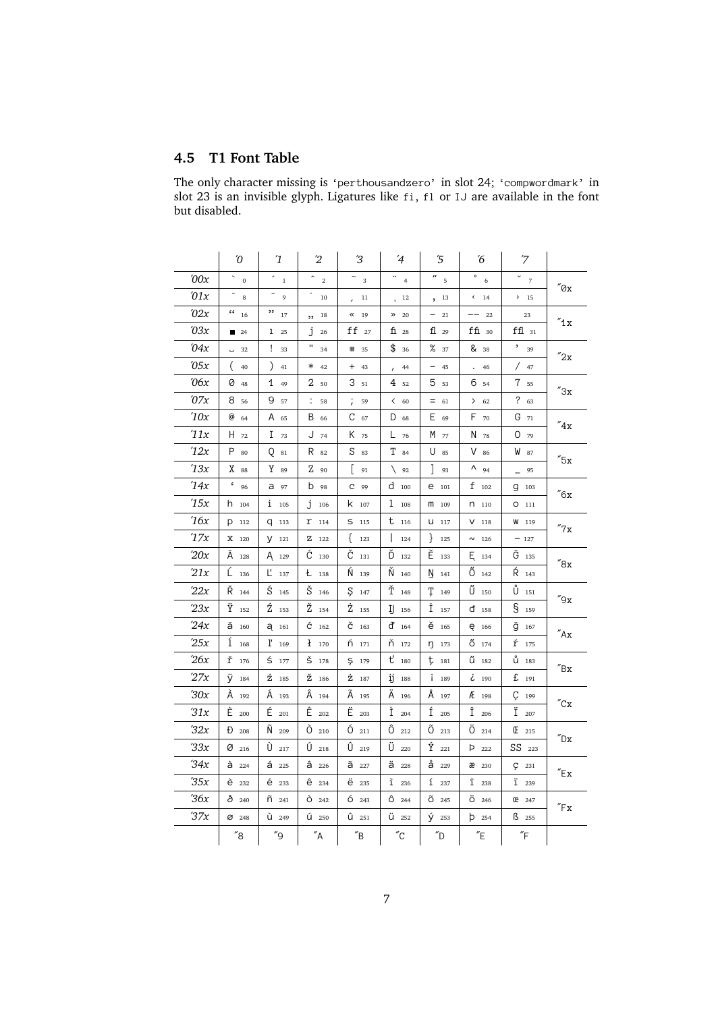#### <span id="page-6-0"></span>**4.5 T1 Font Table**

The only character missing is 'perthousandzero' in slot 24; 'compwordmark' in but disabled.

|               | $\sqrt{O}$                              | $\mathfrak{1}$      | $\overline{2}$                   | ΄3                          | $\overline{4}$                     | $\sqrt{5}$                     | ΄6                      | 7                      |                           |
|---------------|-----------------------------------------|---------------------|----------------------------------|-----------------------------|------------------------------------|--------------------------------|-------------------------|------------------------|---------------------------|
| $'00x$        | ×,<br>$\pmb{0}$                         | r,<br>$\,1$         | $\widehat{\phantom{a}}$<br>$\,2$ | $\overline{3}$              | $\cdot\cdot$<br>$\overline{4}$     | $\frac{1}{2}$                  | $\circ$<br>6            | $\sim$ 7               |                           |
| $\iota$ 01x   | $\overline{\phantom{0}}$<br>$\,$ 8 $\,$ | -<br>9              | ٠<br>$10\,$                      | $^{11}$                     | 12<br>Ċ                            | , 13                           | $\leftarrow$ 14         | 2 15                   | $''\mathcal{O}\mathbf{x}$ |
| '02x          | $\frac{c}{16}$                          | ,,<br>17            | $77 - 18$                        | $\boldsymbol{\kappa}$<br>19 | $\gg$<br>20                        | $-21$                          | $- - 22$                | 23                     |                           |
| $\iota$ 03x   | $\blacksquare$ 24                       | $1 \quad 25$        | J<br>26                          | $ff_{27}$                   | f128                               | 1129                           | $f$ f $\overline{u}$ 30 | $f11$ 31               | "1x                       |
| 04x           | L.<br>32                                | Ţ<br>33             | Π<br>34                          | #<br>35                     | \$<br>36                           | $\%$ 37                        | & 38                    | ,<br>39                |                           |
| $\partial 5x$ | (<br>40                                 | $\mathcal{L}$<br>41 | $*$ 42                           | $+ 43$                      | 44<br>$\prime$                     | $-45$                          | 46                      | / 47                   | $^{\prime\prime}$ 2x      |
| $\iota$ 06x   | $\varnothing$ 48                        | 1<br>49             | 2 <sub>50</sub>                  | 351                         | $4_{52}$                           | 5 53                           | 6 54                    | 7 55                   |                           |
| 07x           | 8 56                                    | 9<br>57             | .58                              | $\frac{1}{\ell}$<br>59      | 60                                 | $= 61$                         | $\left. \right.$<br>62  | ? 63                   | $^{\prime\prime}3x$       |
| 10x           | $@_{64}$                                | A 65                | B 66                             | $C_{67}$                    | $D_{68}$                           | E.<br>69                       | F<br>70                 | $G_{71}$               |                           |
| 11x           | $H_{72}$                                | $I_{73}$            | J 74                             | K 75                        | $L$ 76                             | M<br>77                        | N 78                    | 0.79                   | $^{\prime\prime}$ 4x      |
| 12x           | $P_{80}$                                | Q<br>$^{\rm 81}$    | R 82                             | $S_{83}$                    | $T_{84}$                           | U<br>85                        | $V$ 86                  | W 87                   |                           |
| 13x           | X 88                                    | $Y_{89}$            | Z 90                             | ſ<br>91                     | $\begin{bmatrix} 92 \end{bmatrix}$ | $\overline{\phantom{a}}$<br>93 | Λ<br>94                 | 95                     | $^{\prime\prime}5x$       |
| '14x          | $\epsilon$<br>96                        | a 97                | <b>b</b> 98                      | $C$ 99                      | $d$ 100                            | e 101                          | $f_{102}$               | 9103                   |                           |
| 15x           | $h$ 104                                 | $1\quad$ 105        | Ĵ.<br>106                        | $k$ 107                     | 1<br>108                           | m<br>109                       | $n_{110}$               | $O$ 111                | $''6\rm{x}$               |
| 16x           | P 112                                   | $q$ 113             | $r_{114}$                        | $S$ 115                     | $t_{116}$                          | $U$ 117                        | $V$ 118                 | W 119                  |                           |
| 17x           | X 120                                   | $V$ 121             | Z 122                            | €<br>123                    | $\mathsf{l}$<br>124                | }<br>125                       | $\sim$ 126              | $-127$                 | $''\mathbf{7}\mathbf{x}$  |
| 20x           | $\tilde{A}$ 128                         | $A_{129}$           | $\acute{C}$ 130                  | Č<br>131                    | Ď<br>132                           | Ě<br>133                       | $E_{134}$               | $\tilde{G}$ 135        |                           |
| 21x           | $\begin{bmatrix} 1 & 36 \end{bmatrix}$  | $L_{137}$           | $t_{138}$                        | Ń<br>139                    | Ň<br>140                           | Ŋ<br>141                       | $0_{142}$               | $\acute{R}$ 143        | $^{\prime\prime}8x$       |
| 22x           | $\check{R}$ 144                         | $\acute{S}$ 145     | $\check{S}$ 146                  | Ş<br>147                    | Ť<br>148                           | Ţ<br>149                       | Ű<br>150                | Ů<br>151               |                           |
| 23x           | $\ddot{Y}$ 152                          | $\tilde{Z}$ 153     | $\check{Z}$ 154                  | Ż<br>155                    | IJ<br>156                          | İ<br>157                       | $d$ 158                 | $\S$ 159               | $^{\prime\prime}9x$       |
| 24x           | ă 160                                   | $a_{161}$           | $\acute{C}$ 162                  | $\check{C}$ 163             | $d'$ 164                           | ě<br>165                       | ę 166                   | ğ 167                  |                           |
| 25x           | $1_{168}$                               | $l'$ 169            | $1 - 170$                        | ń<br>171                    | ň 172                              | ŋ<br>173                       | $6 \t174$               | ŕ<br>175               | $''Ax$                    |
| 26x           | $\check{\Upsilon}$ 176                  | $\mathsf{S}$ 177    | $\check{S}$ 178                  | $5 - 179$                   | $t'$ 180                           | ţ<br>181                       | $\mathbf{U}$ 182        | U <sup>2</sup> 183     |                           |
| 27x           | $\ddot{y}$ 184                          | $\tilde{Z}$ 185     | Ž 186                            | $27 - 187$                  | ij<br>188                          | Ť<br>189                       | $\zeta$ 190             | $E_{191}$              | $^{\prime\prime}$ Bx      |
| 30x           | À 192                                   | Á 193               | $\hat{A}$ 194                    | Ã<br>195                    | Ä<br>196                           | Å<br>197                       | Æ 198                   | Ç<br>199               |                           |
| 31x           | $\tilde{E}$ 200                         | É<br>201            | $\hat{E}$ 202                    | Ë<br>203                    | Ì<br>204                           | Í<br>205                       | Î<br>206                | Ϊ<br>207               | $^{\prime\prime}$ Cx      |
| 32x           | $\mathsf{D}$ 208                        | $\tilde{N}$ 209     | $\tilde{O}$ 210                  | $\acute{\mathrm{O}}$ 211    | $0_{212}$                          | $\tilde{O}$ 213                | $\ddot{\text{O}}$ 214   | $(E_{215}$             |                           |
| 33x           | $\varnothing$ 216                       | $\bigcup$ 217       | $\bigcup_{218}$                  | $\bigcup$ 219               | $\overline{U}$ 220                 | $\hat{Y}$ 221                  | $P_{222}$               | SS 223                 | ″Dx                       |
| 34x           | $\hat{a}$ 224                           | 4225                | $\hat{a}$ 226                    | $\tilde{a}$ 227             | $\ddot{a}$ 228                     | $a_{229}$                      | æ 230                   | C 231                  |                           |
| 35x           | $\hat{e}$ 232                           | $\acute{e}$ 233     | $\hat{e}$ 234                    | $\ddot{e}$ 235              | $\mathbf{\hat{1}}$ 236             | 1237                           | $\hat{1}$ 238           | 1239                   | $^{\prime\prime}$ Ex      |
| 36x           | $\delta$ 240                            | $\tilde{\Pi}$ 241   | $\hat{O}$ 242                    | 6243                        | $\hat{O}$ 244                      | $\widetilde{O}$ 245            | $\ddot{O}$ 246          | 02 247                 |                           |
| 37x           | Ø 248                                   | Ù 249               | $\mathsf{U}$ 250                 | $\hat{U}$ 251               | $\ddot{U}$ 252                     | $\hat{V}$ 253                  | $D_{254}$               | $\mathsf{B}$ 255       | $^{\prime\prime}$ Fx      |
|               | $^{\prime\prime}$ 8                     | $^{\prime\prime}$ 9 | $^{\prime\prime}$ A              | $^{\prime\prime}$ B         | $^{\prime\prime}{\rm C}$           | "D"                            | $^{\prime\prime}$ E     | $\sqrt[r]{\mathsf{F}}$ |                           |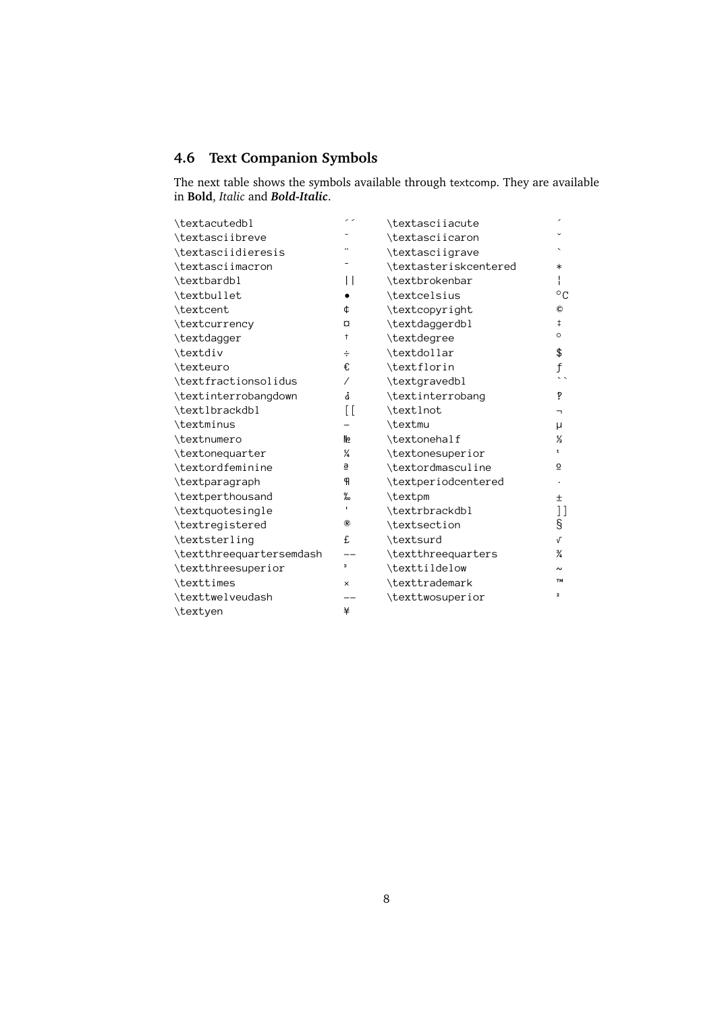#### <span id="page-7-0"></span>**4.6 Text Companion Symbols**

The next table shows the symbols available through textcomp. They are available in **Bold**, *Italic* and *Bold-Italic*.

| \textacutedbl            | , ,            | \textasciiacute       |                          |
|--------------------------|----------------|-----------------------|--------------------------|
| \textasciibreve          |                | \textasciicaron       |                          |
| \textasciidieresis       |                | \textasciigrave       |                          |
| \textasciimacron         |                | \textasteriskcentered | $\ast$                   |
| \textbardbl              | $\mathsf{L}$   | \textbrokenbar        | Ł                        |
| \textbullet              |                | \textcelsius          | $^{\circ}$ C             |
| \textcent                | ¢              | \textcopyright        | ©                        |
| \textcurrency            | <b>Q</b>       | \textdaggerdbl        | $\ddagger$               |
| \textdagger              | t              | \textdegree           | $\circ$                  |
| \textdiv                 | ÷              | \textdollar           | \$                       |
| \texteuro                | €              | \textflorin           | f                        |
| \textfractionsolidus     | Γ              | \textgravedbl         | $\overline{\phantom{a}}$ |
| \textinterrobangdown     | j              | \textinterrobang      | P                        |
| \textlbrackdbl           | $\overline{1}$ | \textlnot             | T.                       |
| \textminus               |                | \textmu               | μ                        |
| \textnumero              | Nº             | \textonehalf          | $\frac{1}{2}$            |
| \textonequarter          | ¼              | \textonesuperior      |                          |
| \textordfeminine         | ₫              | \textordmasculine     | $\overline{\mathsf{O}}$  |
| \textparagraph           | ዋ              | \textperiodcentered   |                          |
| \textperthousand         | ‰              | \textpm               | Ŧ.                       |
| \textquotesingle         | $\mathbf{I}$   | \textrbrackdbl        | ן ן                      |
| \textregistered          | ®              | \textsection          | S                        |
| \textsterling            | £              | \textsurd             | $\sqrt{ }$               |
| \textthreequartersemdash |                | \textthreequarters    | ¾                        |
| \textthreesuperior       | 3              | \texttildelow         |                          |
| \texttimes               | $\times$       | \texttrademark        | <b>TM</b>                |
| \texttwelveudash         |                | \texttwosuperior      | $\mathbf{z}$             |
| \textyen                 | ¥              |                       |                          |
|                          |                |                       |                          |
|                          |                |                       |                          |
|                          |                |                       |                          |
|                          |                |                       |                          |
|                          |                |                       |                          |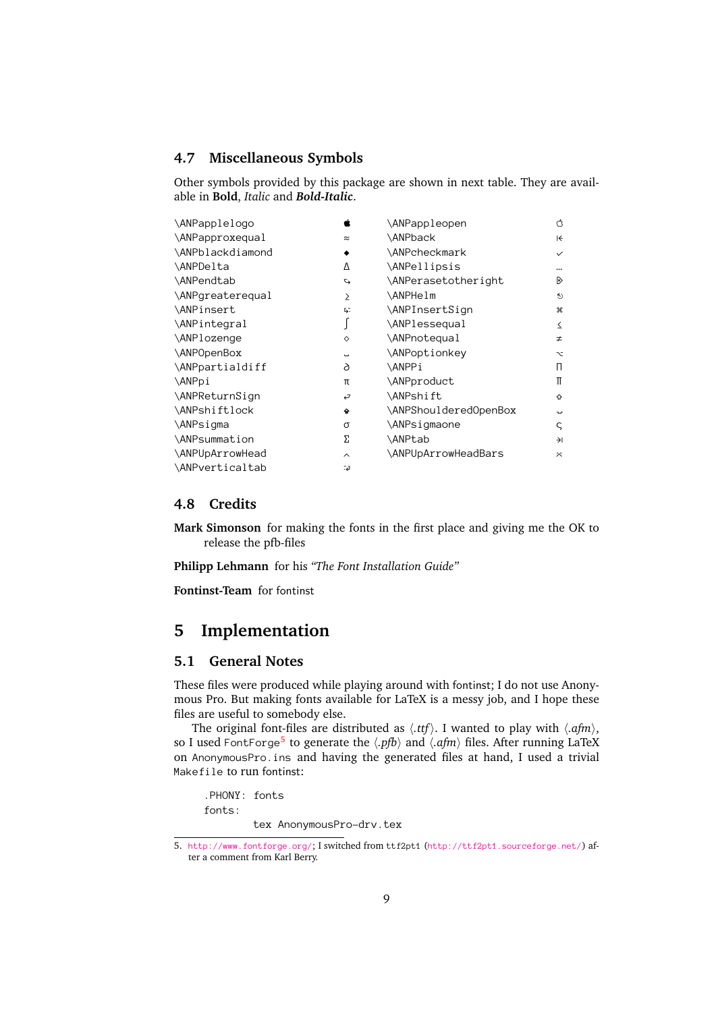#### <span id="page-8-0"></span>**4.7 Miscellaneous Symbols**

Other symbols provided by this package are shown in next table. They are available in **Bold**, *Italic* and *Bold-Italic*.

| \ANPapplelogo         | É                        | \ANPappleopen                                                                  | Ć                     |
|-----------------------|--------------------------|--------------------------------------------------------------------------------|-----------------------|
| \ANPapproxequal       | $\approx$                | \ANPback                                                                       | $\leftrightarrow$     |
| \ANPblackdiamond      |                          | \ANPcheckmark                                                                  | $\checkmark$          |
| \ANPDelta             | Δ                        | \ANPellipsis                                                                   |                       |
| \ANPendtab            | $\overline{C}$           | \ANPerasetotheright                                                            | D                     |
| \ANPgreaterequal      | $\geq$                   | \ANPHelm                                                                       | $\ddot{\circ}$        |
| \ANPinsert            | Б.                       | \ANPInsertSign                                                                 | æ                     |
| \ANPintegral          | ſ                        | \ANPlessequal                                                                  | $\leq$                |
| \ANPlozenge           | ♦                        | \ANPnotequal                                                                   | $\neq$                |
| \ANPOpenBox           | $\overline{\phantom{a}}$ | \ANPoptionkey                                                                  | $\sim$                |
| \ANPpartialdiff       | 6                        | \ANPPi                                                                         | П.                    |
| \ANPpi                | π                        | \ANPproduct                                                                    | π                     |
| \ANPReturnSign        | ر                        | \ANPshift                                                                      | ⇧                     |
| \ANPshiftlock         | ٠                        | \ANPShoulderedOpenBox                                                          | tur.                  |
| \ANPsigma             | σ                        | \ANPsigmaone                                                                   | $\varsigma$           |
| \ANPsummation         | Σ                        | \ANPtab                                                                        | $\rightarrow$         |
| \ANPUpArrowHead       | $\sim$                   | \ANPUpArrowHeadBars                                                            | $\tilde{\mathcal{N}}$ |
| \ANPverticaltab       | 4ءَ۔                     |                                                                                |                       |
| 4.8<br><b>Credits</b> |                          |                                                                                |                       |
|                       |                          | <b>Mark Simonson</b> for making the fonts in the first place and giving me the |                       |

#### <span id="page-8-1"></span>**4.8 Credits**

ANPVerticaltab<br> **4.8 Credits**<br> **Mark Simonson** for making the release the pfb-files **Mark Simonson** for making the fonts in the first place and giving me the OK to release the pfb-files

**Philipp Lehmann** for his *"The Font Installation Guide"*

**Fontinst-Team** for fontinst

#### <span id="page-8-2"></span>**5 Implementation**

#### <span id="page-8-3"></span>**5.1 General Notes**

These files were produced while playing around with fontinst; I do not use Anonymous Pro. But making fonts available for LaTeX is a messy job, and I hope these files are useful to somebody else.

The original font-files are distributed as  $\langle .ttf \rangle$ . I wanted to play with  $\langle .afm \rangle$ , so I used <code>FontForge</code><sup>5</sup> to generate the  $\langle .pfb\rangle$  and  $\langle .afm\rangle$  files. After running LaTeX FontForge<sup>[5](#page-8-4)</sup><br>mousPro.in<br>to run fonti<br>DNY: fonts<br>ts: on AnonymousPro.ins and having the generated files at hand, I used a trivial<br>
Makefile to run fontinst:<br>
PHONY: fonts<br>
fonts:<br>
tex AnonymousPro-drv.tex

Ma[kefile](http://www.fontforge.org/) to run fontinst:<br>PHONY: fonts<br>fonts:<br>tex Anon:<br>5. http://www.fontforge.org fonts:<br>tex A<br>p://www.fontforge<br>a comment from Ka

<span id="page-8-4"></span>p://www.<br>a comme ntforge.org/; I switched from ttf:<br>from Karl Berry.<br>9 5. http://www.fontforge.org/; I switched from ttf2pt1 (http://ttf2pt1.sourceforge.net/[\)](http://ttf2pt1.sourceforge.net/) af-<br>ter a comment from Karl Berry.<br>9 ter a comment from Karl Berry.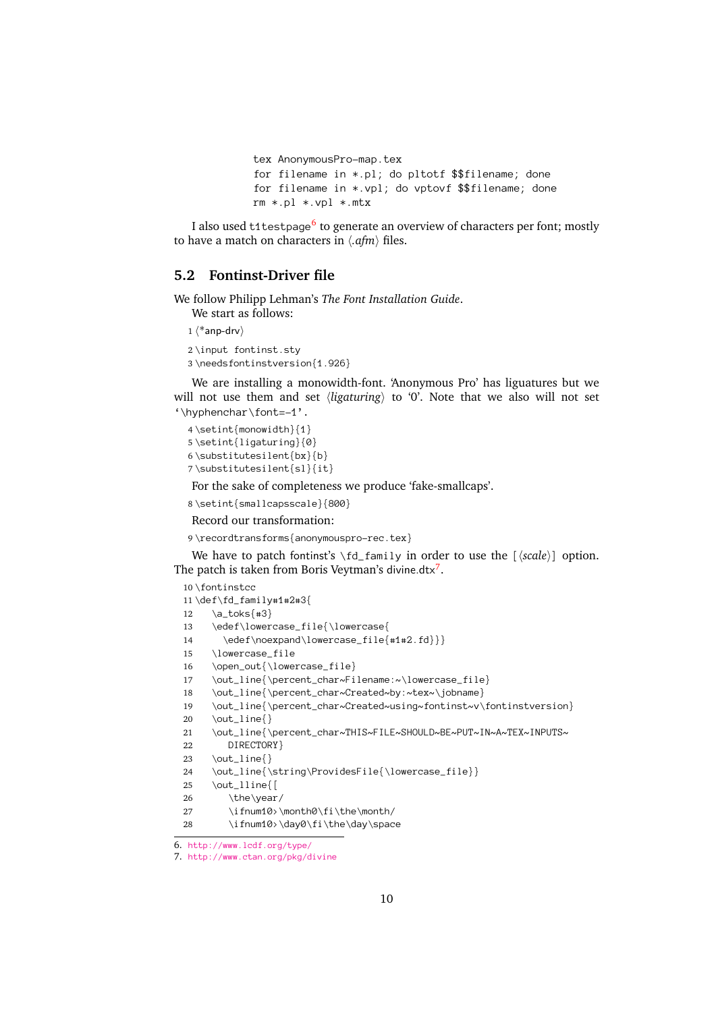```
for filename in *.pl; do<br>for filename in *.vpl; d<br>rm x,pl *.vpl *.mtx<br>:1testpage<sup>6</sup> to generate an c<br>ca on characters in (afm) files
for filename in *.vpl; do vptovf $$filename; don<br>rm *.pl *.vpl *.mtx<br>:1testpage<sup>6</sup> to generate an overview of characters per for<br>n on characters in \langle .afm \rangle files.
```
For  $*$ . pl  $*$ . vpl  $*$ . mtx<br>:1 testpage<sup>6</sup> to generate an overview of characters per font<br>n on characters in  $\langle .afm \rangle$  files.  $r$ <sup>1</sup> testpage<sup>6</sup> to generat<br>n on characters in  $\langle .afn \rangle$ <br>**st-Driver file** I also used t1testpage<sup>[6](#page-9-1)</sup> to generate an overview of characters per font; mostly<br>have a match on characters in  $\langle .afm \rangle$  files.<br>**Pontinst-Driver file**<br>follow Philipp Lehman's *The Font Installation Guide*. to have a match on characters in  $\langle .afm \rangle$  files.

#### <span id="page-9-0"></span>**5.2 Fontinst-Driver file**

We follow Philipp Lehman's *The Font Installation Guide*.

We start as follows:

 $1$   $\langle$ \*anp-drv $\rangle$ 

2\input fontinst.stv 3\needsfontinstversion{1.926}

 $\neq$  state fontinstversi<br>
We are installing a 1<br>
not use them and<br>  $\pi$ We are installing a monowidt<br>not use them and set  $\langle ligai \rangle$ <br>phenchar \font=-1'.<br>\setint{monowidth}{1} We are installing a monowidth-font. 'Anonymous Pro' has liguatures but we will not use them and set  $\langle$ *ligaturing* $\rangle$  to '0'. Note that we also will not set

```
\thyphenchar\font=-1'.<br>4\setint{monowidth}{1}<br>5\setint{ligaturing}{0<br>6\substitutesilent{bx}<br>7\substitutesilent{s1}<br>For the sake of complet
     4\setint{monowidth}{1}
     5\setint{ligaturing}{0}
     6\substitutesilent{bx}{b}
```

```
\substack{\text{boxlent}{}\\ \text{substitutesilent}{}\\ \text{substitutesilent}{}\\ \text{for the sake of complete} \\ \setminus \text{smallcapsscale}\substitutesilent{sl}{it}<br>For the sake of completent{sl}{it}<br>\setint{smallcapsscale}{<br>Record our transformation
7\substitutesilent{sl}{it}
```
For the sake of completeness we produce 'fake-smallcaps'.<br>
\setint{smallcapsscale}{800}<br>
Record our transformation:<br>
\recordtransforms{anonymouspro-rec.tex}

```
8\setint{smallcapsscale}{800}
```
#### Record our transformation:

9

Record our transformation:<br>Necordtransforms{anonymousp<br>We have to patch fontinst's \f<br>patch is taken from Boris Vey The patch is taken from Boris Veytman's divine.dtx<sup>[7](#page-9-2)</sup>.

```
10\fontinstcc
```

```
\recordscales to patch fontinst's \fd_family in order to use the [\scale\] option.<br>
\the have to patch fontinst's \fd_family in order to use the [\scale\] option.<br>
\the staken from Boris Veytman's divine.dtx<sup>7</sup>.<br>
\def\fd_f
     11\def\fd_fam<br>
11\def\fd_fam<br>
12 \a_toks{<br>
13 \edef\lo<br>
14 \edef\<br>
15 \lowerca
            \a_toks{#3}<br>\edef\lowercase_fi<br>\edef\noexpand\l<br>\lowercase_file<br>\open_out{\lowerca
    12 \edef\lower<br>\edef\noe<br>Dowercase_<br>\open_out{\\out_line{\
    13 \edef\noexpand\lowercase_file{<br>\lowercase_file<br>\open_out{\lowercase_file}<br>\out_line{\percent_char~Filename<br>\out_line{\percent_char~Created~
    14 \educase_file<br>pen_out{\lowercase_file}<br>ut_line{\percent_char~Filename:~\lowerca<br>ut_line{\percent_char~Created~by:~tex~\j<br>ut_line{\percent_char~Created~using~font
    15 \open_out{\lowe<br>\out_line{\perc<br>\out_line{\perc<br>\out_line{\perc<br>\out_line{}
    16 \out_line{\percent_char~Fi<br>\out_line{\percent_char~Cr<br>\out_line{\percent_char~Cr<br>\out_line{}<br>\out_line{\percent_char~TH
    17 \out_line{\percent_char~Created~by:~tex~\jobname}<br>\out_line{\percent_char~Created~using~fontinst~v\f<br>\out_line{}<br>\out_line{\percent_char~THIS~FILE~SHOULD~BE~PUT~IN<br>DIRECTORY}
    18 \out_line{\percent_char~Created~using~fontinst~v\\put_line{\percent_char~Created~using~fontinst~v\<br>\out_line{}<br>\out_line{\percent_char~THIS~FILE~SHOULD~BE~PUT~I<br>DIRECTORY}<br>\out_line{}
    19 \out_line{}<br>\out_line{\percent_char~THIS~FILE~SHOULD~BE~PUT~IN~A~TEX~INPUTS~<br>DIRECTORY}<br>\out_line{}
   20 \out_line{\<br>DIRECTOR<br>DIRECTOR<br>\out_line{\<br>\out_lline{
    21 \out_line{}<br>\out_line{}<br>\out_line{\string\ProvidesFile{\lowercase_file}}<br>\out_lline{[<br>\the\year/
    22 -------<br>t_line{}<br>t_line{\st<br>t_lline{[<br>\ifnum10>\
    23 \out_line{\<br>\out_line{\<br>\the\yea\ifnum10<br>\ifnum10
    24 \out_lline{[<br>\the\year/<br>\ifnum10>\month0\fi\the\month/<br>\ifnum10>\day0\fi\the\day\space<br>\theseform\there\time}
    25 \out_lline{[
6. 26
                              \the\year/<br>\ifnum10>\month0\fi\the\month/
   27
```

```
\ifnum10>\day0\fi\the\day\spac<br>\ifnum10>\day0\fi\the\day\spac<br>ww.lcdf.org/type/<br>ww.ctan.org/pkg/divine
28
```
<span id="page-9-2"></span><span id="page-9-1"></span>

 $\frac{1}{\text{www.lcdf.org/type}}$ <br>www.lcdf.org/pkg/divine 7. http://www.ctan.org/pkg/d<br>
.<br>
7. http://www.ctan.org/pkg/d http://www.ctan.org/pkg/divine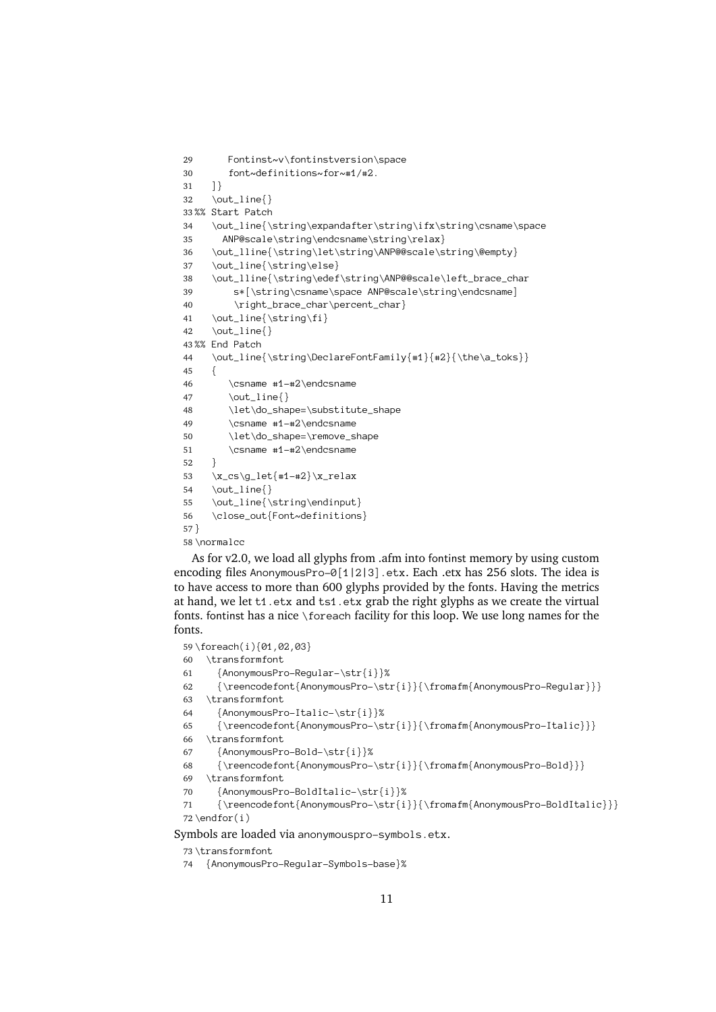```
29font~definitions~for~#1/#2.<br>t_line{}<br>t_line{}<br>t_line{\string\expandafter\strin
30 t_line{}<br>rt Patch<br>t_line{\string\expandafter\<br>NP@scale\string\endcsname\s
31 \left\{ \right\}]<br>| \0<br>| St<br>| 0
32 \out_line{}
33%% Start Patch
        \out_line{\<br>ANP@scale<br>\out_line{\<br>tout_line{\
34 \out_line{\string\endcsname\string\relax}<br>\out_lline{\string\endcsname\string\relax}<br>\out_line{\string\else}<br>\out_lline{\string\edef\string\ANP@@scale\left_brace_char<br>s*{\string\csname\space ANP@scale\string\endcsname]
35 ANP@scale\string\left\string\ANP@scale\string\t_lline{\string\else}<br>ut_lline{\string\else}<br>ut_lline{\string\else}<br>string\conducty\string\ANP@@scale\<br>s*[\string\csname\space ANP@scale\stri<br>\right_brace_char\percent_char}
36 \out_line{\string\else}<br>\out_lline{\string\else}<br>\out_lline{\string\edef\string\ANP@@scale\left_brace_ch<br>s*[\string\csname\space ANP@scale\string\endcsname]<br>\right_brace_char\percent_char}<br>\out_line{\string\fi}
37 \out_lline{\string\edef<br>s*[\string\csname\s<br>\right_brace_char\p<br>\out_line{\string\fi}<br>\out_line{}
38 \out_is\tring\csname\space ANP@scale\string\endcsname]<br>\right_brace_char\percent_char}<br>\out_line{\string\fi}<br>\out_line{}<br>End Patch
39 string (commercient clubs) (csname)<br>\right_brace_char\percent_char}<br>_line{\string\fi}<br>Patch<br>_line{\string\DeclareFontFamily{#1}{#2}{\the\a_toks
40 \right_information_information_information_information_information_information_information_information_information_information_information_information_information_information_information_information_information_information
41 \out_line{}<br>\cut_line{\string\Dec<br>{<br>{<br>\csname #1-#2\endc
42 \out_line{\)<br>End Patch<br>\out_line{\)
43%% End Patch
        %% vout_line<br>{<br>\csnam<br>\out_l<br>\let\d
44 \out_line{\string\DeclareFontFamily{#1}{#2}{\the\a_toks}}
45 \ddot{\phantom{a}}46 \out_line{}<br>\let\do_shape=\substitu<br>\csname #1-#2\endcsname<br>\let\do_shape=\remove_s<br>\csname #1-#2\endcsname
47 \let\do_sha<br>\csname #1-<br>\let\do_sha<br>\csname #1-
48 \csname #1-#2\endcsname<br>\let\do_shape=\remove_shape<br>\csname #1-#2\endcsname
49 \let\do_shape=\remove_s<br>\csname #1-#2\endcsname<br>cs\g_let{#1-#2}\x_relax<br>t_line{}
50 51 \cs\g_let{#1-#2}\x_relax<br>t_line{}<br>t_line{\string\endinput<br>ose_out{Font~definition
52 \mathcal{L}}<br>/<br>/<br>/
53 \out_line{}<br>\out_line{\string\endinput}
54 \out_line{\<br>\close_out{<br>rmalcc<br>or v2.0. we
55 \close_out{Font~definitions}<br>malcc<br>or v2.0, we load all glyphs fro<br>no files AnonymousPro-0[1]?
                 \close_out{Font~definitions}
56 57
```
58 \normalcc

rmalco<br>
or v2.0, we load all glyphs from<br>
the form of files AnonymousPro-0[1|2| ) \<br>4 ) a As for v2.0, we load all glyphs from .afm into fontinst memory by using custom<br>oding files AnonymousPro–0[1|2|3] .etx. Each .etx has 256 slots. The idea is<br>nave access to more than 600 glyphs provided by the fonts. Having encoding files AnonymousPro-0[1|2|3] etx. Each etx has 256 slots. The idea is AnonymousPro-0[1|2|3].etx. Each .etx has 256 slots. The idea is<br>to more than 600 glyphs provided by the fonts. Having the metrics<br>t t1.etx and ts1.etx grab the right glyphs as we create the virtual<br>nas a nice \foreach fac to have access to more than 600 glyphs provided by the fonts. Having the metrics at hand, we let t1.etx and ts1.etx grab the right glyphs as we create the virtual<br>as a nice \foreach facility for this loop. We use long names for the<br>{01,02,03}<br>mfont<br>ousPro-Regular-\str{i}}% fonts. fontinst has a nice \foreach facility for this loop. We use long names for the<br>fonts.<br>59 \foreach(i){01,02,03}<br>60 \transformfont<br>61 {AnonymousPro-Regular-\str{i}}%<br>62 {\reencodefont{AnonymousPro-\str{i}}{\fromafm{A fonts.

59 \foreach(i){01,02,03}

60 \transformfont

- \transformfont<br>{AnonymousPro-Reg<br>{\reencodefont{An<br>\transformfont<br>{AnonymousPro-Ita \transform<br>formfont {\nencodefo}<br>\transformfont {AnonymousPr<br>{\reencodefo 61
- {\reencodefont{AnonymousPro-\st<br>ransformfont<br>{AnonymousPro-Italic-\str{i}}%<br>{\reencodefont{AnonymousPro-\st<br>ransformfont 62
- 63
- 64
- ransformfont<br>{AnonymousPro-Italic-\str{i}}%<br>{\reencodefont{AnonymousPro-\str{i}}{\fromafm{AnonymousPro-Italic}}}<br>ransformfont<br>{AnonymousPro-Bold-\str{i}}% \transformfont<br>{AnonymousPro-Italic-\str{i}}%<br>{\reencodefont{AnonymousPro-\st<br>\transformfont<br>{AnonymousPro-Bold-\str{i}}% {\reencodefont{AnonymousPro-\strainfont}<br>Transformfont<br>{AnonymousPro-Bold-\str{i}}%<br>{\reencodefont{AnonymousPro-\s<br>ransformfont 65
- 66
- 67
- ransformfont<br>{AnonymousPro-Bold-\str{i}}%<br>{\reencodefont{AnonymousPro-\str{i}}{\fromafm{AnonymousPro-Bold}}}<br>ransformfont<br>{AnonymousPro-BoldItalic-\str{i}}% 68
- 69
- \transformfont<br>{AnonymousPro-BoldItalic-\str{i}}% 70

```
{\reencodefont{AnonymousPro-<br>ransformfont<br>{AnonymousPro-BoldItalic-\st<br>{\reencodefont{AnonymousPro-<br>for(i)
               {\reencodefont{AnonymousPro-\str{i}}{\fromafm{AnonymousPro-Bold}}}
          \label{cor:anom:noncomm} \begin{array}{c} \{\text{AnonymousPr}\\\ \text{reencode} \text{for}(i)\} \text{ and } \text{for}(i)\end{array}{\reencodefont{AnonymousPro-\str{i<br>for(i)<br>are loaded via anonymouspro-symbo<br>nsformfont<br>nonymousPro-Boqular Symbols basel%
71 for(i)<br>are loaded via anonymouspro-symbols.etx.<br>msformfont<br>nonymousPro-Regular-Symbols-base}%
72\end{for}(i)
```
Symbols are loaded via anonymouspro-symbols.etx.<br>
73 \transformfont<br>
74 {AnonymousPro-Regular-Symbols-base}%<br>
11

```
73 \transformfont
```
% (LEADERSTAND)<br>74 {AnonymousPr  ${11}$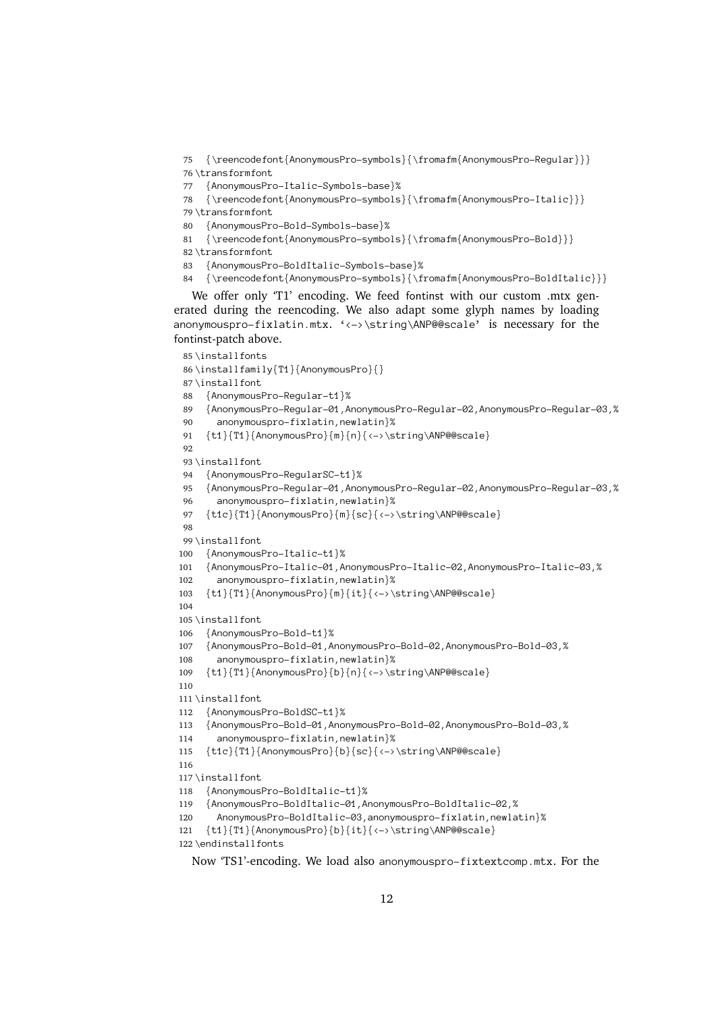75 {\reencodefont{AnonymousPro-symbols}{\fromafm{AnonymousPro-Regular}}}  ${\noindent \begin{minipage}{0.5\textwidth} \begin{minipage}{0.5\textwidth} \begin{minipage}{0.5\textwidth} \begin{minipage}{0.5\textwidth} \begin{minipage}{0.5\textwidth} \begin{minipage}{0.5\textwidth} \begin{minipage}{0.5\textwidth} \begin{minipage}{0.5\textwidth} \begin{minipage}{0.5\textwidth} \begin{minipage}{0.5\textwidth} \begin{minipage}{0.5\textwidth} \begin{minipage}{0.5\textwidth} \begin{minipage}{0.5\textwidth} \begin{minipage}{0.5\textwidth} \begin{minipage}{0.5\textwidth} \begin{minipage}{0$ 76 \transformfont

```
77 {AnonymousPro-Italic-Symbols-base}%
```

```
78
```

```
79 \transformfont
```
- $\label{lem:main} \begin{array}{ll} \{\text{AnonymousPr}\ \{ \text{AnonymousPr}\ \{ \text{AnonymousPr}\ \{ \text{reencodefo} \} \} \} \end{array}$
- {\reencodefont{AnonymousPro-symbols<br>ransformfont<br>{AnonymousPro-Bold-Symbols-base}%<br>{\reencodefont{AnonymousPro-symbols<br>ransformfont  ${\noindent {\begin{array}{l} {\scriptstyle \text{AnonymousPro-Bold-Symbols-based}\{\Gamma\&\text{AnonymousPro-Bold}}\{\Gamma\&\text{AnonymousPro-Bold}\}}\ \text{ransformfont} \ {\text{AnonymousPro-BoldItalic-Symbols-based}\}\ \text{AnonymousPro-BoldItalic-Symbols-based}\ \text{AnonymousPro-BoldItalic-Symbols-based}\ \text{AnonymousPro-BoldItalic-Symbols-based}\ \text{AnonymousPro-BoldItalic-Symbols-based}\ \text{AnonymousPro-BoldItalic-Symbols-based}\ \text{AnonymousPro-BoldItalic-Symbols-based}\ \text{AnormousPro-BoldItalic-Symbols-based}\ \text{AnormousPro-BoldItalic-Symbols-based}\ \text{AnormousPro-BoldItal$
- 82 \transformfont
- 80 {AnonymousPr<br>81 {\reencodefo<br>82\transformfont<br>83 {AnonymousPr<br>84 {\reencodefo 81 {\reencodefont{AnonymousPro-symbo<br>82\transformfont<br>83 {AnonymousPro-BoldItalic-Symbols-<br>84 {\reencodefont{AnonymousPro-symbo<br>We offer only "T1' encoding. We fee 83 {AnonymousPro-BoldItalic-Symbols-base}%
- 84

ransformfont<br>{AnonymousPro-BoldItalic-Symbols-base}%<br>{\reencodefont{AnonymousPro-symbols}{\fromafm{AnonymousPro-BoldIta<br>} offer only "T1' encoding. We feed fontinst with our custom .mtx<br>| during the reencoding We also adap {Anonymous Pr<br>{\reencode formal}<br> $\text{We offer only}\neq \text{ during the}\x$ {\reencodefont{AnonymousPro-symbols}{\f<br>
e offer only 'Tl' encoding. We feed font<br>
during the reencoding. We also adapt<br>
mouspro-fixlatin.mtx. '<->\string\An e offer only 'T1' encoding. We feed fontinst with our custom .mtx gen-<br>al during the reencoding. We also adapt some glyph names by loading<br>mouspro-fixlatin.mtx. '<->\string\ANP@@scale' is necessary for the<br>st-patch above. We offer only 'T1' encoding. We feed fontinst with our custom .mtx generated during the reencoding. We also adapt some glyph names by loading fontinst-patch above.

```
anonymouspro-fixlatin.mtx. '<->\string\ANP@@scale' is necessary for the<br>fontinst-patch above.<br>85\installfonts<br>86\installfamily{T1}{AnonymousPro}{}<br>87\installfont<br>88 {AnonymousPro-Regular-t1}%
    85 \installfonts
    86\installfamil<br>87\installfont<br>88 {AnonymousP<br>89 {AnonymousP<br>90 anonymous
          \installfont<br>{AnonymousPro-Regular-t1}%<br>{AnonymousPro-Regular-01,Anonymo<br>anonymouspro-fixlatin,newlatin<br>{t1}{T1}{AnonymousPro}{m}{n}{<->
   87 \times 12{AnonymousPro-Regular-t1}%<br>{AnonymousPro-Regular-01,AnonymousPro-Regular-02,An<br>anonymouspro-fixlatin,newlatin}%<br>{t1}{T1}{AnonymousPro}{m}{n}{<->\string\ANP@@scale}
   88 {AnonymousPro-Regular-01,A<br>anonymousPro-Regular-01,A<br>anonymouspro-fixlatin,ne<br>{t1}{T1}{AnonymousPro}{m}{<br>nstallfont
   89 anonymouspro-fixlatin, newlatin)%<br>{t1}{T1}{AnonymousPro}{m}{n}{<->\string\ANP@@scale}<br>nstallfont<br>{AnonymousPro-RegularSC-t1}%
   901}{T1}{AnonymousPro}{m}{n}{<->\s<br>tallfont<br>nonymousPro-RegularSC-t1}%<br>nonymousPro-Regular-01,Anonymous
   91 {t1}{T1}{AnonymousPro}{m}{n}{<->\string\ANP@@scale}
   92
   93 \installfont
    94 {Anonymous<br>
95 {Anonymous<br>
96 anonymou<br>
97 {t1c}{T1}{<br>
98
               {AnonymousPro-Regular-01,Ano<br>anonymouspro-fixlatin,newl<br>{t1c}{T1}{AnonymousPro}{m}{s<br>nstallfont
   95 Anonymouspro-fixlatin, newlatin}%<br>{t1c}{T1}{AnonymousPro}{m}{sc}{<->\string\ANP@@scale}<br>nstallfont<br>{AnonymousPro-Italic-t1}%
   96 anonymouspro-files.html<br>1c}{T1}{AnonymousPro}{m}{sc}{<-><br>tallfont<br>nonymousPro-Italic-t1}%<br>nonymousPro-Italic-01,AnonymousP
   97
             {AnonymousPro-Italic-t1}%<br>{AnonymousPro-Italic-01,AnonymousPro-Italic-02,AnonymousPro-Italic-03,%<br>anonymouspro-fixlatin,newlatin}%
   98
   99 \installfont
          \begin{array}{l} \{Anonymous \\ \{Anonymous \\ \noindent \noindent \noindent \noindent \noindent \end{array}100 {AnonymousPro-Italic-01,A<br>anonymousPro-Italic-01,A<br>anonymouspro-fixlatin,n<br>{t1}{T1}{AnonymousPro}{m}<br>nstallfont
 101 {\text{\text{\text{\text{\text{\text{\text{\text{\sigma_n}}}}}\} anonymouspro-fix\latin,newlatin}%<br>{\t1}{T1}{AnonymousPro}{m}{it}{<->\string\ANP@@scale}<br>nstallfont<br>{AnonymousPro-Bold-t1}%
 102 1}{T1}{AnonymousPro}{m}{it}{<->\<br>tallfont<br>nonymousPro-Bold-t1}%<br>nonymousPro-Bold-01,AnonymousPro
 103 {AnonymousPro-Bold-t1}%<br>{AnonymousPro-Bold-01,AnonymousPro-Bold-02,AnonymousPro-Bold-03,%<br>anonymouspro-fixlatin,newlatin}%
 104
 105 \installfont
          {Anonymous<br>{Anonymous<br>anonymou<br>{t1}{T1}{A
 106 {AnonymousPro-Bold-01,A<br>anonymouspro-fixlatin<br>{t1}{T1}{AnonymousPro}{<br>nstallfont
 107 Anonymouspro-fixlatin, newlatin)%<br>
{t1}{T1}{AnonymousPro}{b}{n}{<->\string\ANP@@scale}<br>
nstallfont<br>
{AnonymousPro-BoldSC-t1}%
 108 anonymousPro-file<br>1}{T1}{AnonymousPro}{b}{n}{<->\s<br>tallfont<br>nonymousPro-BoldSC-t1}%<br>nonymousPro-Bold-01,AnonymousPro
109 {tip}{AnonymousPro-BoldSC-t1}%<br>https://www.yarazi.in/tip}{AnonymousPro-BoldSC-t1}%<br>{AnonymousPro-Bold-01,AnonymousPro-Bold-02,Anonymou<br>anonymouspro-fixlatin,newlatin}%
110
111\installfont
  112 {Anonymous<br>
113 {Anonymous<br>
114 anonymou<br>
115 {t1c}{T1}{<br>
116
               {AnonymousPro-Bold-01,Ano<br>anonymouspro-fixlatin,n<br>{t1c}{T1}{AnonymousPro}{b<br>nstallfont
 113 {\text{\text{\sigma_{\text{\sigma_{\text{\sigma_{\sigma_{\sigma_{\sigma_{\sigma_{\sigma_{\sigma_{\sigma_{\sigma_{\sigma_{\sigma_{\sigma_{\sigma_{\sigma_{\sigma_{\sigma_{\sigma_{\sigma_{\sigma_{\sigma_{\sigma_{\sigma_{\sigm
 114 anonymouspro-files.html<br>1c}{T1}{AnonymousPro}{b}{sc}{<-><br>tallfont<br>nonymousPro-BoldItalic-t1}%<br>nonymousPro-BoldItalic-01,Anonym
 115 (11)(11)(11)(11)(11)(11)(11)(11)(11)<br>
(AnonymousPro-BoldItalic-t1}%<br>
{AnonymousPro-BoldItalic-01,AnonymousPro-BoldItalic-0<br>
AnonymousPro-BoldItalic-03,anonymouspro-fixlatin,ne
 116
 117 \installfont
  \installfont
118 {AnonymousPro-BoldItalic-01,A<br>AnonymousPro-BoldItalic-01,A<br>AnonymousPro-BoldItalic-03,<br>{t1}{T1}{AnonymousPro}{b}{it}<br>ndinstalIfonts<br>w "TS1'-encoding. We load als
119 AnonymousPro-BoldItalic-03,anonymouspro-fixlatin,newla<br>{t1}{T1}{AnonymousPro}{b}{it}{<->\string\ANP@@scale}<br>ndinstallfonts<br>w "TS1'-encoding. We load also anonymouspro-fixtextcor
 120 AlanonymousProldItalic->\string\ANP@@scale}<br>AnonymousProldItalic-03,anonymouspro-fixlation,new<br>TS1'-encoding. We load also anonymouspro-fixlextcomp.mt
 121 {\tt T1} and {\tt T2} and {\tt T3} are {\tt T4} and {\tt T5} are {\tt T5}. We load also anonymous pro-fixtex 12122 \endinstallfonts
        Now 'TS1'-encoding. We load also anonymouspro-fixtextcomp.mtx. For the 12
```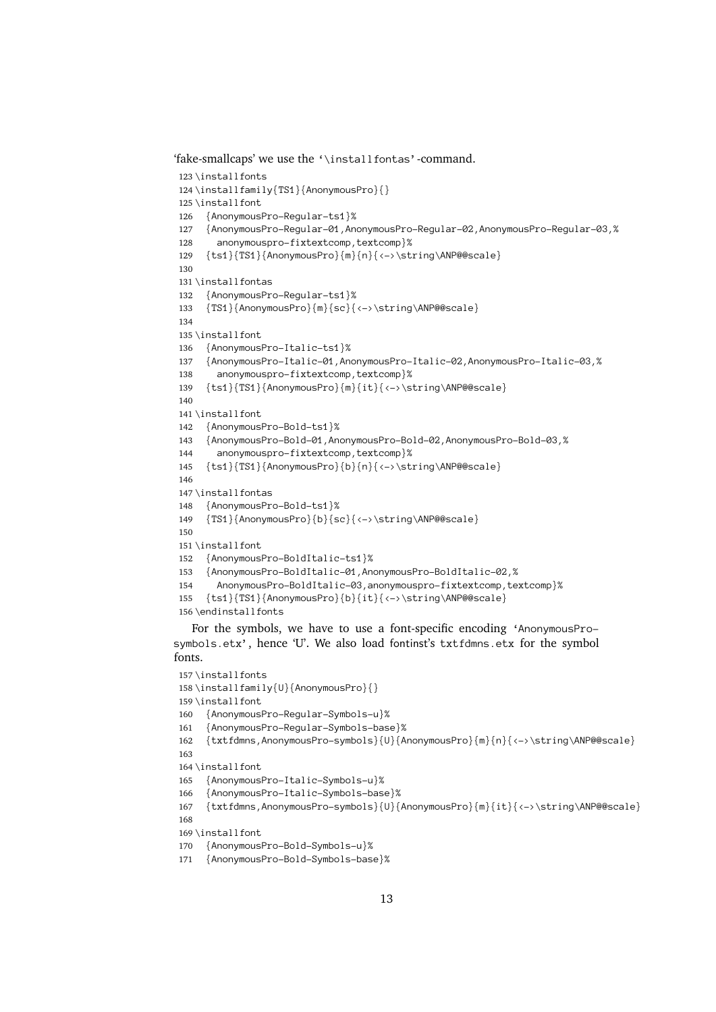```
%"<br>
"fake-smallcaps' we use the '\installfontas'-command.<br>
123\installfonts<br>
124\installfont<br>
125\installfont<br>
126 {AnonymousPro-Regular-ts1}%<br>
127 {AnonymousPro-Regular-01,AnonymousPro-Regular-02
 123 \installfonts
  124\installfamil<br>
125\installfont<br>
126 {AnonymousP<br>
127 {AnonymousP<br>
128 anonymous
          \installfont<br>\installfont<br>{AnonymousPro-Regular-ts1}%<br>{AnonymousPro-Regular-01,Anonymou<br>anonymouspro-fixtextcomp,textco<br>{ts1}{TS1}{AnonymousPro}{m}{n}{<-
 125 \installfont
          {Anonymous<br>{Anonymous<br>anonymou<br>{ts1}{TS1}
 126 {AnonymousPro-Regular-01, An<br>anonymouspro-fixtextcomp,<br>{ts1}{TS1}{AnonymousPro}{m}<br>nstallfontas
 127 Anonymouspro-fixtextcomp,textcomp}%<br>
{ts1}{TS1}{AnonymousPro}{m}{n}{<->\string\ANP@@scale}<br>
nstallfontas<br>
{AnonymousPro-Regular-ts1}%
 128 s1}{TS1}{AnonymousPro}{m}{n}{<->\st<br>tallfontas<br>nonymousPro-Regular-ts1}%<br>S1}{AnonymousPro}{m}{sc}{<->\string
 129 {tsi}{AnonymousPro-Regular-ts1}%<br>{AnonymousPro-Regular-ts1}%<br>{TS1}{AnonymousPro}{m}{sc}{<->\string\ANP@@scale}
 130
 131 \installfontas
  132 {AnonymousPr<br>
133 {TS1}{Anonym<br>
134<br>
135 \installfont<br>
136 {AnonymousPr
                {TS1}{AnonymousPro}{m}{sc}{<br>$1}{AnonymousPro-Register<br>AnonymousPro-Ttalic-ts1}<br>{AnonymousPro-Ttalic-01,Ano
 133 {AnonymousPro-Italic-ts1}%<br>{AnonymousPro-Italic-01,AnonymousPro-Italic-02,AnonymousPro-Italic-03,%<br>anonymouspro-fixtextcomp,textcomp}%
 134
 135 \installfont
          {Anonymous<br>{Anonymous<br>anonymou<br>{ts1}{TS1}
 136 {AnonymousPro-Italic-01,An<br>anonymouspro-fixtextcomp<br>{ts1}{TS1}{AnonymousPro}{m<br>nstallfont
 137 {\text{\text{\sigmatrix}}}}\text{\text{\sigmatrix}}}\text{\sigmatrix}}\text{\sigmatrix}}\text{\sigmatrix}}\text{\sigmatrix}}\text{\sigmatrix}}\text{\sigmatrix}}\text{\sigmatrix}}\text{\sigmatrix}}\text{\sigmatrix}}\text{\s
 138 s1}{TS1}{AnonymousPro}{m}{it}{<->\s<br>tallfont<br>nonymousPro-Bold-ts1}%<br>nonymousPro-Bold-01,AnonymousPro-Bo
 139 (experimentation)<br>
for the string of the string of the string of the string of the string (AnonymousPro-Bold-01, AnonymousPro-Bold-02, AnonymousPro-<br>
anonymousPro-Bold-01, AnonymousPro-Bold-02, AnonymousPro-anonymousPro-fi
 140
 141 \installfont
  142 {Anonymous<br>
143 {Anonymous<br>
144 anonymous<br>
145 {ts1}{TS1}<br>
146
                {AnonymousPro-Bold-01,An<br>anonymouspro-fixtextco<br>{ts1}{TS1}{AnonymousPro}<br>nstallfontas
 143 anonymouspro-fixtextcomp,textcomp}%<br>{ts1}{TS1}{AnonymousPro}{b}{n}{<->\string\ANP@@scale}<br>nstallfontas<br>{AnonymousPro-Bold-ts1}%
 144 s1}{TS1}{AnonymousPro}{b}{n}{<->\st<br>tallfontas<br>nonymousPro-Bold-ts1}%<br>S1}{AnonymousPro}{b}{sc}{<->\string
 145 {ts1}{TS1}{AnonymousPro}{b}{n}{<->\string\ANP@@scale}
 146
 147 \installfontas
              {AnonymousPro-Bold-ts1}%<br>{TS1}{AnonymousPro}{b}{sc}{<->\string\ANP@@scale}<br>installfont<br>{AnonymousPro-BoldItalic-ts1}%<br>{AnonymousPro-BoldItalic-01,AnonymousPro-BoldItalic-02,%
 148 {TS1}{AnonymousPro}{b}{s<br>nstallfont<br>AnonymousPro-BoldItalic<br>{AnonymousPro-BoldItalic}
 149 AnonymousPro-BoldItalic-03, anonymouspro-fixtextcomp, textcomp}%
 150
 151 \installfont
          {Anonymous<br>{Anonymous<br>Anonymou<br>{ts1}{TS1}<br>\endinstallf
 152 {AnonymousPro-BoldItalic-01,An<br>AnonymousPro-BoldItalic-03,a<br>{ts1}{TS1}{AnonymousPro}{b}{it<br>mdinstallfonts<br>r the symbols. we have to use
 153 AnonymousPro-BoldItalic-03,anonymouspro-fixtextcomp, te<br>{ts1}{TS1}{AnonymousPro}{b}{it}{<->\string\ANP@@scale}<br>ndinstallfonts<br>r the symbols, we have to use a font-specific encoding '<br>ls ety' hence 'I'' We also load fontin
 154 155 156 \endinstallfonts
```
AnonymousPro}{b}{it}{<->\string\ANP@@scale}<br>installfonts<br>the symbols, we have to use a font-specific encoding 'Anonymo<br>.etx', hence 'U'. We also load fontinst's txtfdmns.etx for the modinstallfonts<br>the symbols, we have to use a font-specific encoding<br>1s.etx', hence 'U'. We also load fontinst's txtfdmns.et For the symbols,<br>bols.etx', hence<br>s.<br>\installfonts For the symbols, we have to use a font-specific encoding 'AnonymousPro-<br>bols.etx', hence 'U'. We also load fontinst's txtfdmns.etx for the symbol<br>ts.<br>\installfonts<br>\installfamily{U}{AnonymousPro}{}<br>\installfont fonts.

```
symbols.etx', hence 'U'. We also load fontinst's txtfdmns.etx for the symbol<br>fonts.<br>157\installfonts<br>158\installfamily{U}{AnonymousPro}{}<br>159\installfont<br>160 {AnonymousPro-Regular-Symbols-u}%
157 \installfonts
 158\installfamil<br>
159\installfont<br>
160 {AnonymousP<br>
161 {AnonymousP<br>
162 {txtfdmns,A
         {AnonymousPro-Regular-Symbols-u}%
 159 \installfont
 160 {Anonymous<br>
161 {Anonymous<br>
162 {txtfdmns,<br>
163<br>
164 \installfont
 160 {AnonymousPro-Regular-Symbols-base}%
 161 {txtfdmns,AnonymousPro-symbols}{U}{AnonymousPro}{m}{n}{<->\string\ANP@@scale}<br>installfont<br>{AnonymousPro-Italic-Symbols-u}%<br>{AnonymousPro-Italic-Symbols-base}%
 162 {txtfdmns,AnonymousPro-symbols}{U}{AnonymousPro}{m}{n}{<->\string\ANP@@scale}
163
 165 {Anonymous<br>166 {Anonymous<br>167 {txtfdmns,<br>168 \installfont
165 {AnonymousPro-Italic-Symbols-u}%
           {AnonymousPro-Italic-Symbols-bas<br>{txtfdmns,AnonymousPro-symbols}{<br>nstallfont<br>AnonymousPro-Bold-Symbols-u}%
 166 {txtfdmns,AnonymousPro-symbols}{U}{<br>nstallfont<br>AnonymousPro-Bold-Symbols-u}%<br>{AnonymousPro-Bold-Symbols-base}%
167 {AnonymousPro-Bold-Symbols-u}%<br>{AnonymousPro-Bold-Symbols-u}%<br>{AnonymousPro-Bold-Symbols-base}%
168
 170 {Anonymous<br>171 {Anonymous<br>171 {Anonymous
 {AnonymousPro-Bold-Symbols-u}%
171 {A}
```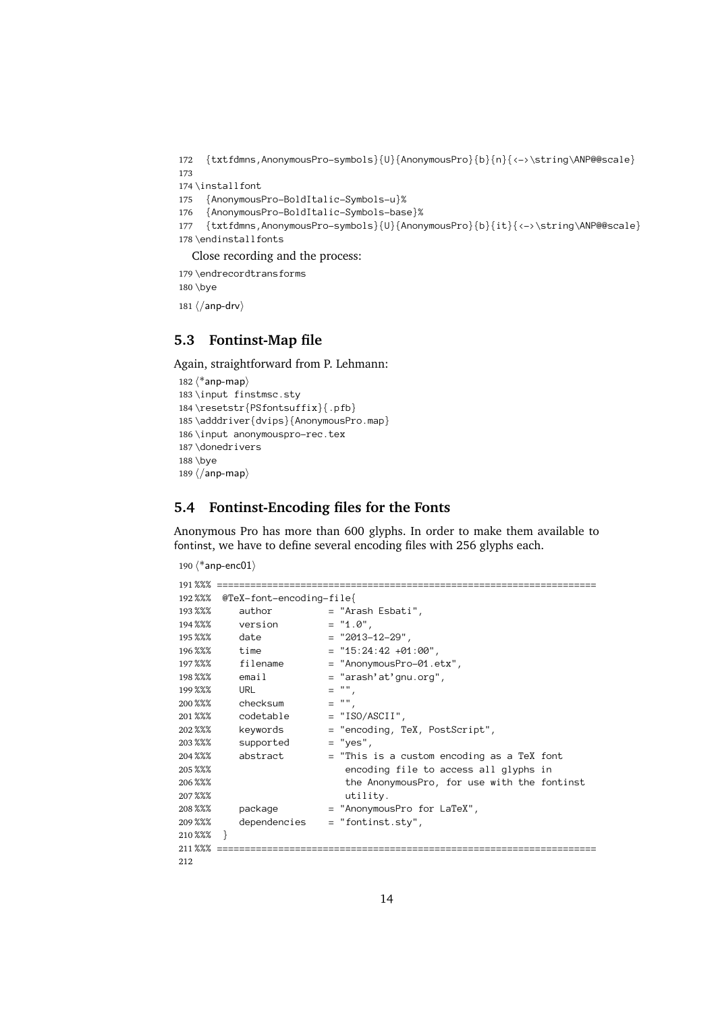```
172 {txtfdmns, AnonymousPro-symbols}{U}{AnonymousPro}{b}{n}{<->\string\ANP@@scale}
         {\text{\text{\text{\text{\text{\text{\text{\text{\text{\sig}}}}}}<br>{AnonymousPro-BoldItalic-Symbols-u}%<br>{\textfdmns,AnonymousPro-symbols}{U}{AnonymousPro}{b}{it}{<->\string\ANP@@scale
173
174 \installfont
      {Anonymous<br>{Anonymous<br>{txtfdmns,<br>\endinstallfont
175 {AnonymousPro-BoldItalic-Symbols-u}%
         {AnonymousPro-BoldItalic-Symbols-bas<br>{txtfdmns,AnonymousPro-symbols}{U}{A<br>ndinstallfonts<br>were recording and the process:
176 {AnonymousPro-BoldItalic-Symbols-base}%
177 {txtfdmns,AnonymousPro-symbols}{U}{Anon<br>178 \endinstallfonts<br>Close recording and the process:<br>179 \endrecordtransforms
         {\text{m}}<br>mdinstall fonts<br>bse recording and the process:<br>mdrecordtransforms<br>ye
178 \endinstallfonts
```

```
Close recording and the process:<br>
\end{hbox{\rm\small{on}}<br>
\bigotimes<br>
\bigotimes<br>
\bigotimes179 \endrecordtransforms
180 \bye<br>
181 \/anp-drv\<br>
5.3 Fontinst-Map file
 180 \bye
```
181  $\langle$  / anp-drv $\rangle$ 

## $\frac{\sqrt{2}}{2}$ <br>F

<span id="page-13-0"></span>Again, straightforward from P. Lehmann:

```
182\langle*anp-map\rangle183 \input finstmsc.sty
 184\resetstr{PSfontsuf<br>185\adddriver{dvips}{A<br>186\input anonymouspro<br>187\donedrivers<br>188\bye
 185\adddriver{dvips}{AnonymousPr<br>186\input anonymouspro-rec.tex<br>187\donedrivers<br>188\bye<br>189\/anp-map}
 186\input anonymouspro-rec.tex<br>187\donedrivers<br>188\bye<br>189\/anp-map}
         \lambda donedrivers<br>
\lambdabye<br>
\langle \rangleanp-map<br>
Fontinat Engoding fil
187\donedrivers
         \bye<br>\bye<br>\langle/\text{anp-map}\rangle<br>Fontinst
188 \bye
         \frac{\sqrt{2}}{2}<br>F
189\langle/anp-map\rangle
```
#### <span id="page-13-1"></span>**5.4 Fontinst-Encoding files for the Fonts**

Anonymous Pro has more than 600 glyphs. In order to make them available to fontinst, we have to define several encoding files with 256 glyphs each.

```
190 \langle*anp-enc01\rangle
```

```
191 %%% ====================================================================
192%%% @TeX-font-encoding-file{
193 %%% author = "Ar<br>
194 %%% ersion = "1.<br>
195 %%% date = "20<br>
196 %%% time = "15<br>
197 %%% filename = "An
      %%% version = "1.0",<br>%%% date = "2013-12-29",<br>%%% time = "15:24:42 +01:0<br>%%% filename = "AnonymousPro-0<br>%%% email = "arash'at'gnu.o
194%% version
      %%% date = "2013-<br>%%% date = "15:24<br>%%% filename = "15:24<br>%%% email = "arash" = "arash" = "",
195 %%% date
      %%% time = "15:24:42 +01<br>%%% filename = "AnonymousPro<br>%%% email = "arash'at'gnu<br>%%% URL = "",<br>%%% checksum = "",
196%% time
      %%% filename = "AnonymousPro-01.e<br>%%% email = "arash'at'gnu.org"<br>%%% URL = "",<br>%%% checksum = "",<br>%%% codetable = "ISO/ASCII",
197%%% filename
      %%% email = "arash'at'gnu.org",<br>%%% email = "arash'at'gnu.org",<br>%%% Checksum = "",<br>%%% codetable = "ISO/ASCII",<br>%%% keywords = "encoding, TeX, PostSc
198%% email
      %%% email = "arash'at'gnu.org",<br>%%% URL = "",<br>%%% checksum = "",<br>%%% codetable = "ISO/ASCII",<br>%%% keywords = "encoding, TeX, Pos<br>%%% supported = "yes",
199 %%% URL
      %%% URL = "",
200 201 %%% codetable = "IS<br>
202 %%% keywords = "en<br>
203 %%% supported = "ye<br>
204 %%% abstract = "Th<br>
205 %%% en
      %%% keywords = "encoding, T<br>%%% keywords = "yes",<br>%%% abstract = "This is a c<br>%%% extending fi the Anonymo
202%% keywords
      %% supported = "yes",<br>%%% abstract = "This is a custom encoding a<br>%%% bestract = "This is a custom encoding a<br>%%% the AnonymousPro, for use w<br>%%% utility.
203 %%%
      %%% abstract = "This<br>%%% supported = "This<br>%%% the A<br>%%% package = "Anony"
204 %%%
                abstract = "This is a custom encoding as a TeX font<br>encoding file to access all glyphs in<br>the AnonymousPro, for use with the fontinst<br>utility.<br>package = "AnonymousPro for LaTeX",
205 %%%
      %%% the AnonymousPro, for use with the fo<br>%%% package = "AnonymousPro for LaTeX",<br>%%% dependencies = "fontinst.sty",<br>%%% }
206 %%%
      %%% the AnonymousPro, for use with the fontinst
207222
                  dependencies = "fontinst-style",208 %%%
      %%% package = "AnonymousPro for LaTeX",
209%%%
      %%% dependencies = "fontinst.sty",
210 %%%}
211\frac{88}{80} = 212^{14}212
```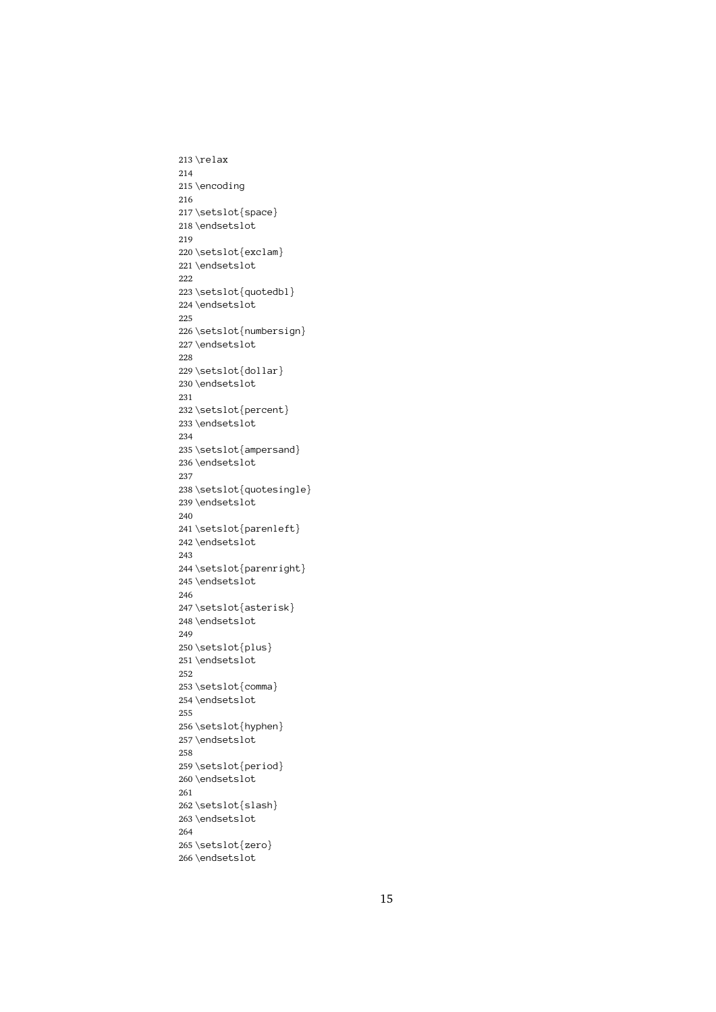213\relax \encod<br>\setsl<br>\endse 214 215 \setslot{<br>\endsetsl<br>\setslot{ 216 217 \endsetslot<br>\setslot{exclam<br>\endsetslot 218 \endsetslot \setslot{ex<br>\endsetslot<br>\setslot{qu 219 220 \endsetslot<br>\setslot{quotedb<br>\endsetslot 221\endsetslot \setslot{qu<br>\endsetslot<br>\setslot{nu 222 223 \endsetslot<br>\setslot{numbersig<br>\endsetslot 224 \endsetslot \setslot{nu<br>\setslot{nu<br>\endsetslot<br>\setslot{do 225 226 \endsetslot<br>\setslot{dollar}<br>\endsetslot 227 \setslot{do<br>\endsetslot<br>\setslot{pe 228 229 \endsetslot<br>\setslot{percent<br>\endsetslot 230 \endsetslot \setslot{pe<br>\endsetslot<br>\setslot{am 231 232 \endsetslot<br>\setslot{ampersan<br>\endsetslot 233 \endsetslot \setslot{am<br>\endsetslot<br>\setslot{qu 234 235 \endsetslot<br>\setslot{quotesingl<br>\endsetslot 236 \endsetslot \setslot{qu<br>\setslot{qu<br>\endsetslot<br>\setslot{pa 237 238 \endsetslot<br>\setslot{parenleft}<br>\endsetslot 239 \endsetslot \setslot{pa<br>\endsetslot<br>\setslot{pa 240 241 \endsetslot<br>\setslot{parenright<br>\endsetslot 242\endsetslot \setslot{pa<br>\endsetslot<br>\setslot{as 243 244 \endsetslot<br>\setslot{asterisk}<br>\endsetslot<br>} 245 \endsetslot \setslot{as<br>\endsetslot<br>\setslot{pl 246 247 \endsetslot<br>\setslot{plus}<br>\endsetslot 248 \endsetslot \setslot{pl<br>\endsetslot<br>\setslot{co 249 250 \endsetslot<br>\setslot{comma<br>\endsetslot 251 \endsetslot \setslot{co<br>\endsetslot<br>\setslot{hy 252 253 \endsetslot<br>\setslot<br>\setslot{hyphen<br>\endsetslot 254 \endsetslot \setslot{hy<br>\setslot{hy<br>\endsetslot<br>\setslot{pe 255 256 \endsetslot<br>\setslot{period}<br>\endsetslot 257\endsetslot \setslot{pe<br>\setslot{pe<br>\endsetslot<br>\setslot{sl 258 259 \endsetslot<br>\setslot{slash}<br>\endsetslot 260 \endsetslot \setslot{sl<br>\endsetslot<br>\setslot{ze 261 262 \endsetslot<br>\setslot<br>slash}<br>\endsetslot 263 \endsetslot \<br>\setslot{ze<br>\endsetslot 264 265 266\endsetslot

 $\overline{\phantom{a}}$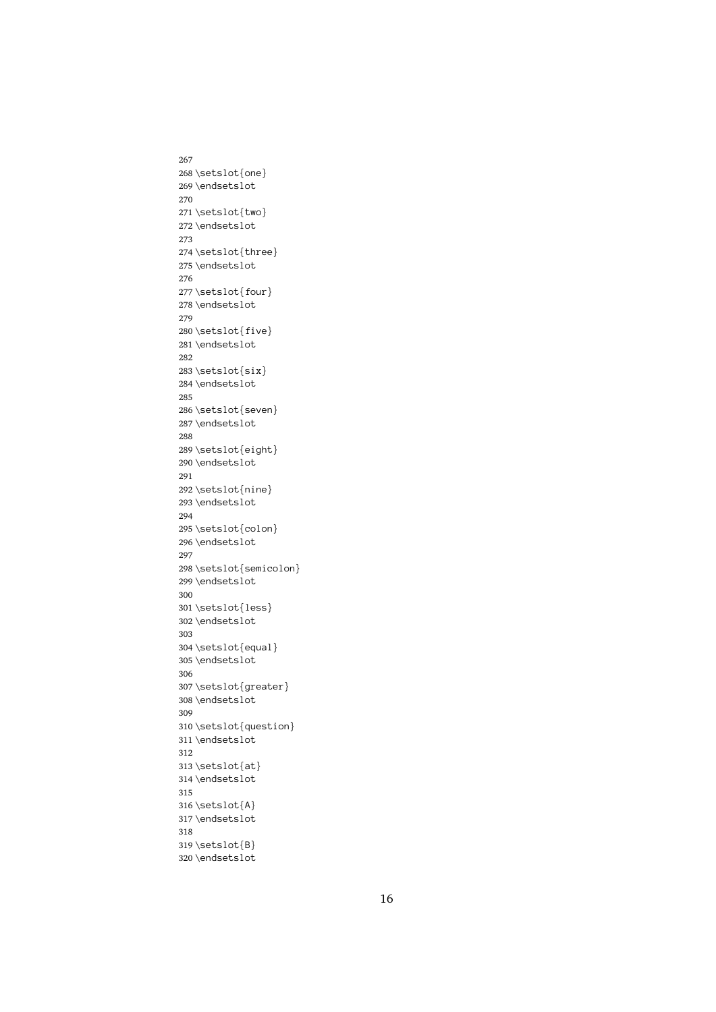267 268\setslot{one} \endsetslot<br>\setslot{two}<br>\endsetslot 269 \endsetslot \setslot{tw<br>\setslot{tw<br>\endsetslot<br>\setslot{th 270 271 \endsetslot<br>\setslot{thre<br>\endsetslot 272 \endsetslot \setslot{th<br>\endsetslot<br>\setslot{fo 273 274 \endsetslot<br>\setslot{four}<br>\endsetslot 275 \endsetslot \setslot{fo<br>\endsetslot<br>\setslot{fi 276 277 \endsetslot<br>\setslot{five}<br>\endsetslot 278 \endsetslot \setslot{fi<br>\setslot{fi<br>\endsetslot<br>\setslot{si 279 280 \endsetslot<br>\setslot{six}<br>\endsetslot 281 \setslot{si<br>\endsetslot<br>\setslot{se 282 283 \endsetslot<br>\setslot{seve<br>\endsetslot 284 \endsetslot \setslot{se<br>\endsetslot<br>\setslot{ei 285 286 \endsetslot<br>\setslot<br>setslot{eight}<br>\endsetslot 287\endsetslot \setslot{ei<br>\endsetslot<br>\setslot{ni 288 289 \endsetslot<br>\setslot<br>\setslot<br>\endsetslot 290 \endsetslot \setslot{ni<br>\setslot{ni<br>\endsetslot<br>\setslot{co 291 292 \endsetslot<br>\setslot{colon<br>\endsetslot 293 \endsetslot \setslot{co<br>\endsetslot<br>\setslot{se 294 295 \endsetslot<br>\setslot<br>setslot{semico<br>\endsetslot 296\endsetslot \setslot{se<br>\endsetslot<br>\setslot{le 297 298 \endsetslot<br>\setslot{less}<br>\endsetslot<br>\endsetslot 299 \endsetslot \setslot{le<br>\setslot{le<br>\endsetslot<br>\setslot{eq 300 301 \endsetslot<br>\setslot{equal<br>\endsetslot 302 \endsetslot \setslot{eq<br>\endsetslot<br>\setslot{gr 303 304 \endsetslot<br>\setslot<br>\setslot<br>\endsetslot 305 \endsetslot \setslot{gr<br>\endsetslot<br>\setslot{qu 306 307 \endsetslot<br>\setslot<br>\setslot{question<br>\endsetslot 308\endsetslot \setslot{qu<br>\setslot{qu<br>\endsetslot<br>\setslot{at 309 310 311 \endsetslot<br>312<br>313 \setslot{at}<br>314 \endsetslot<br>315 \setslot{at<br>\endsetslot<br>\setslot{A} 312 313 \setslot{at} \endsetslot<br>\setslot{A}<br>\endsetslot 314 \endsetslot \setslot{A}<br>\endsetslot<br>\setslot{B} 315 316 \endsetslot<br>\setslot{B}<br>\endsetslot 317\endsetslot \setslot{B}<br>\endsetslot<br>} 318 319 320\endsetslot  $\overline{\phantom{a}}$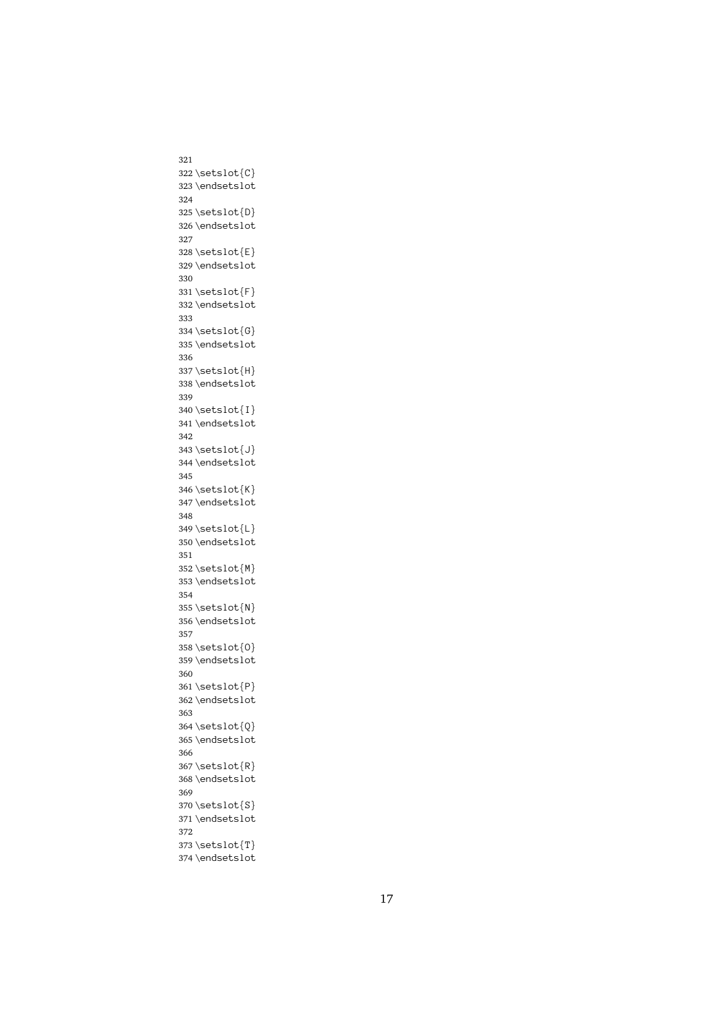```
322 \setminus \setminus \setminus \setminus \setminus \set\endsetslot<br>\setslot{D}<br>\endsetslot
323\endsetslot
           \setslot{D}<br>\setslot{D}<br>\endsetslot<br>\setslot{E}
324
 325 \endsetslot<br>\setslot{E}<br>\endsetslot
326 \endsetslot
           \setslot\{E\}<br>\endsetslot<br>\setslot\{F\}327
 328 \endsetslot<br>\setslot{F}<br>\endsetslot
329 \endsetslot
           \setslot\textsf{F}\end{set}<br>\endsetslot<br>\setslot\textsf{G}\end{set}330
 331 :<br>
332 \endsetslot<br>
333<br>
333 \setslot{G}<br>
335 \endsetslot<br>
336
           \setslot{G}<br>\endsetslot<br>\endsetslot<br>\setslot{H}
333
334 \setslot\{G\}335 \endsetslot<br>336<br>336<br>337 \setslot{H}<br>338 \endsetslot<br>339
           \setslot\{H\} \end{stackrel{\infty}{\setslot}}336
337\setslot{H}
           \endsetslot<br>\setslot{I}<br>\endsetslot
338 \endsetslot
 339<br>340 \setslot{I}<br>341 \endsetslot<br>342<br>343 \setslot{J}
339
 340 \endsetslot<br>\setslot{J}<br>\endsetslot
341\endsetslot
           \setslot\cup<br>\endsetslot<br>\setslot\{K\}342
 %344\endsetslot<br>345<br>345<br>346\setslot{K}<br>347\endsetslot<br>348
           \setslot{K}<br>\endsetslot<br>\endsetslot<br>\setslot{L}
345
346\setslot{K}
           \endsetslot<br>\setslot{L}<br>\endsetslot
347\endsetslot
           \setslot{L}<br>\endsetslot<br>\setslot{M}
348
 349 \setslot{L}
350 \setslot\mathbb{M}<br>\endsetslot<br>\setslot\mathbb{N}351
352 \setslot{M}
 953<br>
353<br>
353<br>
354<br>
355<br>
354<br>
356<br>
Setslot<br>
357
           \setslot{N}<br>\endsetslot<br>\endsetslot<br>\setslot{0}
354
355 \setslot{N}
 356\endsetslot<br>357<br>358\setslot{0}<br>359\endsetslot<br>360
 357<br>358 \setslot{0}<br>359 \endsetslot<br>360<br>361 \setslot{P}
357
358 \setslot {0}
           \endsetslot<br>\setslot{P}<br>\endsetslot
359 \endsetslot
           \setslot\{P\}<br>\endsetslot<br>\setslot\{Q\}360
 -<br>
Sa2 \endsetslot<br>
362 \endsetslot<br>
363<br>
364 \setslot<br>
366<br>
366
           \setslot{Q}<br>\setslot{Q}<br>\endsetslot<br>\setslot{R}
363
 364 955<br>
365<br>
365<br>
366<br>
367<br>
368<br>
269<br>
369<br>
369
           \setslot{R}<br>\endsetslot<br>\endsetslot<br>\setslot{S}
366
367 \setminus \setminus \setminus \setminus \setminus \setminus \setminus \set\endsetslot<br>\setslot{S}<br>\endsetslot
368 \endsetslot
 369<br>370 \setslot{S}<br>371 \endsetslot<br>372<br>373 \setslot{T}
369
 370 \endsetslot<br>\setslot{T}<br>\endsetslot
371\endsetslot
           \setslot{T}<br>\endsetslot<br>}
372
 374\endsetslot
           \overline{\phantom{a}}
```
321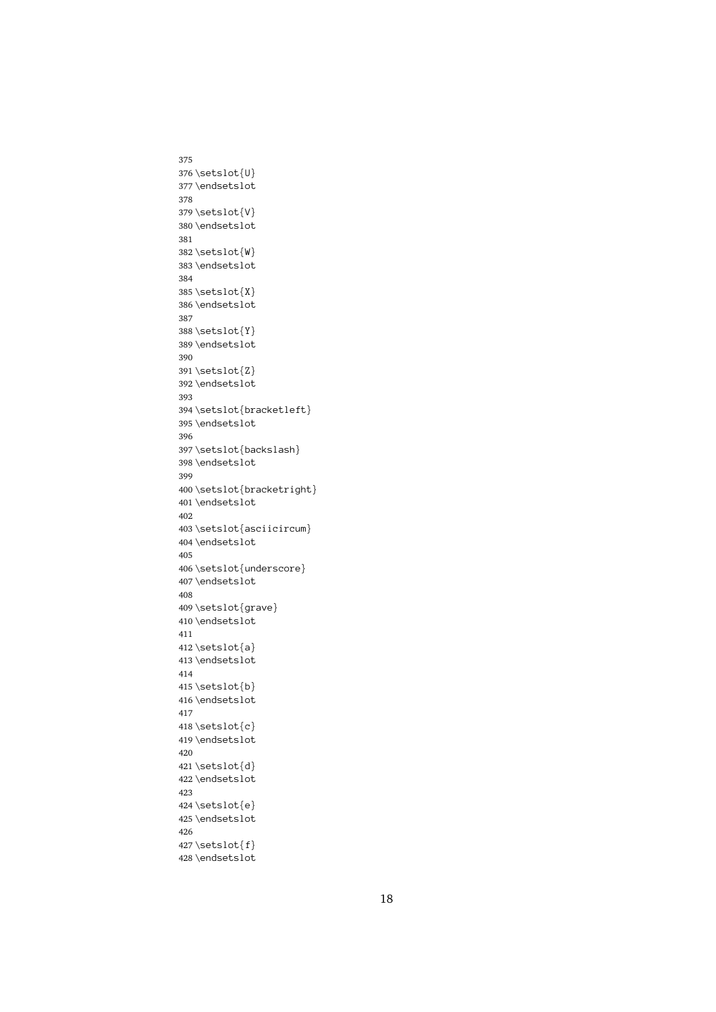```
375
376\setslot{U}
         \endsetslot<br>\setslot{V}<br>\endsetslot
377\endsetslot
         \setslot{V}<br>\endsetslot<br>\endsetslot<br>\setslot{W}
378
 379 \endsetslot<br>\setslot{W}<br>\endsetslot
380 \endsetslot
         \setslot\text{W}<br>\endsetslot<br>\setslot\text{X}381
 382 \endsetslot<br>\setslot{X}<br>\endsetslot
383 \endsetslot
         \setslot\{X\}<br>\endsetslot<br>\setslot\{Y\}384
385 \setslot{X}\setslot{X}
386 \setslot{Y}<br>\endsetslot<br>\endsetslot<br>\setslot{Z}
387
388 \setslot{Y}
 389\endsetslot<br>390<br>391\setslot{Z}<br>392\endsetslot<br>393
         \setslot\{Z\}<br>\endsetslot<br>\setslot\{br390
391\setslot{Z}
         \endsetslot<br>\setslot{br<br>\endsetslot
392 \endsetslot
         \setslot{br<br>\endsetslot<br>\setslot{ba
393
 394 \endsetslot<br>\setslot{backslash}<br>\endsetslot<br>}
395 \endsetslot
         \setslot{ba<br>\endsetslot<br>\setslot{br
396
 397 \endsetslot<br>\setslot{bracketrig<br>\endsetslot
398 \endsetslot
         \setslot{br<br>\setslot{br<br>\endsetslot<br>\setslot{as
399
 400 \endsetslot<br>\setslot{asciicircum}<br>\endsetslot
401\endsetslot
         \setslot{as<br>\endsetslot<br>\setslot{un
402
 403 \endsetslot<br>\setslot{underscore}<br>\endsetslot
404 \endsetslot
         \setslot{un<br>\endsetslot<br>\setslot{gr
405
 406 \endsetslot<br>\setslot{grave}<br>\endsetslot
407\endsetslot
         \setslot{gr<br>\setslot{gr<br>\endsetslot<br>\setslot{a}
408
 409 410 \endsetslot<br>411<br>412 \setslot{a}<br>413 \endsetslot<br>414
 411<br>412 \setslot{a}<br>413 \endsetslot<br>414<br>415 \setslot{b}
411
412 \setminus \text{sd} \setminus \{a\}\endsetslot<br>\setslot{b}<br>\endsetslot
413 \endsetslot
         \setslot\bigr\{\mathfrak{b}\}\<br>\endsetslot<br>\setslot\cigr\}414
         \endsetslot<br>\setslot{c}<br>\endsetslot
 416 \setslot{c}<br>\setslot{c}<br>\endsetslot<br>\setslot{d}
417
 418 \endsetslot<br>\setslot{d}<br>\endsetslot
419 \endsetslot
         \setslot{d}<br>\endsetslot<br>\endsetslot<br>\setslot{e}
420
 421 \endsetslot<br>\setslot{e}<br>\endsetslot
422 \endsetslot
         \setslot\{e\}<br>\endsetslot<br>\setslot\{f\}423
 424 As<br>
Also \endsetslot<br>
425<br>
Also \endsetslot<br>
428<br>
\endsetslot<br>
428
         \setslot\{f\}<br>\endsetslot
426
 427 428\endsetslot
         \overline{\phantom{a}}
```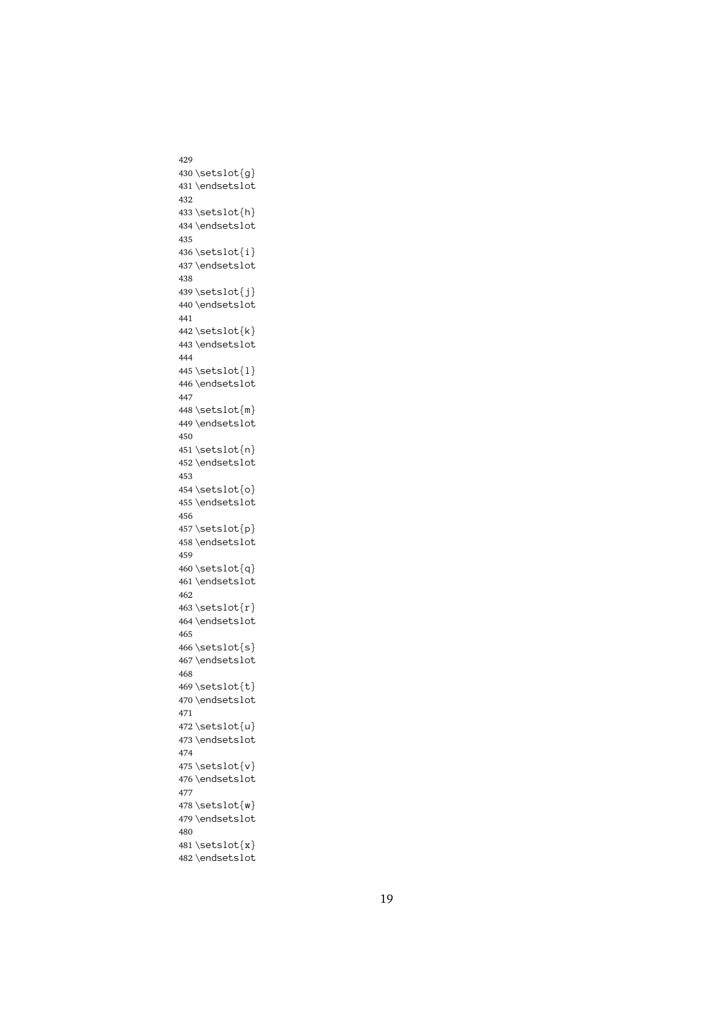```
430 \setminus \text{self}431 \endsetslot<br>432<br>432 \setslot{h}<br>434 \endsetslot<br>435
         \setslot{h}<br>\setslot{h}<br>\endsetslot<br>\setslot{i}
432
433 \setslot{h}
         \endsetslot<br>\setslot{i}<br>\endsetslot
434 \endsetslot
         \setslot\{i\}<br>\endsetslot<br>\setslot\{j\}435
 436 \endsetslot<br>\setslot{j}<br>\endsetslot
437 \endsetslot
         \setslot\{j\}<br>\endsetslot<br>\setslot\{k\}438
439 \setslot{j}440 \endsetslot<br>440 \endsetslot<br>441<br>443 \endsetslot<br>444
         \endsetslot
441
442 \setminus \setminus \setminus \setminus \setminus \setminus \set443 \endsetslot<br>444<br>445 \setslot{l}<br>446 \endsetslot<br>447
         \setslot\{\n1\}<br>\endsetslot<br>\setslot\{\mathsf{m}\}444
445 \setslot{1}
         \endsetslot<br>\setslot{m}<br>\endsetslot
446 \endsetslot
         \setslot\mathfrak{m}<br>\endsetslot<br>\setslot\mathfrak{n}447
 448 \endsetslot<br>\setslot{n}<br>\endsetslot
449 \endsetslot
         \setslot\{n\}<br>\endsetslot<br>\setslot\{o\}450
451 \setslot{n}
 452\endsetslot<br>453<br>453<br>454\setslot{0}<br>455\endsetslot<br>456
         \setslot{o}<br>\setslot{o}<br>\endsetslot<br>\setslot{p}
453
454 \setminus \setminus \setminus \setminus \setminus \set\endsetslot<br>\setslot{p}<br>\endsetslot
455 \endsetslot
         \setslot\text{o} \endsetslot\text{o}456
 457 958<br>
A58<br>
A68<br>
A69<br>
A69<br>
A62<br>
A62
         \endsetslot
459
460\setminussetslot\{q\}999<br>461 \endsetslot<br>462<br>463 \setslot{r}<br>464 \endsetslot<br>465
         \setslot\{r\}<br>\endsetslot\setminussetslot\setminussetslot\setminussetslot\setminussetslot
462
 463 464\endsetslot<br>465<br>465\setslot{s}<br>467\endsetslot<br>468
         \setslot\\setslot\\setslot\\setslot\{t\}465
466 \setminus \set{s}\endsetslot<br>\setslot{t}<br>\endsetslot
467\endsetslot
         \setslot\mathcal{t}<br>\endsetslot<br>\setslot\mathcal{u}}
468
 469 \endsetslot<br>\setslot{u}<br>\endsetslot
470 \endsetslot
         \setslot{u}<br>\setslot{u}<br>\endsetslot<br>\setslot{v}
471
 472 \endsetslot<br>\setslot{v}<br>\endsetslot
473 \endsetslot
         \setslot{v}<br>\setslot{v}<br>\endsetslot<br>\setslot{w}
474
 475 \endsetslot<br>\setslot{w}<br>\endsetslot
476 \endsetslot
         \setslot{w}<br>\endsetslot<br>\setslot{x}477
 478 \endsetslot<br>\setslot{x}<br>\endsetslot
479 \endsetslot
         \setslot\{x\}<br>\endsetslot
480
481\setminussetslot\{x\}Assetslot
         \overline{\phantom{a}}
```
429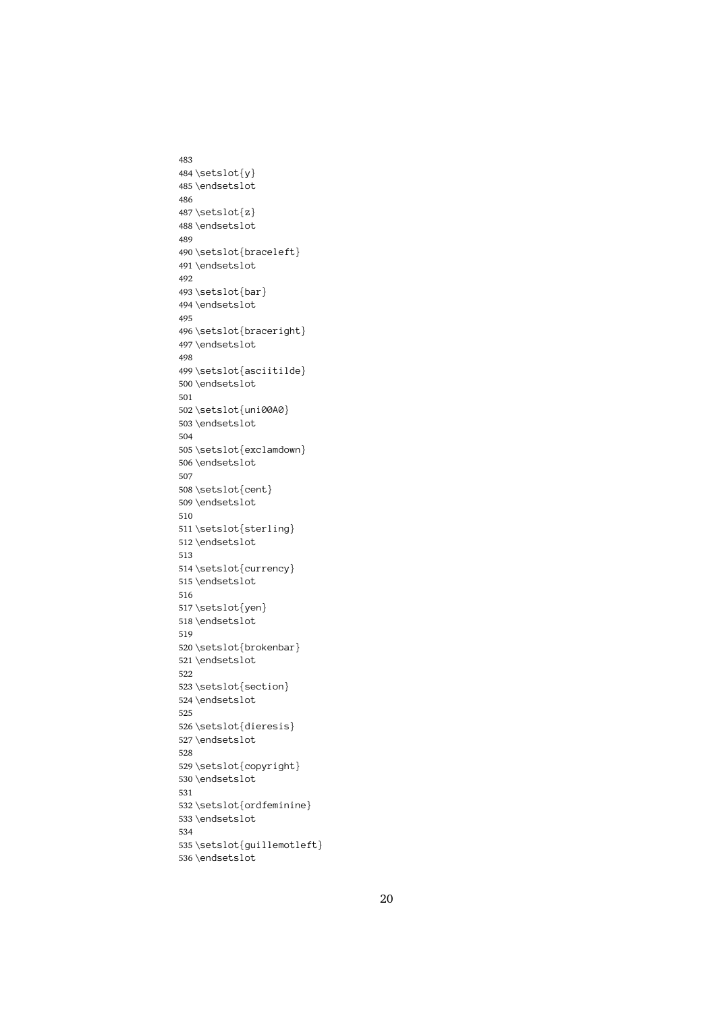```
483
484 \setslot\{y\}485\endsetslot<br>486<br>487\setslot{z}<br>488\endsetslot<br>489
        \setslot{z}<br>\endsetslot<br>\endsetslot<br>\setslot{br
486
487\setslot{z}
        \endsetslot<br>\setslot{br<br>\endsetslot
488 \endsetslot
        \setslot{br<br>\endsetslot<br>\setslot{ba
489
 490 \endsetslot<br>\setslot{bar}<br>\endsetslot
491 \endsetslot
        \setslot{ba<br>\endsetslot<br>\setslot{br
492
 493 :<br>
494 \endsetslot<br>
495<br>
496 \setslot{brac<br>
497 \endsetslot<br>
498
        \setslot{br<br>\setslot{br<br>\endsetslot<br>\setslot{as
495
496 \setslot{braceright}
        \endsetslot<br>\setslot{asciitilde}<br>\endsetslot
 497 \setslot{as<br>\endsetslot<br>\setslot{un
498
 499 \endsetslot<br>\setslot{uni00A0}<br>\endsetslot
500 \endsetslot
        \setslot{un<br>\endsetslot<br>\setslot{ex
501
 502 \endsetslot<br>\setslot{exclamdo<br>\endsetslot
503 \endsetslot
        \setslot{ex<br>\endsetslot<br>\setslot{ce
504
 505 \endsetslot<br>\setslot{cent}<br>\endsetslot
506 \endsetslot
        \setslot{ce<br>\setslot{ce<br>\endsetslot<br>\setslot{st
507
 508 \endsetslot<br>\setslot{sterl<br>\endsetslot
509 \endsetslot
        \setslot{st<br>\endsetslot<br>\setslot{cu
510
 511 \endsetslot<br>\setslot{currency}<br>\endsetslot
 512 \setslot{cu<br>\endsetslot<br>\setslot{ye
513
 514 \endsetslot<br>\setslot{yen}<br>\endsetslot
515 \endsetslot
        \setslot{ye<br>\setslot{ye<br>\endsetslot<br>\setslot{br
516
 517 \endsetslot<br>\setslot{brok<br>\endsetslot
518 \endsetslot
        \setslot{br<br>\endsetslot<br>\setslot{se
519
 520 \endsetslot<br>\setslot{section}<br>\endsetslot
521 \endsetslot
        \setslot{se<br>\endsetslot<br>\setslot{di
522
 523 \endsetslot<br>\setslot<br>setslot{dieresis<br>\endsetslot
524 \endsetslot
        \setslot{di<br>\setslot{di<br>\endsetslot<br>\setslot{co
525
 526 \endsetslot<br>\setslot{copyright<br>\endsetslot
527\endsetslot
        \setslot{co<br>\setslot{co<br>\endsetslot<br>\setslot{or
528
 529 \endsetslot<br>\setslot{ordfeminin<br>\endsetslot
530 \endsetslot
        \setslot{or<br>\endsetslot<br>\setslot{gu
531
 532 \endsetslot<br>\setslot{guillemotlef<br>\endsetslot
533 \endsetslot
        \<br>\setslot{gu<br>\endsetslot
534
 535 \text{G}<br>\endsetslot
536 \endsetslot
```
 $\overline{\phantom{a}}$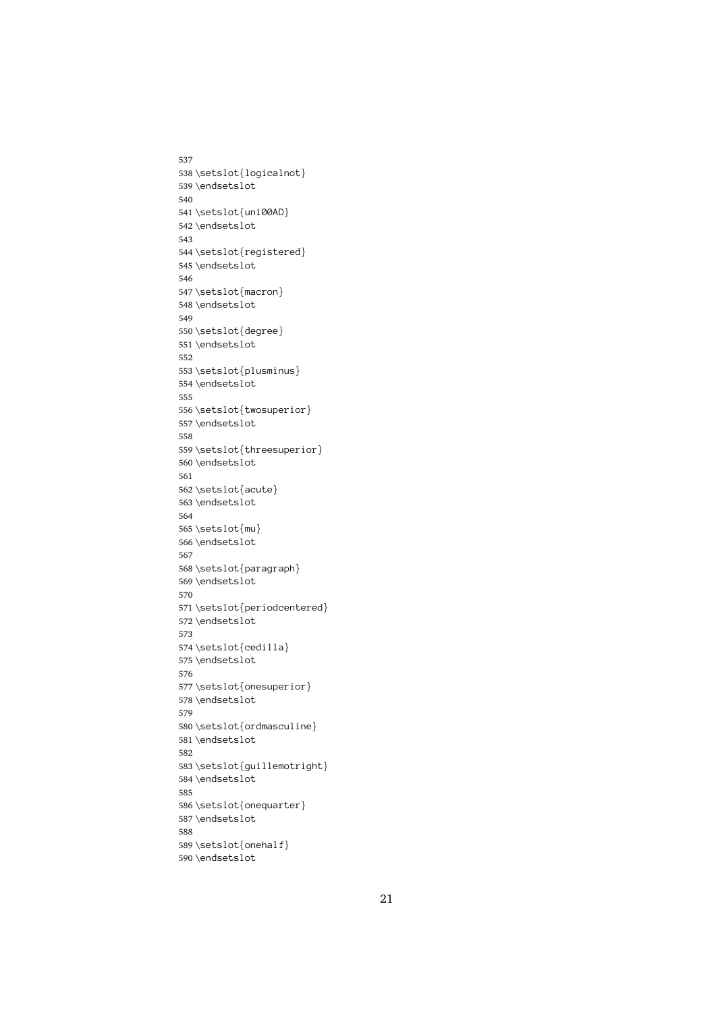537 538\setslot{logicalnot} \endsetslot<br>\setslot{uni00AD}<br>\endsetslot 539 \endsetslot \setslot{un<br>\setslot{un<br>\endsetslot<br>\setslot{re 540 541 \endsetslot<br>\setslot{register<br>\endsetslot 542 \endsetslot \setslot{re<br>\endsetslot<br>\setslot{ma 543 544 \endsetslot<br>\setslot{macron}<br>\endsetslot 545 \endsetslot \setslot{ma<br>\endsetslot<br>\setslot{de 546 547 \endsetslot<br>\setslot{degree}<br>\endsetslot 548 \endsetslot \setslot{de<br>\setslot{de<br>\endsetslot<br>\setslot{pl 549 550 \endsetslot<br>\setslot{plusmin<br>\endsetslot 551 \setslot{pl<br>\endsetslot<br>\setslot{tw 552 553 \endsetslot<br>\setslot{twosuperio<br>\endsetslot 554 \endsetslot \setslot{tw<br>\endsetslot<br>\setslot{th 555 556 \endsetslot<br>\setslot{threesuperior}<br>\endsetslot 557\endsetslot \setslot{th<br>\endsetslot<br>\setslot{ac 558 559 \endsetslot<br>\setslot{acute}<br>\endsetslot 560 \endsetslot \setslot{ac<br>\endsetslot<br>\setslot{mu 561 562 \endsetslot<br>\setslot{mu}<br>\endsetslot 563 \endsetslot \setslot{mu<br>\endsetslot<br>\setslot{pa 564 565 \endsetslot<br>\setslot{par<br>\endsetslot 566\endsetslot \setslot{pa<br>\endsetslot<br>\setslot{pe 567 568 \endsetslot<br>\setslot{periodcent<br>\endsetslot<br>} 569 \setslot{pe<br>\setslot{pe<br>\endsetslot<br>\setslot{ce 570 571 \endsetslot<br>\setslot{cedilla}<br>\endsetslot 572 \endsetslot \setslot{ce<br>\endsetslot<br>\setslot{on 573 574 \endsetslot<br>\setslot{onesuper<br>\endsetslot 575 \endsetslot \setslot{on<br>\endsetslot<br>\setslot{or 576 577 \endsetslot<br>\setslot{ordmasculine<br>\endsetslot 578 \endsetslot \setslot{or<br>\setslot{or<br>\endsetslot<br>\setslot{gu 579 580 \endsetslot<br>\setslot{guillemotrigh<br>\endsetslot 581\endsetslot \setslot{gu}<br>\setslot{gu}<br>\endsetslot<br>\setslot{on 582 583 \endsetslot<br>\setslot{onequarter}<br>\endsetslot 584 \endsetslot \setslot{on<br>\endsetslot<br>\setslot{on 585 586 \endsetslot<br>\setslot{onehalf}<br>\endsetslot 587\endsetslot \setslot{on<br>\endsetslot<br>\endsetslot 588 589 590\endsetslot

 $\overline{\phantom{a}}$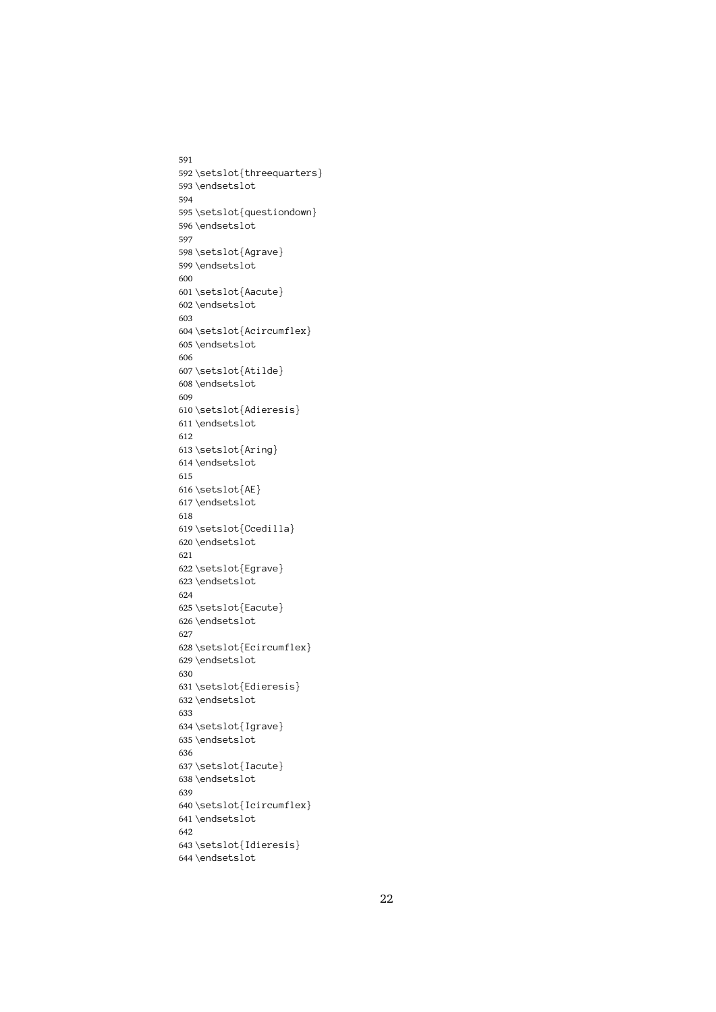591 592 \setslot{threequarters} \endsetslot<br>\setslot{questiondown}<br>\endsetslot 593 \endsetslot \setslot{qu<br>\setslot{qu<br>\endsetslot<br>\setslot{Ag 594 595 \endsetslot<br>\setslot{Agrave}<br>\endsetslot 596 \endsetslot \setslot{Ag<br>\endsetslot<br>\setslot{Aa 597 598 \endsetslot<br>\setslot{Aacute}<br>\endsetslot 599 \endsetslot \setslot{Aa<br>\endsetslot<br>\setslot{Ac 600 601 \endsetslot<br>\setslot{Acircum<br>\endsetslot 602 \endsetslot \setslot{Ac<br>\endsetslot<br>\endsetslot<br>\setslot{At 603 604 \endsetslot<br>\setslot{Atilde}<br>\endsetslot 605 \setslot{At<br>\endsetslot<br>\setslot{Ad 606 607 \endsetslot<br>\setslot{Adieres<br>\endsetslot 608 \endsetslot \setslot{Ad<br>\endsetslot<br>\setslot{Ar 609 610 \endsetslot<br>\setslot<br>\setslot{Aring}<br>\endsetslot 611\endsetslot \setslot{Ar<br>\endsetslot<br>\setslot{AE 612 613 614 \endsetslot<br>615<br>615<br>616 \setslot{AE}<br>617 \endsetslot<br>618 \setslot{AE<br>\endsetslot<br>\endsetslot<br>\setslot{Cc 615 616 \setslot{AE} \endsetslot<br>\setslot{Cce<br>\endsetslot 617\endsetslot \setslot{Cc<br>\endsetslot<br>\setslot{Eg 618 619 \endsetslot<br>\setslot{Egrave}<br>\endsetslot 620\endsetslot \setslot{Eg<br>\endsetslot<br>\setslot{Ea 621 622 \endsetslot<br>\setslot{Eacute}<br>\endsetslot 623 \endsetslot \setslot{Ea<br>\endsetslot<br>\endsetslot<br>\setslot{Ec 624 625 \endsetslot<br>\setslot{Ecircum<br>\endsetslot 626 \endsetslot \setslot{Ec<br>\endsetslot<br>\setslot{Ed 627 628 \endsetslot<br>\setslot{Edieresis}<br>\endsetslot 629 \endsetslot \setslot{Ed<br>\endsetslot<br>\setslot{Ig 630 631 \endsetslot<br>\setslot{Igrave}<br>\endsetslot 632 \endsetslot \setslot{Ig<br>\setslot{Ig<br>\endsetslot<br>\setslot{Ia 633 634 \endsetslot<br>\setslot{Iacute}<br>\endsetslot 635 \endsetslot \setslot{Ia<br>\setslot{Ia<br>\endsetslot<br>\setslot{Ic 636 637 \endsetslot<br>\setslot{Icircum<br>\endsetslot 638 \endsetslot \setslot{Ic<br>\endsetslot<br>\setslot{Id 639 640 \endsetslot<br>\setslot{Idieresis}<br>\endsetslot 641\endsetslot \setslot{Id<br>\endsetslot<br>\endsetslot 642 643 \endsetslot<br>\endsetslot 644 \endsetslot  $\overline{\phantom{a}}$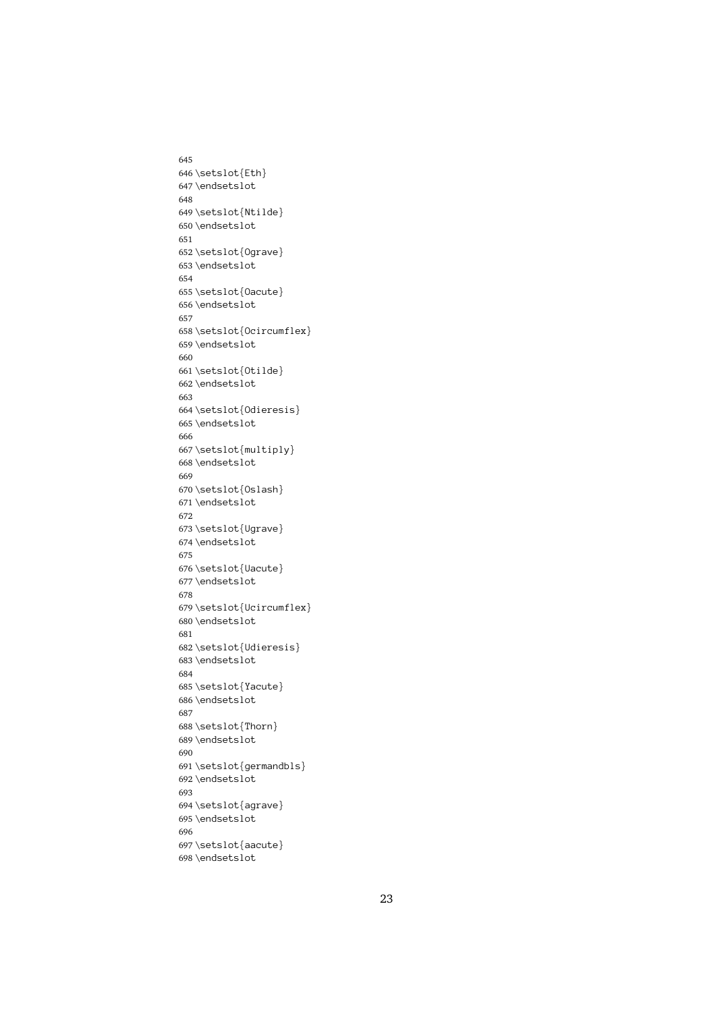```
645
646 \setslot{Eth}
        \endsetslot<br>\setslot{Ntil<br>\endsetslot
647\endsetslot
        \setslot{Nt<br>\endsetslot<br>\endsetslot<br>\setslot{0g
648
 649 \endsetslot<br>\setslot{Ograve}<br>\endsetslot
650 \endsetslot
        \setslot{Og<br>\endsetslot<br>\setslot{Oa
651
 652 \endsetslot<br>\setslot{Oacute}<br>\endsetslot
653 \endsetslot
        \setslot{0a<br>\endsetslot<br>\setslot{0c
654
 655 \endsetslot<br>\setslot{Ocircum<br>\endsetslot
 656 \setslot{0c<br>\setslot{0c<br>\endsetslot<br>\setslot{0t
657
 658 \endsetslot<br>\setslot{Otilde}<br>\endsetslot
 659 \setslot{0t<br>\endsetslot<br>\setslot{0d
660
 661 \endsetslot<br>\setslot{Odieres<br>\endsetslot
662\endsetslot
        \setslot{Od<br>\endsetslot<br>\setslot{mu
663
 664 \endsetslot<br>\setslot{multiply}<br>\endsetslot<br>Dendsetslot
665 \endsetslot
        \setslot{mu<br>\endsetslot<br>\setslot{0s
666
 667 \endsetslot<br>\setslot{0slash}<br>\endsetslot
668\endsetslot
        \setslot{Os<br>\setslot{Os<br>\endsetslot<br>\setslot{Ug
669
 670 \endsetslot<br>\setslot{Ugrave}<br>\endsetslot
671\endsetslot
        \setslot{Ug\<br>endsetslot<br>\setslot{Ua
672
 673 \endsetslot<br>\setslot{Uacute}<br>\endsetslot
674 \endsetslot
        \setslot{Ua<br>\endsetslot<br>\setslot{Uc
675
 676 \endsetslot<br>\setslot{Ucircum<br>\endsetslot
 677 \setslot{Uc<br>\setslot{Uc<br>\endsetslot<br>\setslot{Ud
678
 679 \endsetslot<br>\setslot{Udieresis}<br>\endsetslot
680\endsetslot
        \setslot{Ud<br>\endsetslot<br>\setslot{Ya
681
 682 \endsetslot<br>\setslot{Yacute}<br>\endsetslot
683\endsetslot
        \setslot{Ya<br>\endsetslot<br>\setslot{Th
684
 685 \endsetslot<br>\setslot{Thorn}<br>\endsetslot
686\endsetslot
        \setslot{Th<br>\endsetslot<br>\setslot{ge
687
 688 \endsetslot<br>\setslot{german<br>\endsetslot
689 \endsetslot
        \setslot{ge<br>\setslot{ge<br>\endsetslot<br>\setslot{ag
690
 691 \endsetslot<br>\setslot{agrave}<br>\endsetslot
692 \endsetslot
        \setslot{ag<br>\endsetslot<br>\setslot{aa
693
 694 \endsetslot<br>\setslot{aacute}<br>\endsetslot
695\endsetslot
        \<br>\setslot{aa<br>\endsetslot
696
 697 698\endsetslot<br>698\endsetslot
```
 $\overline{\phantom{a}}$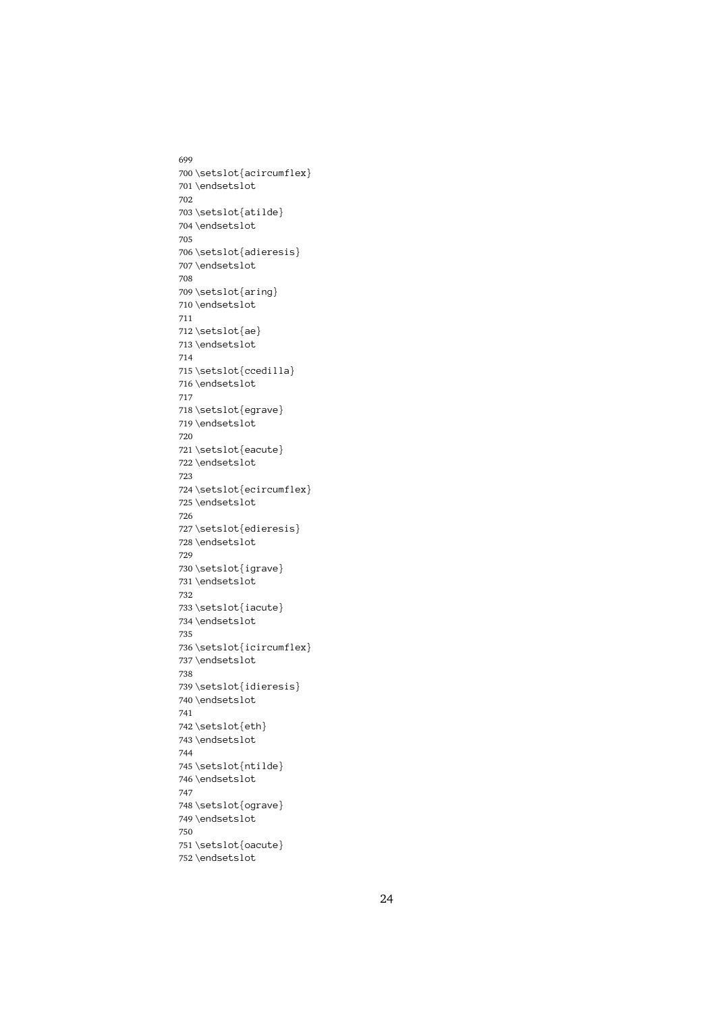699 700\setslot{acircumflex} \endsetslot<br>\setslot{atilde}<br>\endsetslot 701\endsetslot \setslot{at<br>\endsetslot<br>\setslot{ad 702 703 \endsetslot<br>\setslot{adieres<br>\endsetslot 704 \endsetslot \setslot{ad<br>\endsetslot<br>\setslot{ar 705 706 \endsetslot<br>\setslot{aring}<br>\endsetslot 707\endsetslot \setslot{ar<br>\endsetslot<br>\setslot{ae 708 709 710 \endsetslot<br>711<br>712 \setslot{ae}<br>713 \endsetslot<br>714 \setslot{ae<br>\endsetslot<br>\setslot{cc 711 712 \setslot{ae} \endsetslot<br>\setslot{cce<br>\endsetslot 713 \endsetslot \setslot{cc<br>\endsetslot<br>\setslot{eg 714 715 \endsetslot<br>\setslot{egrave}<br>\endsetslot 716 \endsetslot \setslot{eg<br>\endsetslot<br>\setslot{ea 717 718 \endsetslot<br>\setslot{eacute}<br>\endsetslot 719 \endsetslot \setslot{ea<br>\endsetslot<br>\setslot{ec 720 721 \endsetslot<br>\setslot{ecircum<br>\endsetslot 722 \endsetslot \setslot{ec<br>\setslot{ec<br>\endsetslot<br>\setslot{ed 723 724 \endsetslot<br>\setslot{edieresis}<br>\endsetslot 725 \endsetslot \setslot{ed<br>\endsetslot<br>\setslot{ig 726 727 \endsetslot<br>\setslot{igrave}<br>\endsetslot 728 \endsetslot \setslot $\{\n \}$ <br>\endsetslot $\setminus \{\n \}$ 729 730 \endsetslot<br>\setslot{iacute}<br>\endsetslot 731 \setslot{ia<br>\setslot{ia<br>\endsetslot<br>\setslot{ic 732 733 \endsetslot<br>\setslot{icircum<br>\endsetslot 734 \endsetslot \setslot{ic<br>\endsetslot<br>\setslot{id 735 736 \endsetslot<br>\setslot{idieresis}<br>\endsetslot 737\endsetslot \setslot{id<br>\endsetslot<br>\setslot{et 738 739 \endsetslot<br>\setslot<br>\setslot{eth}<br>\endsetslot 740 \endsetslot \setslot{et}<br>\setslot{et}<br>\endsetslot}<br>\setslot{nt} 741 742 \endsetslot<br>\setslot{ntil<br>\endsetslot 743 \endsetslot \setslot{nt<br>\endsetslot<br>\endsetslot<br>\setslot{og 744 745 \endsetslot<br>\setslot{ograve}<br>\endsetslot 746 \endsetslot \setslot{og<br>\endsetslot<br>\setslot{oa 747 748 \endsetslot<br>\setslot{oacute}<br>\endsetslot 749 \endsetslot \setslot{oa<br>\endsetslot<br>\endsetslot 750 751 752\endsetslot  $\overline{\phantom{a}}$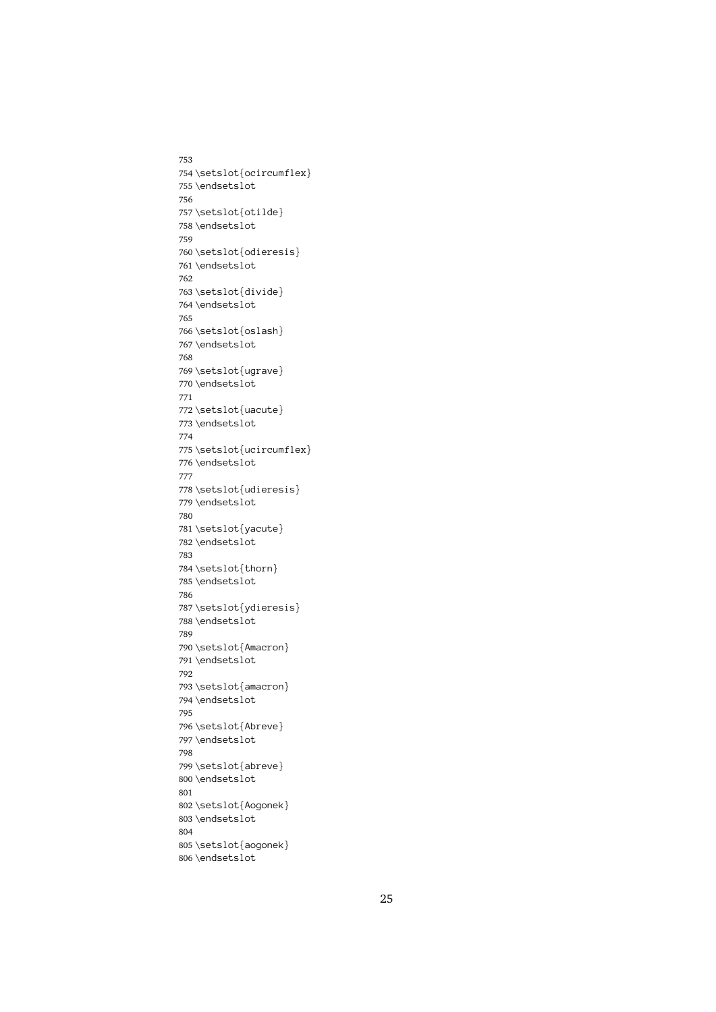753 754\setslot{ocircumflex} \endsetslot<br>\setslot{otilde}<br>\endsetslot 755 \endsetslot \setslot{ot}<br>\setslot{ot}<br>\endsetslot} 756 757 \endsetslot<br>\setslot{odieres<br>\endsetslot 758 \endsetslot \setslot{od<br>\endsetslot<br>\setslot{di 759 760 \endsetslot<br>\setslot{divide}<br>\endsetslot 761\endsetslot \setslot{di<br>\endsetslot<br>\setslot{os 762 763 \endsetslot<br>\setslot{oslash}<br>\endsetslot 764 \endsetslot \setslot{os<br>\setslot{os<br>\endsetslot<br>\setslot{ug 765 766 \endsetslot<br>\setslot{ugrave}<br>\endsetslot 767 \setslot{ug<br>\endsetslot<br>\setslot{ua 768 769 \endsetslot<br>\setslot{uacute}<br>\endsetslot 770\endsetslot \setslot{ua<br>\endsetslot<br>\setslot{uc 771 772 \endsetslot<br>\setslot{ucircum<br>\endsetslot 773 \endsetslot \setslot{uc<br>\endsetslot<br>\setslot{ud 774 775 \endsetslot<br>\setslot{udieresis}<br>\endsetslot 776\endsetslot \setslot{ud<br>\endsetslot<br>\setslot{ya 777 778 \endsetslot<br>\setslot{yacute}<br>\endsetslot 779 \endsetslot \setslot{ya<br>\endsetslot<br>\setslot{th 780 781 \endsetslot<br>\setslot{thorn}<br>\endsetslot 782\endsetslot \setslot{th<br>\endsetslot<br>\setslot{yd 783 784 \endsetslot<br>\setslot<br>\setslot{ydiere<br>\endsetslot 785 \endsetslot \setslot{yd<br>\endsetslot<br>\setslot{Am 786 787 \endsetslot<br>\setslot{Amacron}<br>\endsetslot 788 \endsetslot \setslot{Am<br>\endsetslot<br>\setslot{am 789 790 \endsetslot<br>\setslot{amacron}<br>\endsetslot 791\endsetslot \setslot{am<br>\endsetslot<br>\setslot{Ab 792 793 \endsetslot<br>\setslot<br>\setslot{Abreve}<br>\endsetslot 794 \endsetslot \setslot{Ab<br>\endsetslot<br>\setslot{ab 795 796 \endsetslot<br>\setslot{abreve}<br>\endsetslot 797\endsetslot \setslot{ab<br>\endsetslot<br>\setslot{Ao 798 799 \endsetslot<br>\setslot{Aogonek<br>\endsetslot 800 \endsetslot \setslot{Ao<br>\endsetslot<br>\setslot{ao 801 802 \endsetslot<br>\setslot{aogonek}<br>\endsetslot 803\endsetslot \<br>\setslot{ao<br>\endsetslot 804 805 806\endsetslot  $\overline{\phantom{a}}$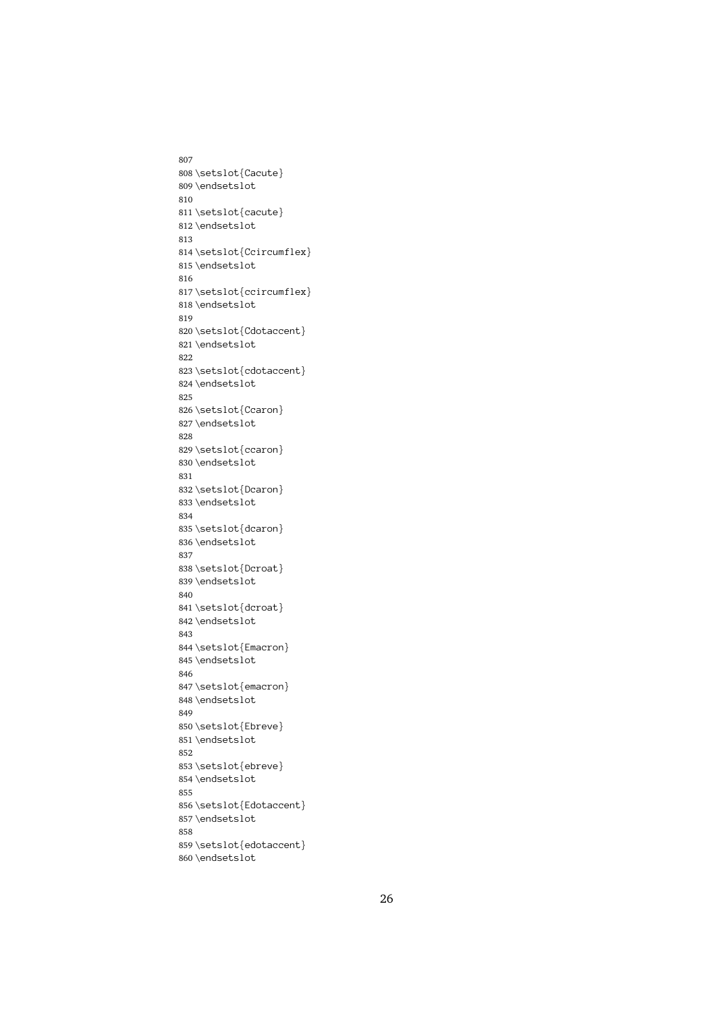```
807
808\setslot{Cacute}
        \endsetslot<br>\setslot{cacute}<br>\endsetslot
809 \endsetslot
        \setslot{ca<br>\endsetslot<br>\endsetslot<br>\setslot{Cc
810
 811 \endsetslot<br>\setslot{Ccircum<br>\endsetslot
812\endsetslot
        \setslot{Cc<br>\endsetslot<br>\setslot{cc
813
 814 \endsetslot<br>\setslot{ccircumflex}<br>\endsetslot
815\endsetslot
        \setslot{cc<br>\endsetslot<br>\setslot{Cd
816
 817 \endsetslot<br>\setslot{Cdotaccent}<br>\endsetslot
 818 \setslot{Cd<br>\endsetslot<br>\setslot{cd
819
 820 \endsetslot<br>\setslot{cdotaccent}<br>\endsetslot
821\endsetslot
        \setslot{cd<br>\endsetslot<br>\setslot{Cc
822
 823 \endsetslot<br>\setslot{Ccaron}<br>\endsetslot
824 \endsetslot
        \setslot{Cc<br>\endsetslot<br>\setslot{cc
825
 826 \endsetslot<br>\setslot{ccaron}<br>\endsetslot
827\endsetslot
        \setslot{cc<br>\endsetslot<br>\setslot{Dc
828
 829 \endsetslot<br>\setslot{Dcaron}<br>\endsetslot
830 \endsetslot
        \setslot{Dc<br>\setslot{Dc<br>\endsetslot<br>\setslot{dc
831
 832 \endsetslot<br>\setslot{dcaron}<br>\endsetslot
833 \endsetslot
        \setslot{dc<br>\endsetslot<br>\setslot{Dc
834
 835 \endsetslot<br>\setslot{Dcroat}<br>\endsetslot
836\endsetslot
        \setslot{Dc<br>\endsetslot<br>\setslot{dc
837
 838 \endsetslot<br>\setslot{dcroat}<br>\endsetslot
839 \endsetslot
        \setslot{dc<br>\setslot{dc<br>\endsetslot<br>\setslot{Em
840
 841 \endsetslot<br>\setslot{Emacron<br>\endsetslot
842 \endsetslot
        \setslot{Em<br>\endsetslot<br>\setslot{em
843
 844 \endsetslot<br>\setslot{emacron}<br>\endsetslot
845 \endsetslot
        \setslot{em<br>\endsetslot<br>\setslot{Eb
846
 847 \endsetslot<br>\setslot<br>\setslot{Ebreve}<br>\endsetslot
848 \endsetslot
        \setslot{Eb<br>\setslot{Eb<br>\endsetslot<br>\setslot{eb
849
 850 \endsetslot<br>\setslot{ebreve}<br>\endsetslot
851\endsetslot
        \setslot{eb<br>\endsetslot<br>\endsetslot<br>\setslot{Ed
852
 853 \endsetslot<br>\setslot{Edotacc<br>\endsetslot
854 \endsetslot
        \setslot{Ed<br>\endsetslot<br>\setslot{ed
855
 856 \endsetslot<br>\setslot{edotaccent}<br>\endsetslot
857\endsetslot
        \setslot{ed<br>\endsetslot<br>\endsetslot
858
 859 \end{math}<br>endsetslot
860\endsetslot
        \overline{\phantom{a}}
```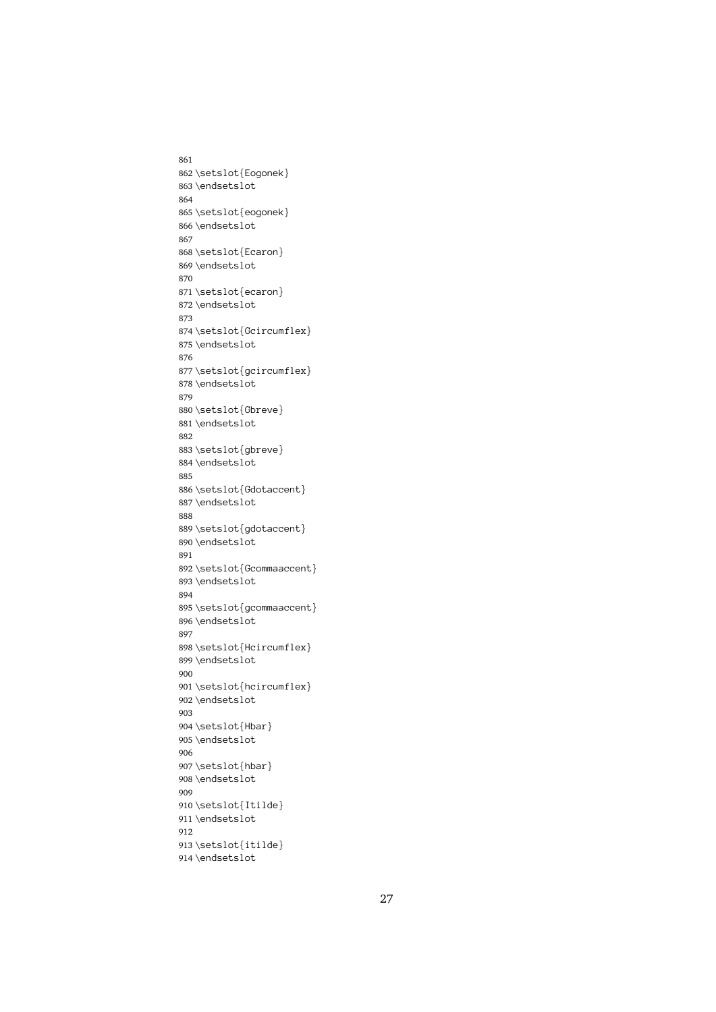861 862 \setslot{Eogonek} \endsetslot<br>\setslot{eogonek}<br>\endsetslot 863 \endsetslot \setslot{eo<br>\endsetslot<br>\setslot{Ec 864 865 \endsetslot<br>\setslot{Ecaron}<br>\endsetslot 866 \endsetslot \setslot{Ec<br>\endsetslot<br>\setslot{ec 867 868 \endsetslot<br>\setslot{ecaron}<br>\endsetslot 869\endsetslot \setslot{ec<br>\endsetslot<br>\setslot{Gc 870 871 \endsetslot<br>\setslot{Gcircum<br>\endsetslot 872 \endsetslot \setslot{Gc<br>\setslot{Gc<br>\endsetslot<br>\setslot{gc 873 874 \endsetslot<br>\setslot{gcircumflex}<br>\endsetslot 875 \setslot{gc<br>\endsetslot<br>\setslot{Gb 876 877 \endsetslot<br>\setslot{Gbreve}<br>\endsetslot 878 \endsetslot \setslot{Gb<br>\endsetslot<br>\setslot{gb 879 880 \endsetslot<br>\setslot{gbreve}<br>\endsetslot 881\endsetslot \setslot{gb<br>\endsetslot<br>\setslot{Gd 882 883 \endsetslot<br>\setslot{Gdotacc<br>\endsetslot 884 \endsetslot \setslot{Gd<br>\endsetslot<br>\setslot{gd 885 886 \endsetslot<br>\setslot{gdotaccent}<br>\endsetslot 887\endsetslot \setslot{gd<br>\endsetslot<br>\setslot{Gc 888 889 \endsetslot<br>\setslot{Gcommaaccen<br>\endsetslot 890 \setslot{Gc<br>\endsetslot<br>\setslot{gc 891 892 \endsetslot<br>\setslot{gcommaaccent}<br>\endsetslot 893 \setslot{gc<br>\setslot{gc<br>\endsetslot<br>\setslot{Hc 894 895 \endsetslot<br>\setslot{Hcircumflex}<br>\endsetslot 896\endsetslot \setslot{Hc<br>\endsetslot<br>\setslot{hc 897 898 \endsetslot<br>\setslot{hcircumflex}<br>\endsetslot 899 \endsetslot \setslot{hc<br>\endsetslot<br>\setslot{Hb 900 901 \endsetslot<br>\setslot{Hbar}<br>\endsetslot 902 \endsetslot \setslot{Hb<br>\endsetslot<br>\setslot{hb 903 904 \endsetslot<br>\setslot{hbar}<br>\endsetslot 905 \endsetslot \setslot{hb<br>\endsetslot<br>\setslot{It 906 907 \endsetslot<br>\setslot{Itild<br>\endsetslot 908 \endsetslot \setslot{It<br>\endsetslot<br>\setslot{it 909 910 \endsetslot<br>\setslot{itilde}<br>\endsetslot 911\endsetslot \setslot{it<br>\endsetslot<br>\endsetslot 912 913 914\endsetslot<br>914\endsetslot  $\overline{\phantom{a}}$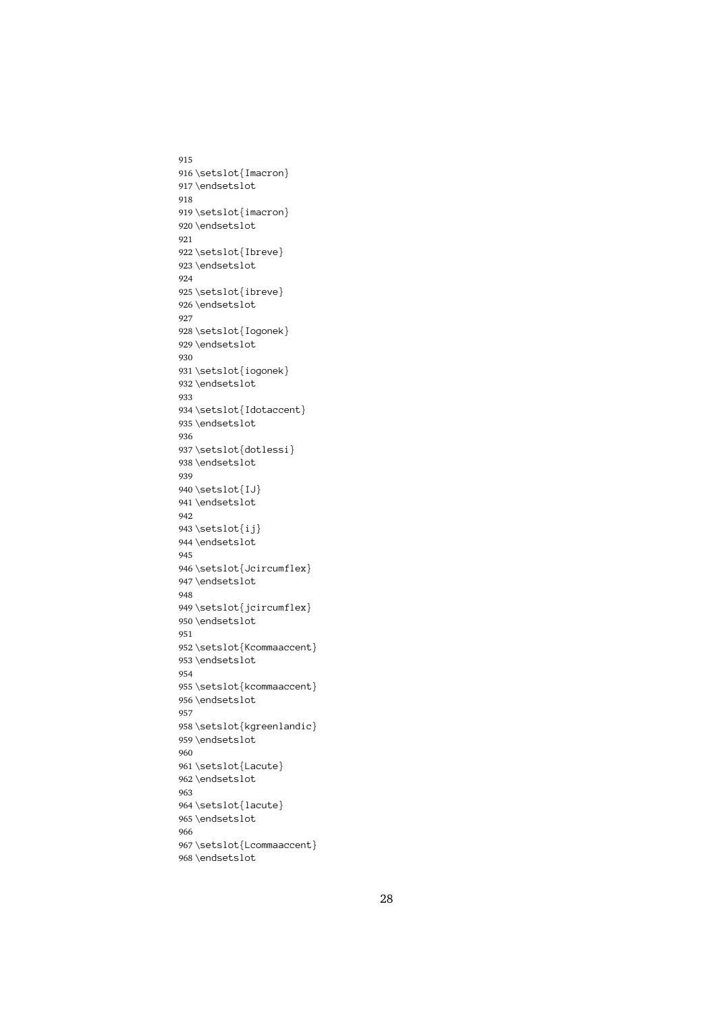```
915
916 \setslot{Imacron}
        \endsetslot<br>\setslot{imacron}<br>\endsetslot
917\endsetslot
        \setslot{im<br>\setslot{im<br>\endsetslot<br>\setslot{Ib
918
 919 \endsetslot<br>\setslot{Ibreve}<br>\endsetslot
920 \endsetslot
        \setslot{Ib<br>\endsetslot<br>\setslot{ib
921
 922 \endsetslot<br>\setslot{ibreve}<br>\endsetslot
923 \endsetslot
        \setslot{ib<br>\endsetslot<br>\setslot{Io
924
 925 \endsetslot<br>\setslot{Iogonek<br>\endsetslot
926\endsetslot
        \setslot{Io<br>\setslot{Io<br>\endsetslot<br>\setslot{io
927
 928 \endsetslot<br>\setslot{iogonek}<br>\endsetslot
 929 \setslot{io<br>\endsetslot<br>\setslot{Id
930
 931 \endsetslot<br>\setslot{Idotacce<br>\endsetslot
932 \endsetslot
        \setslot{Id<br>\endsetslot<br>\setslot{do
933
 934 \endsetslot<br>\setslot{dotlessi}<br>\endsetslot<br>#Idot
935 \endsetslot
        \setslot{do<br>\endsetslot<br>\setslot{IJ
936
 937 938 \endsetslot<br>939<br>940 \setslot{IJ}<br>941 \endsetslot<br>942
        \setslot{IJ<br>\endsetslot<br>\endsetslot<br>\setslot{ij
939
940\setslot{IJ}
        \endsetslot<br>\setslot{ij}<br>\endsetslot
941 \endsetslot
 942<br>943 \setslot{ij<br>944 \endsetslot<br>945<br>946 \setslot{Jc
942
 943 \endsetslot<br>\setslot{Jci<br>\endsetslot
944 \endsetslot
        \setslot{Jc<br>\endsetslot<br>\setslot{jc
945
        \endsetslot<br>\setslot{jcircumflex}<br>\endsetslot
 947 \setslot{jc<br>\setslot{jc<br>\endsetslot<br>\setslot{Kc
948
 949 \endsetslot<br>\setslot{Kcommaaccent<br>\endsetslot
950 \endsetslot
        \setslot{Kc<br>\endsetslot<br>\setslot{kc
951
 952 \endsetslot<br>\setslot{kcommaaccent}<br>\endsetslot
953 \endsetslot
        \setslot{kc<br>\endsetslot<br>\setslot{kg
954
 955 \endsetslot<br>\setslot{kgreenlandic}<br>\endsetslot
956\endsetslot
        \setslot{kg<br>\setslot{kg<br>\endsetslot<br>\setslot{La
957
 958 \endsetslot<br>\setslot{Lacute}<br>\endsetslot
959 \endsetslot
        \setslot{La<br>\endsetslot<br>\setslot{la
960
 961 \endsetslot<br>\setslot{lacute}<br>\endsetslot
962 \endsetslot
        \setslot{la<br>\endsetslot<br>\setslot{Lc
963
 964 \endsetslot<br>\setslot{Lcommaa<br>\endsetslot
965 \endsetslot
        \setslot{Lc<br>\endsetslot<br>\endsetslot
966
 967 \end{math}<br>
\end{math}968 \endsetslot
```
 $\overline{\phantom{a}}$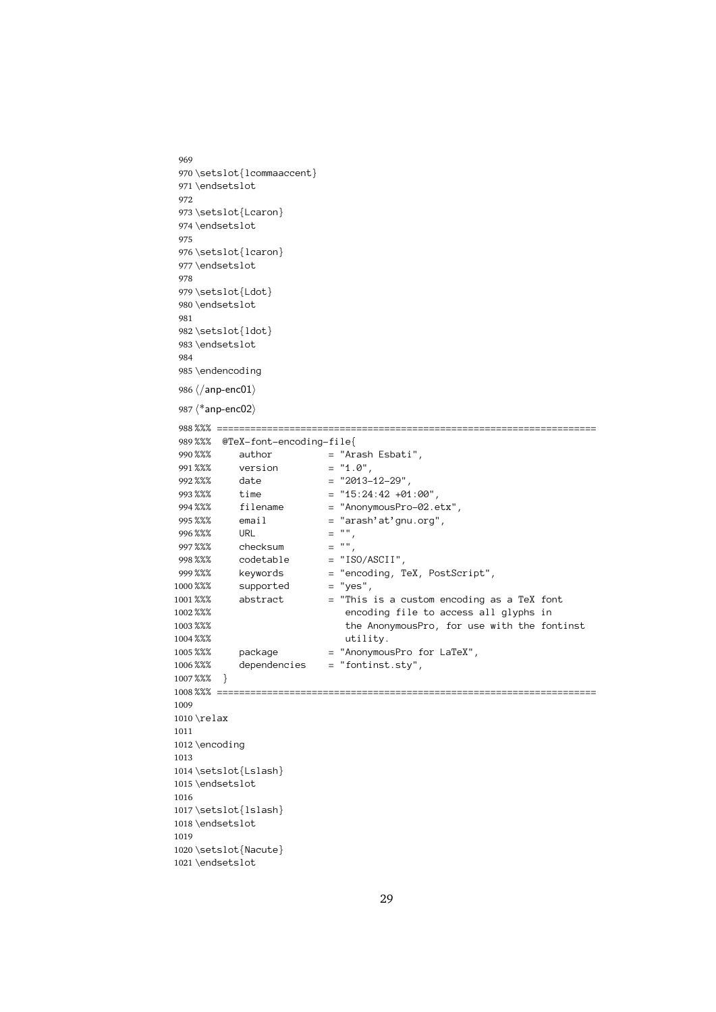```
969
  970 \setslot{lcommaaccent}
         \endsetslot<br>\setslot{Lcaron}<br>\endsetslot
  971\endsetslot
         \setslot{Lc<br>\setslot{Lc<br>\endsetslot<br>\setslot{lc
  972
   973 \endsetslot<br>\setslot{lcaron}<br>\endsetslot
  974 \endsetslot
         \setslot{lc<br>\endsetslot<br>\setslot{Ld
  975
   976 \endsetslot<br>\setslot{Ldot}<br>\endsetslot
  977 \endsetslot
         \setslot{Ld<br>\endsetslot<br>\setslot{ld
  978
   979 \endsetslot<br>\setslot{ldot}<br>\endsetslot
   980 \setslot{ld<br>\endsetslot<br>\endencodin
  981
   982 \end{math}<br>\endsetslot<br>\endencoding<br>\langle/\text{anp-enc01}\rangle983 \endsetslot
         \endencodin<br>\/anp-enc01)<br>\*anp-enc02)
  984
  985 \endencoding
         \langle \rangleanp-enc01)<br>
\langle \rangle*anp-enc02)<br>
%%% =========<br>
%%% @TeX-fo
   986 \langle/anp-enc01\rangle987 \langle*anp-enc02\rangle988 %%% @TeX-font-encoding-file {\n   $\text{\$x36$} \quad \text{author} \quad = "Arash Eshati",\n   $\text{\$x88$} \quad \text{version} \quad = "1.0",\n   $\text{\$x88$} \quad \text{date} \quad = "2013-12-29",\n   $\text{\$time$} \quad = "15:24:42 +01:00",\n   $\text{\$time$} \quad = "15:24:42 +01:00",\n   $\text{\$time$} \quad = "15:24:42 +01:00",\n   $\text{\$time$} \quad = "15:24:42 +01:00",\n989%%% @TeX-font-encoding-file{
         %%% author = "Ar \frac{28}{36} author = "Ar \frac{28}{36} version = "1.<br>
%%% date = "20<br>
%%% time = "15<br>
%%% filename = "An
  990%% author = "Arash Esbati",
         %%% version = "1.0",<br>%%% date = "2013-12-29",<br>%%% time = "15:24:42 +01:0<br>%%% filename = "AnonymousPro-0<br>%%% email = "arash'at'gnu.o
  991%%% version
         %%% date = "2013-<br>%%% time = "15:24<br>%%% filename = "Anony<br>%%% email = "arash" = "",
  992 %%%% time = "15:24:42 +01:00",<br>
994 %%% filename = "AnonymousPro-02.etx",<br>
995 %%% email = "arash'at'gnu.org",<br>
996 %%% URL = "",<br>
999 %%% checksum = "",<br>
999 %%% codetable = "ISO/ASCII",<br>
999 %%% keywords = "encoding, TeX
  995 %%% email = "arash'at'gnu.org",<br>%%% URL = "",<br>%%% checksum = "",<br>%%% codetable = "ISO/ASCII",<br>%%% keywords = "encoding, TeX, Pos<br>%%% supported = "yes",
 996 %%%<br>996 %%%
         %%% URL = "",
  997 %%% codetable = "IS%% codetable = "","<br>%%% keywords = "en"<br>%%% supported = "ye"<br>%%% abstract = "Th" en
  998 %%% keywords = "encoding, T<br>%%% supported = "yes",<br>%%% abstract = "This is a c<br>%%% encoding fi<br>%%% the Anonymo
 999 keywords = "encoding, TeX, PostScript",<br>supported = "yes",<br>abstract = "This is a custom encoding as a TeX font<br>encoding file to access all glyphs in<br>the AnonymousPro, for use with the font<br>utility.<br>package = "AnonymousPro 
1000 %%%
         %%% abstract = "This<br>%%% supported = "This<br>%%% the A<br>%%% package = "Anony"
1001 the AnonymousPro, for use with the fontinst<br>utility.<br>package = "AnonymousPro for LaTeX",<br>dependencies = "fontinst.sty",
1002%%
         %%% the AnonymousPro, for use with the fo<br>%%% package = "AnonymousPro for LaTeX",<br>%%% dependencies = "fontinst.sty",<br>%%% }
1003 %%%
         %%% the AnonymousPro, for use with the fontinst
1004 %%%
         %%% utility.
1005 %%%
         %%% package = "AnonymousPro for LaTeX",
1006%%%
         %%% dependencies = "fontinst.sty",
1007 %%%}
 1008%%% ==<br>1009<br>1010 \relax<br>1011<br>1012 \encod
         \relax<br>\encoding
1009
1010 \relax
         \elax=<br>\encod<br>\setsl<br>\endse
1011
1012 \encoding
         \setslot{<br>\endsetsl<br>\setslot{
1013
 1014 \endsetslot<br>\setslot{lslash}<br>\endsetslot<br>}
1015\endsetslot
         \setslot{ls<br>\setslot{ls<br>\endsetslot<br>\setslot{Na
1016
 1017 \endsetslot<br>\setslot{Nacute}<br>\endsetslot
1018 \endsetslot
         \setslot{Na<br>\setslot{Na<br>\endsetslot
1019
 1020 1021\endsetslot<br>1021\endsetslot
```

```
29
```
 $\sum_{i=1}^{n}$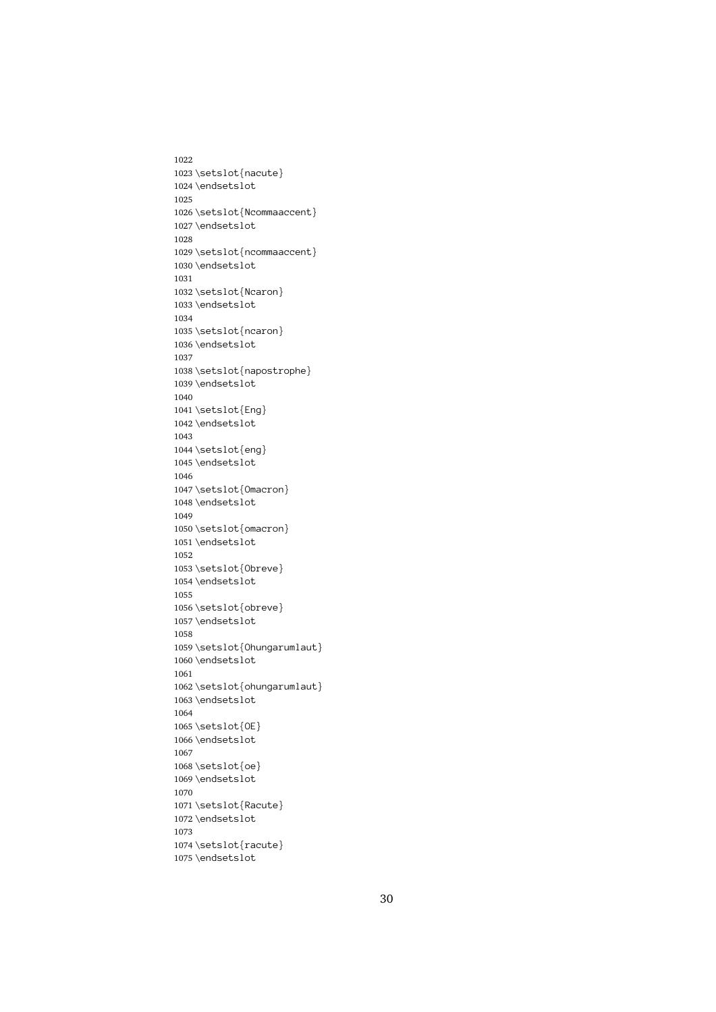1022 1023 \setslot{nacute} \endsetslot<br>\setslot{Ncommaa<br>\endsetslot 1024 \endsetslot \setslot{Nc<br>\setslot{Nc<br>\endsetslot<br>\setslot{nc 1025 1026 \endsetslot<br>\setslot{ncommaaccent}<br>\endsetslot 1027\endsetslot \setslot{nc<br>\endsetslot<br>\setslot{Nc 1028 1029 \endsetslot<br>\setslot{Ncaron}<br>\endsetslot 1030\endsetslot \setslot{Nc<br>\endsetslot<br>\setslot{nc 1031 1032 \endsetslot<br>\setslot{ncaron}<br>\endsetslot 1033 \endsetslot \setslot{nc<br>\setslot{nc<br>\endsetslot<br>\setslot{na 1034 1035 \endsetslot<br>\setslot{napostr<br>\endsetslot 1036 \endsetslot \setslot{na<br>\endsetslot<br>\setslot{En 1037 1038 \endsetslot<br>\setslot{Eng}<br>\endsetslot 1039 \endsetslot \setslot{En<br>\endsetslot<br>\setslot{en 1040 1041 \endsetslot<br>\setslot{eng}<br>\endsetslot 1042 \endsetslot \setslot{en<br>\endsetslot<br>\setslot{0m 1043 1044 \endsetslot<br>\setslot{Omac<br>\endsetslot 1045 \endsetslot \setslot{Om<br>\endsetslot<br>\setslot{om 1046 1047 \endsetslot<br>\setslot{omacron}<br>\endsetslot 1048 \endsetslot \setslot{om<br>\endsetslot<br>\setslot{Ob 1049 1050 \endsetslot<br>\setslot<br>\setslot{Obreve}<br>\endsetslot 1051\endsetslot \setslot{0b<br>\endsetslot<br>\setslot{0b 1052 1053 \endsetslot<br>\setslot{obreve}<br>\endsetslot 1054 \endsetslot \setslot{ob<br>\endsetslot<br>\setslot{0h 1055 1056 \endsetslot<br>\setslot{Ohungar<br>\endsetslot 1057\endsetslot \setslot{0h<br>\endsetslot<br>\setslot{0h 1058 1059 \endsetslot<br>\setslot{ohungarumlaut}<br>\endsetslot 1060 \endsetslot \setslot{oh<br>\endsetslot<br>\setslot{0E 1061 1062 \endsetslot<br>\setslot<br>\setslot{OE}<br>\endsetslot 1063 \endsetslot \setslot{OE<br>\endsetslot<br>\setslot{0e 1064 1065 1066 \endsetslot<br>1067<br>1068 \setslot{oe}<br>1069 \endsetslot<br>1070 \setslot{oe<br>\setslot{oe<br>\endsetslot<br>\setslot{Ra 1067 1068\setslot{oe} \endsetslot<br>\setslot{Rac<br>\endsetslot 1069 \endsetslot \setslot{Ra<br>\endsetslot<br>\setslot{ra 1070 1071 \endsetslot<br>\setslot{racute}<br>\endsetslot 1072\endsetslot \setslot{ra<br>\endsetslot<br>\endsetslot 1073 1074 1075\endsetslot<br>1075\endsetslot  $\overline{\phantom{a}}$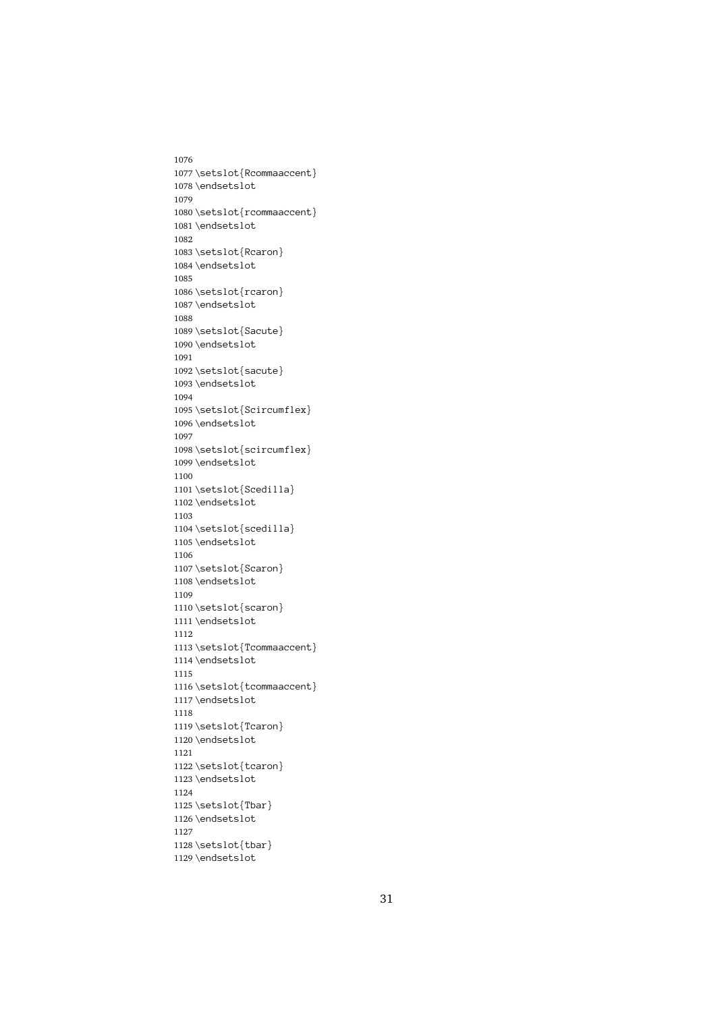1076 1077\setslot{Rcommaaccent} \endsetslot<br>\setslot{rcommaaccent}<br>\endsetslot 1078 \endsetslot \setslot{rc<br>\setslot{rc<br>\endsetslot<br>\setslot{Rc 1079 1080 \endsetslot<br>\setslot{Rcaron}<br>\endsetslot 1081 \endsetslot \setslot{Rc<br>\endsetslot<br>\setslot{rc 1082 1083 \endsetslot<br>\setslot{rcaron}<br>\endsetslot 1084\endsetslot \setslot $\{\text{re}\}\$ <br>\endsetslot<br>\setslot $\$ Sa 1085 1086 \endsetslot<br>\setslot{Sacute}<br>\endsetslot 1087\endsetslot \setslot{Sa<br>\endsetslot<br>\setslot{sa 1088 1089 \endsetslot<br>\setslot{sacute}<br>\endsetslot 1090 \setslot{sa<br>\endsetslot<br>\setslot{Sc 1091 1092 \endsetslot<br>\setslot{Scircum<br>\endsetslot 1093 \endsetslot \setslot{Sc<br>\endsetslot<br>\setslot{sc 1094 1095 \endsetslot<br>\setslot{scircumflex}<br>\endsetslot 1096\endsetslot \setslot{sc<br>\endsetslot<br>\setslot{Sc 1097 1098 \endsetslot<br>\setslot{Scedilla}<br>\endsetslot 1099 \endsetslot \setslot{Sc<br>\setslot{Sc<br>\endsetslot<br>\setslot{sc 1100 1101 \endsetslot<br>\setslot{scedilla}<br>\endsetslot 1102 \endsetslot \setslot{sc<br>\endsetslot<br>\setslot{Sc 1103 1104 \endsetslot<br>\setslot{Scaron}<br>\endsetslot 1105\endsetslot \setslot{Sc<br>\endsetslot<br>\setslot{sc 1106 1107 \endsetslot<br>\setslot{scaron}<br>\endsetslot 1108 \endsetslot \setslot{sc<br>\setslot{sc<br>\endsetslot<br>\setslot{Tc 1109 1110 \endsetslot<br>\setslot{Tcommaa<br>\endsetslot 1111\endsetslot \setslot{Tc<br>\endsetslot<br>\setslot{tc 1112 1113 \endsetslot<br>\setslot{tcommaaccent}<br>\endsetslot 1114 \endsetslot \setslot $\text{te}\end{set}$ <br>\setslot $\text{Te}$ 1115 1116 \endsetslot<br>\setslot{Tcaron}<br>\endsetslot 1117\endsetslot \setslot{Tc<br>\setslot{Tc<br>\endsetslot<br>\setslot{tc 1118 1119 \endsetslot<br>\setslot{tcaron}<br>\endsetslot 1120 \endsetslot \setslot{tc<br>\setslot{tc<br>\endsetslot<br>\setslot{Tb 1121 1122 \endsetslot<br>\setslot{Tbar}<br>\endsetslot 1123 \endsetslot \setslot{Tb<br>\endsetslot<br>\setslot{tb 1124 1125 \endsetslot<br>\setslot{tbar}<br>\endsetslot 1126 \endsetslot \setslot{tb<br>\endsetslot<br>\endsetslot 1127 1128 1129\endsetslot  $\overline{\phantom{a}}$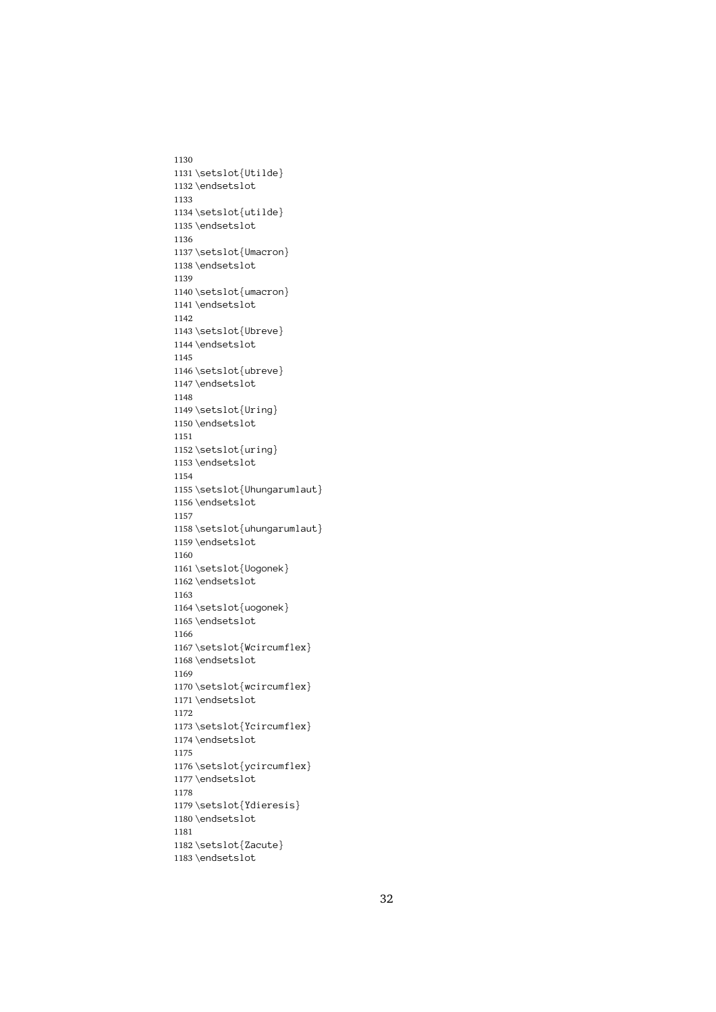1130 1131 \setslot{Utilde} \endsetslot<br>\setslot{utilde}<br>\endsetslot 1132 \endsetslot \setslot{ut<br>\setslot{ut<br>\endsetslot<br>\setslot{Um 1133 1134 \endsetslot<br>\setslot{Umacron<br>\endsetslot 1135 \endsetslot \setslot{Um<br>\endsetslot<br>\setslot{um 1136 1137 \endsetslot<br>\setslot{umacron}<br>\endsetslot 1138 \endsetslot \setslot{um<br>\endsetslot<br>\setslot{Ub 1139 1140 \endsetslot<br>\setslot<br>\setslot{Ubreve}<br>\endsetslot 1141\endsetslot \setslot{Ub<br>\endsetslot<br>\setslot{ub 1142 1143 \endsetslot<br>\setslot{ubreve}<br>\endsetslot 1144 \setslot{ub<br>\endsetslot<br>\setslot{Ur 1145 1146  $\end{st}$ <br>\endsetslot $\lceil \theta \rceil$ <br>\endsetslot 1147\endsetslot \setslot{Ur<br>\endsetslot<br>\setslot{ur 1148 1149 \endsetslot<br>\setslot{uring}<br>\endsetslot 1150 \endsetslot \setslot{ur<br>\endsetslot<br>\setslot{Uh 1151 1152 \endsetslot<br>\setslot{Uhunga<br>\endsetslot 1153 \endsetslot \setslot{Uh<br>\setslot{Uh<br>\endsetslot<br>\setslot{uh 1154 1155 \endsetslot<br>\setslot{uhungarumlaut}<br>\endsetslot 1156 \endsetslot \setslot{uh<br>\endsetslot<br>\setslot{Uo 1157 1158 \endsetslot<br>\setslot{Uogonek}<br>\endsetslot 1159 \endsetslot \setslot{Uo<br>\endsetslot<br>\setslot{uo 1160 1161 \endsetslot<br>\setslot<br>\setslot{uogonek}<br>\endsetslot 1162 \endsetslot \setslot{uo<br>\setslot{uo<br>\endsetslot<br>\setslot{Wc 1163 1164 \endsetslot<br>\setslot{Wcircumf<br>\endsetslot 1165\endsetslot \setslot{Wc<br>\endsetslot<br>\setslot{wc 1166 1167 \endsetslot<br>\setslot{wcircumflex}<br>\endsetslot 1168 \endsetslot \setslot{wc<br>\endsetslot<br>\setslot{Yc 1169 1170 \endsetslot<br>\setslot{Ycircumflex}<br>\endsetslot 1171\endsetslot \setslot{Yc<br>\setslot{Yc<br>\endsetslot<br>\setslot{yc 1172 1173 \endsetslot<br>\setslot{ycircumflex}<br>\endsetslot 1174 \endsetslot \setslot{yc<br>\setslot{yc<br>\endsetslot<br>\setslot{Yd 1175 1176 \endsetslot<br>\setslot{Ydieresis}<br>\endsetslot 1177\endsetslot \setslot{Yd<br>\endsetslot<br>\setslot{Za 1178 1179 \endsetslot<br>\setslot{Zacute}<br>\endsetslot 1180 \endsetslot \<br>\setslot{Za<br>\endsetslot 1181 1182 1183\endsetslot<br>1183\endsetslot  $\overline{\phantom{a}}$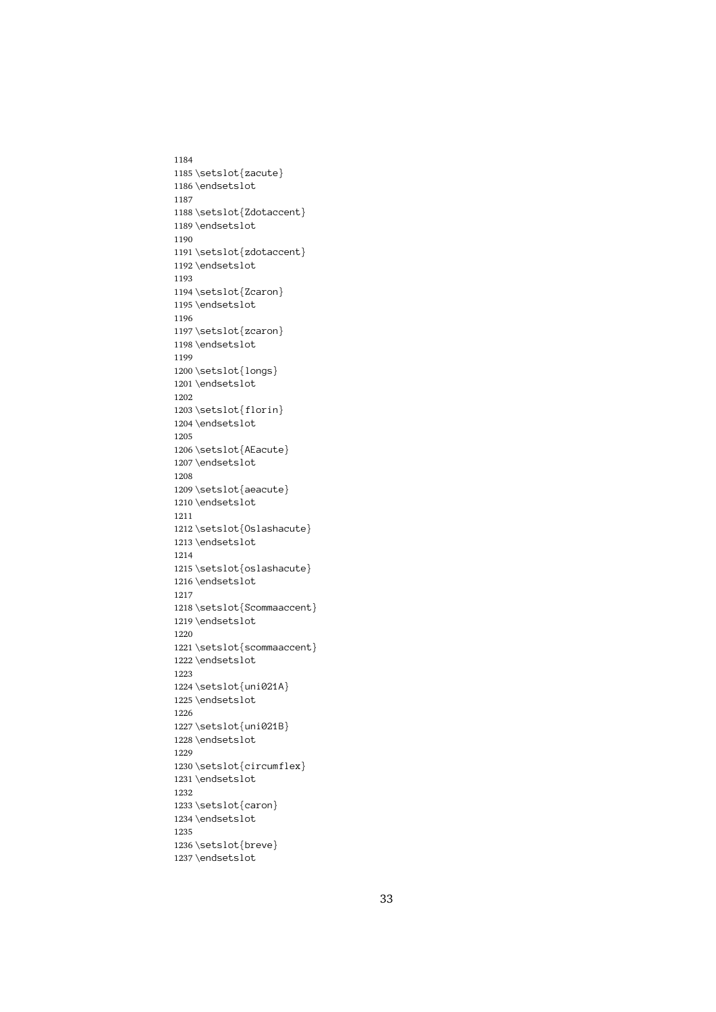1184 1185 \setslot{zacute} \endsetslot<br>\setslot{Zdotacc<br>\endsetslot 1186 \endsetslot \setslot{Zd<br>\endsetslot<br>\setslot{zd 1187 1188 \endsetslot<br>\setslot{zdotaccent}<br>\endsetslot 1189 \endsetslot \setslot{zd<br>\endsetslot<br>\setslot{Zc 1190 1191 \endsetslot<br>\setslot{Zcaron}<br>\endsetslot 1192 \endsetslot \setslot{Zc<br>\endsetslot<br>\setslot{zc 1193 1194 \endsetslot<br>\setslot{zcaron}<br>\endsetslot 1195\endsetslot \setslot{zc<br>\setslot{zc<br>\endsetslot<br>\setslot{lo 1196 1197 \endsetslot<br>\setslot{longs}<br>\endsetslot 1198 \setslot{lo<br>\endsetslot<br>\setslot{fl 1199 1200 \endsetslot<br>\setslot{florin<br>\endsetslot 1201 \endsetslot \setslot{fl<br>\endsetslot<br>\setslot{AE 1202 1203 \endsetslot<br>\setslot{AEacute<br>\endsetslot 1204 \endsetslot \setslot{AE<br>\endsetslot<br>\setslot{ae 1205 1206 \endsetslot<br>\setslot{aeacute}<br>\endsetslot 1207\endsetslot \setslot{ae<br>\endsetslot<br>\setslot{0s 1208 1209 \endsetslot<br>\setslot{0slashac<br>\endsetslot 1210 \endsetslot \setslot{0s<br>\endsetslot<br>\setslot{os 1211 1212 \endsetslot<br>\setslot{oslashacute}<br>\endsetslot 1213\endsetslot \setslot{os<br>\endsetslot<br>\setslot{Sc 1214 1215 \endsetslot<br>\setslot{Scommaaccent<br>\endsetslot 1216\endsetslot \setslot{Sc<br>\setslot{Sc<br>\endsetslot<br>\setslot{sc 1217 1218 \endsetslot<br>\setslot{scommaaccent}<br>\endsetslot 1219 \endsetslot \setslot{sc<br>\endsetslot<br>\setslot{un 1220 1221 \endsetslot<br>\setslot{uni021A}<br>\endsetslot 1222\endsetslot \setslot{un<br>\endsetslot<br>\setslot{un 1223 1224 \endsetslot<br>\setslot<br>\setslot{uni021B}<br>\endsetslot 1225 \endsetslot \setslot{un<br>\setslot{un<br>\endsetslot<br>\setslot{ci 1226 1227 \endsetslot<br>\setslot{circumfl<br>\endsetslot 1228 \endsetslot \setslot{ci<br>\setslot{ci<br>\endsetslot<br>\setslot{ca 1229 1230 \endsetslot<br>\setslot{caron}<br>\endsetslot 1231\endsetslot \setslot{ca<br>\endsetslot<br>\setslot{br 1232 1233 \endsetslot<br>\setslot{breve}<br>\endsetslot 1234 \endsetslot \setslot{br<br>\endsetslot<br>\endsetslot 1235 1236 1237\endsetslot<br>1237\endsetslot  $\overline{\phantom{a}}$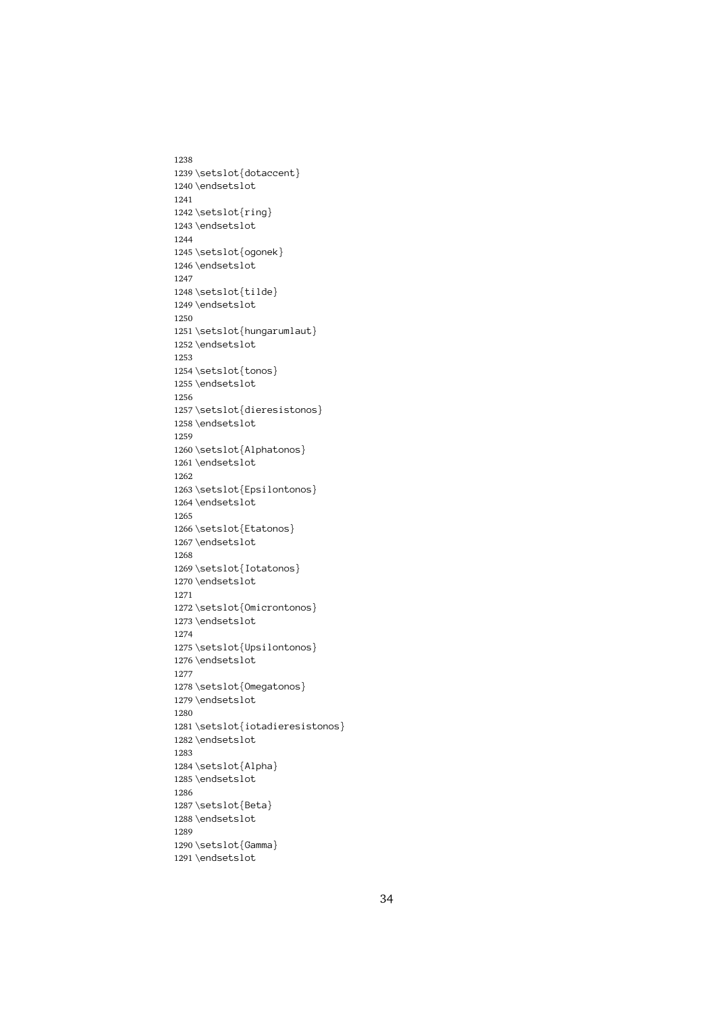1238 1239 \setslot{dotaccent} \endsetslot<br>\setslot{ring}<br>\endsetslot 1240 \endsetslot \setslot{ri<br>\setslot{ri<br>\endsetslot<br>\setslot{og 1241 1242 \endsetslot<br>\setslot{ogone<br>\endsetslot 1243 \endsetslot \setslot{og<br>\endsetslot<br>\setslot{ti 1244 1245 \endsetslot<br>\setslot{tilde}<br>\endsetslot 1246 \endsetslot \setslot{ti<br>\endsetslot<br>\setslot{hu 1247 1248 \endsetslot<br>\setslot<br>tilde}<br>\endsetslot<br>tilde} 1249 \endsetslot \setslot{hu<br>\setslot{hu<br>\endsetslot<br>\setslot{to 1250 1251 \endsetslot<br>\setslot{tonos}<br>\endsetslot 1252 \endsetslot \setslot{to<br>\endsetslot<br>\setslot{di 1253 1254 \endsetslot<br>\setslot{dieres<br>\endsetslot 1255 \endsetslot \setslot{di<br>\endsetslot<br>\setslot{Al 1256 1257 \endsetslot<br>\setslot{Alphatonos}<br>\endsetslot 1258 \endsetslot \setslot{Al<br>\endsetslot<br>\setslot{Ep 1259 1260 \endsetslot<br>\setslot{Epsilontono<br>\endsetslot 1261 \endsetslot \setslot{Ep<br>\setslot{Ep<br>\endsetslot<br>\setslot{Et 1262 1263 \endsetslot<br>\setslot{Etatonos}<br>\endsetslot 1264 \endsetslot \setslot{Et<br>\endsetslot<br>\setslot{Io 1265 1266 \endsetslot<br>\setslot{Iotatonos<br>\endsetslot 1267 \setslot{Io<br>\endsetslot<br>\setslot{0m 1268 1269 \endsetslot<br>\setslot{Omicronton<br>\endsetslot<br>Iotatonos} 1270 \setslot{Om<br>\endsetslot<br>\endsetslot<br>\setslot{Up 1271 1272 \endsetslot<br>\setslot{Upsilontonos}<br>\endsetslot 1273 \endsetslot \setslot{Up<br>\endsetslot<br>\setslot{Om 1274 1275 \endsetslot<br>\setslot{Omegatonos}<br>\endsetslot 1276\endsetslot \setslot{Om<br>\endsetslot<br>\setslot{io 1277 1278 \endsetslot<br>\setslot{iotadieresi<br>\endsetslot 1279 \endsetslot \setslot{io<br>\setslot{io<br>\endsetslot<br>\setslot{Al 1280 1281 \endsetslot<br>\setslot{Alpha}<br>\endsetslot 1282 \endsetslot \setslot{Al<br>\endsetslot<br>\endsetslot<br>\setslot{Be 1283 1284 \endsetslot<br>\setslot{Beta}<br>\endsetslot 1285 \endsetslot \setslot{Be<br>\endsetslot<br>\setslot{Ga 1286 1287 \endsetslot<br>\setslot{Gamma<br>\endsetslot 1288 \endsetslot \setslot{Ga<br>\endsetslot<br>! 1289 1290 1291\endsetslot<br>1291\endsetslot

 $\overline{\phantom{a}}$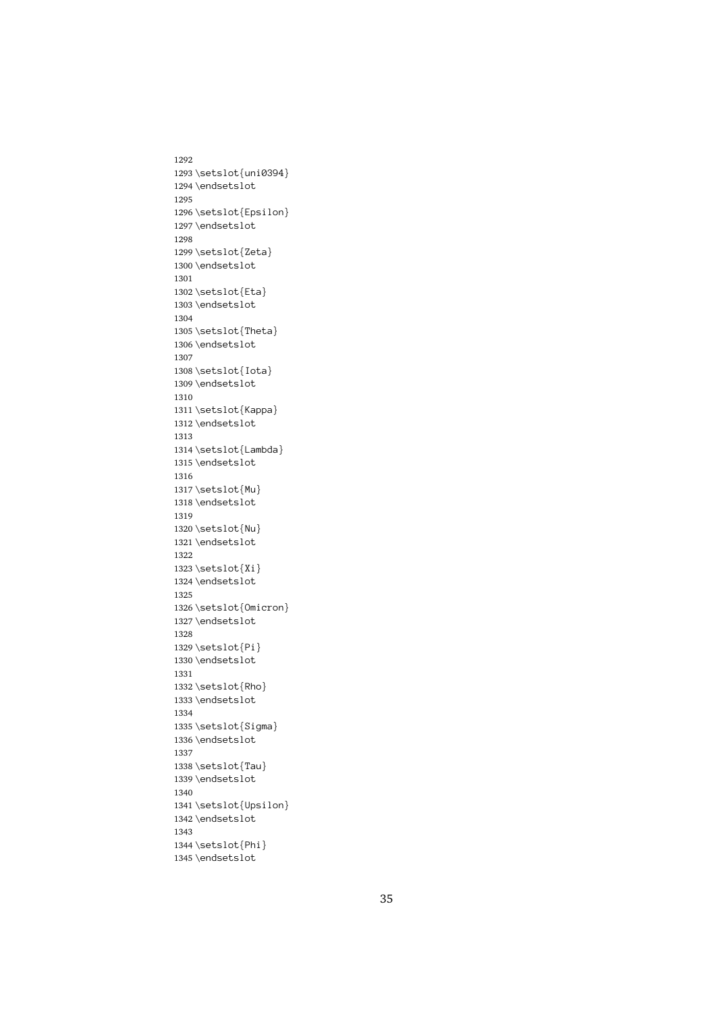1292 1293 \setslot{uni0394} \endsetslot<br>\setslot{Epsilon}<br>\endsetslot 1294 \endsetslot \setslot{Ep<br>\setslot{Ep<br>\endsetslot<br>\setslot{Ze 1295 1296 \endsetslot<br>\setslot{Zeta}<br>\endsetslot 1297\endsetslot \setslot{Ze<br>\endsetslot<br>\setslot{Et 1298 1299 \endsetslot<br>\setslot{Eta}<br>\endsetslot 1300 \endsetslot \setslot{Et<br>\endsetslot<br>\setslot{Th 1301 1302 \endsetslot<br>\setslot{Thet<br>\endsetslot 1303 \setslot{Th<br>\endsetslot<br>\endsetslot<br>\setslot{Io 1304 1305 \endsetslot<br>\setslot{Iota}<br>\endsetslot 1306 \setslot{Io<br>\endsetslot<br>\setslot{Ka 1307 1308 \endsetslot<br>\setslot{Kappa<br>\endsetslot 1309 \endsetslot \setslot{Ka<br>\endsetslot<br>\setslot{La 1310 1311 \endsetslot<br>\setslot{Lambda<br>\endsetslot<br>Rendsetslot 1312\endsetslot \setslot{La<br>\endsetslot<br>\setslot{Mu 1313 1314 \endsetslot<br>\setslot{Mu}<br>\endsetslot 1315 \endsetslot \setslot{Mu<br>\endsetslot<br>\setslot{Nu 1316 1317 \endsetslot<br>\setslot{Nu}<br>\endsetslot 1318 \endsetslot \setslot{Nu<br>\endsetslot<br>\setslot{Xi 1319 1320 \endsetslot<br>\setslot{Xi}<br>\endsetslot 1321 \endsetslot \setslot{Xi<br>\endsetslot<br>\setslot{Om 1322 1323 \setslot{Xi} \setslot{Xi} 1324 \setslot{Om<br>\endsetslot<br>\setslot{Pi 1325 1326  $\end{st}$ <br>\endsetslot<br>\setslot{Pi}<br>\endsetslot 1327\endsetslot \setslot{Pi<br>\endsetslot<br>\setslot{Rh 1328 1329 \endsetslot<br>\setslot{Rho<br>\endsetslot 1330 \endsetslot \setslot{Rh<br>\endsetslot<br>\setslot{Si 1331 1332 \endsetslot<br>\setslot{Sigm<br>\endsetslot 1333 \endsetslot \setslot{Si<br>\setslot{Si<br>\endsetslot<br>\setslot{Ta 1334 1335 \endsetslot<br>\setslot{Tau}<br>\endsetslot 1336 \endsetslot \setslot{Ta<br>\endsetslot<br>\endsetslot<br>\setslot{Up 1337 1338 \endsetslot<br>\setslot{Upsi<br>\endsetslot 1339 \endsetslot \setslot{Up<br>\endsetslot<br>\setslot{Ph 1340 1341 \endsetslot<br>\setslot<br>\setslot{Phi}<br>\endsetslot 1342 \endsetslot \setslot{Ph<br>\endsetslot<br>\endsetslot 1343 1344 1345\endsetslot  $\overline{\phantom{a}}$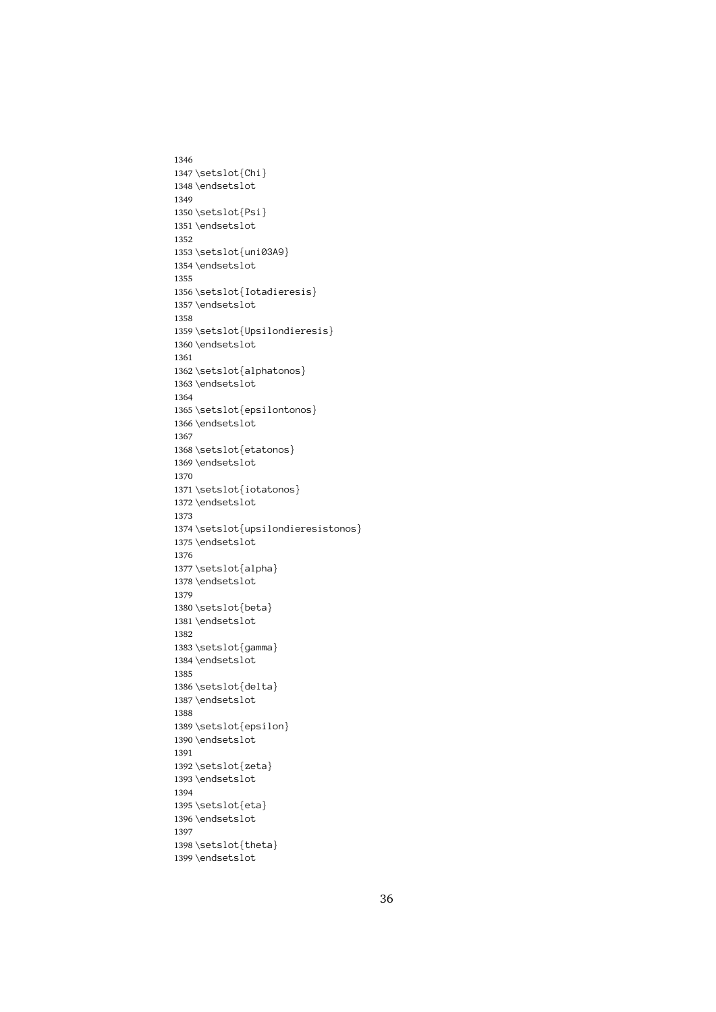1346 1347 \setslot{Chi} \endsetslot<br>\setslot{Psi}<br>\endsetslot 1348 \endsetslot \setslot{Ps<br>\setslot{Ps<br>\endsetslot<br>\setslot{un 1349 1350 \endsetslot<br>\setslot{uni0<br>\endsetslot 1351 \endsetslot \setslot{un<br>\endsetslot<br>\setslot{Io 1352 1353 \endsetslot<br>\setslot{Iotadier<br>\endsetslot 1354 \endsetslot \setslot{Io<br>\endsetslot<br>\setslot{Up 1355 1356 \endsetslot<br>\setslot{Upsilondieres<br>\endsetslot 1357\endsetslot \setslot{Up<br>\setslot{Up<br>\endsetslot<br>\setslot{al 1358 1359 \endsetslot<br>\setslot{alphatonos}<br>\endsetslot 1360 \endsetslot \setslot{al<br>\endsetslot<br>\setslot{ep 1361 1362 \endsetslot<br>\setslot{epsilontono<br>\endsetslot 1363 \endsetslot \setslot{ep<br>\endsetslot<br>\setslot{et 1364 1365 \endsetslot<br>\setslot{etatonos}<br>\endsetslot 1366 \endsetslot \setslot{et<br>\endsetslot<br>\setslot{io 1367 1368 \endsetslot<br>\setslot{iotatonos<br>\endsetslot 1369 \endsetslot \setslot{io<br>\setslot{io<br>\endsetslot<br>\setslot{up 1370 1371 \endsetslot<br>\setslot{upsilondie<br>\endsetslot 1372 \endsetslot \setslot{up<br>\endsetslot<br>\setslot{al 1373 1374 \endsetslot<br>\setslot{alpha}<br>\endsetslot<br>dieresistonos} 1375 \endsetslot \setslot{al<br>\endsetslot<br>\setslot{be 1376 1377 \setslot{alpha} \endsetslot<br>\setslot<br>\setslot{beta}<br>\endsetslot 1378 \setslot{be<br>\setslot{be<br>\endsetslot<br>\setslot{ga 1379 1380 \endsetslot<br>\setslot{gamma<br>\endsetslot 1381 \endsetslot \setslot{ga<br>\endsetslot<br>\setslot{de 1382 1383 \endsetslot<br>\setslot{delta}<br>\endsetslot 1384 \endsetslot \setslot{de<br>\endsetslot<br>\setslot{ep 1385 1386 \endsetslot<br>\setslot<br>\setslot{epsilo<br>\endsetslot 1387\endsetslot \setslot{ep<br>\setslot{ep<br>\endsetslot<br>\setslot{ze 1388 1389 \endsetslot<br>\setslot{zeta}<br>\endsetslot 1390 \endsetslot \setslot{ze<br>\setslot{ze<br>\endsetslot<br>\setslot{et 1391 1392 \endsetslot<br>\setslot{eta}<br>\endsetslot 1393 \endsetslot \setslot{et<br>\endsetslot<br>\setslot{th 1394 1395 \endsetslot<br>\setslot{thet<br>\endsetslot 1396 \endsetslot \setslot{th<br>\endsetslot<br>\endsetslot 1397 1398 1399\endsetslot<br>1399\endsetslot

 $\overline{\phantom{a}}$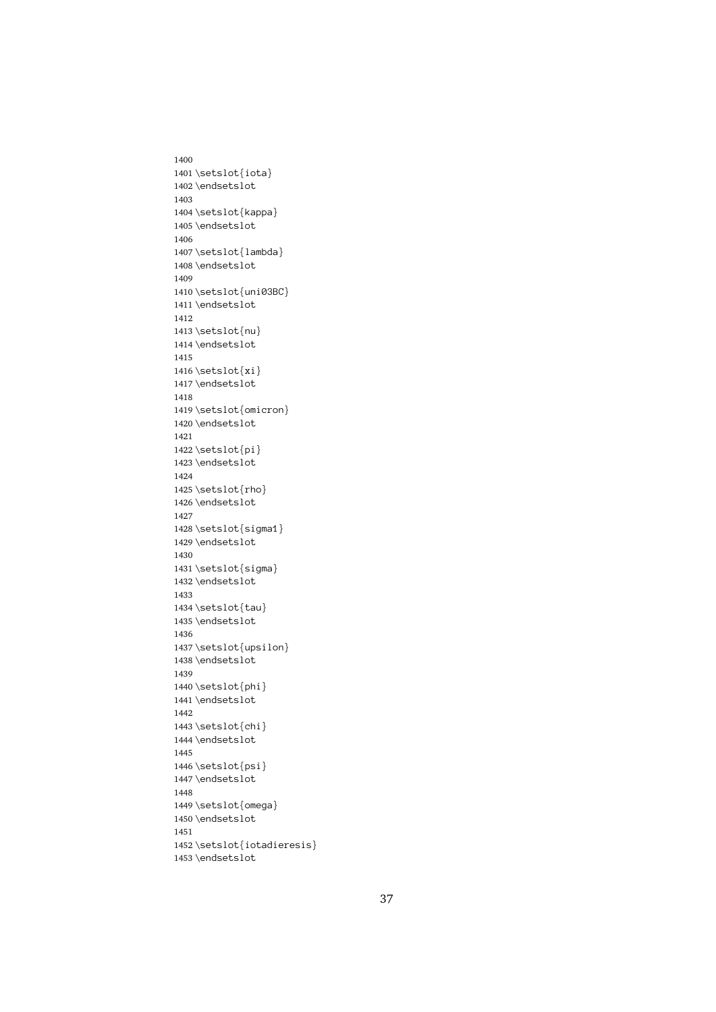1400 1401 \setslot{iota} \endsetslot<br>\setslot{kappa<br>\endsetslot 1402 \endsetslot \setslot{ka<br>\endsetslot<br>\setslot{la 1403 1404 \endsetslot<br>\setslot{lambda<br>\endsetslot 1405 \endsetslot \setslot{la<br>\endsetslot<br>\setslot{un 1406 1407 \endsetslot<br>\setslot{uni03BC<br>\endsetslot 1408\endsetslot \setslot{un<br>\endsetslot<br>\setslot{nu 1409 1410 \endsetslot<br>\setslot<br>\setslot{nu}<br>\endsetslot 1411\endsetslot \setslot{nu<br>\setslot{nu<br>\endsetslot<br>\setslot{xi 1412 1413 \endsetslot<br>\setslot{xi}<br>\endsetslot 1414 \endsetslot \setslot{xi<br>\endsetslot<br>\setslot{om 1415 1416 \endsetslot<br>\setslot{omi<br>\endsetslot 1417\endsetslot \setslot{om<br>\endsetslot<br>\setslot{pi 1418 1419 \endsetslot<br>\setslot<br>\setslot{pi}<br>\endsetslot 1420 \endsetslot \setslot{pi<br>\endsetslot<br>\setslot{rh 1421 1422 \endsetslot<br>\setslot{rho<br>\endsetslot 1423 \endsetslot \setslot{rh<br>\endsetslot<br>\setslot{si 1424 1425 \endsetslot<br>\setslot{sigm<br>\endsetslot 1426 \endsetslot \setslot{si<br>\endsetslot<br>\setslot{si 1427 1428 \endsetslot<br>\setslot{sigma}<br>\endsetslot 1429\endsetslot \setslot{si<br>\endsetslot<br>\setslot{ta 1430 1431 \endsetslot<br>\setslot<br>sigma}<br>\endsetslot 1432 \setslot{ta<br>\endsetslot<br>\setslot{up 1433 1434 \endsetslot<br>\setslot{upsi<br>\endsetslot 1435 \endsetslot \setslot{up<br>\endsetslot<br>\setslot{ph 1436 1437 \endsetslot<br>\setslot{phi}<br>\endsetslot 1438 \endsetslot \setslot{ph<br>\endsetslot<br>\setslot{ch 1439 1440 \endsetslot<br>\setslot{chi}<br>\endsetslot 1441 \endsetslot \setslot{ch<br>\setslot{ch<br>\endsetslot<br>\setslot{ps 1442 1443 \endsetslot<br>\setslot{psi}<br>\endsetslot 1444 \endsetslot \setslot{ps<br>\setslot{ps<br>\endsetslot<br>\setslot{om 1445 1446 \endsetslot<br>\setslot{omeg<br>\endsetslot 1447\endsetslot \setslot{om<br>\endsetslot<br>\setslot{io 1448 1449 \endsetslot<br>\setslot<br>\setslot{iotadi<br>\endsetslot 1450\endsetslot \<br>\setslot{io<br>\endsetslot 1451 1452  $\end{math}$ <br> $\end{math}$ 1453 \endsetslot  $\overline{\phantom{a}}$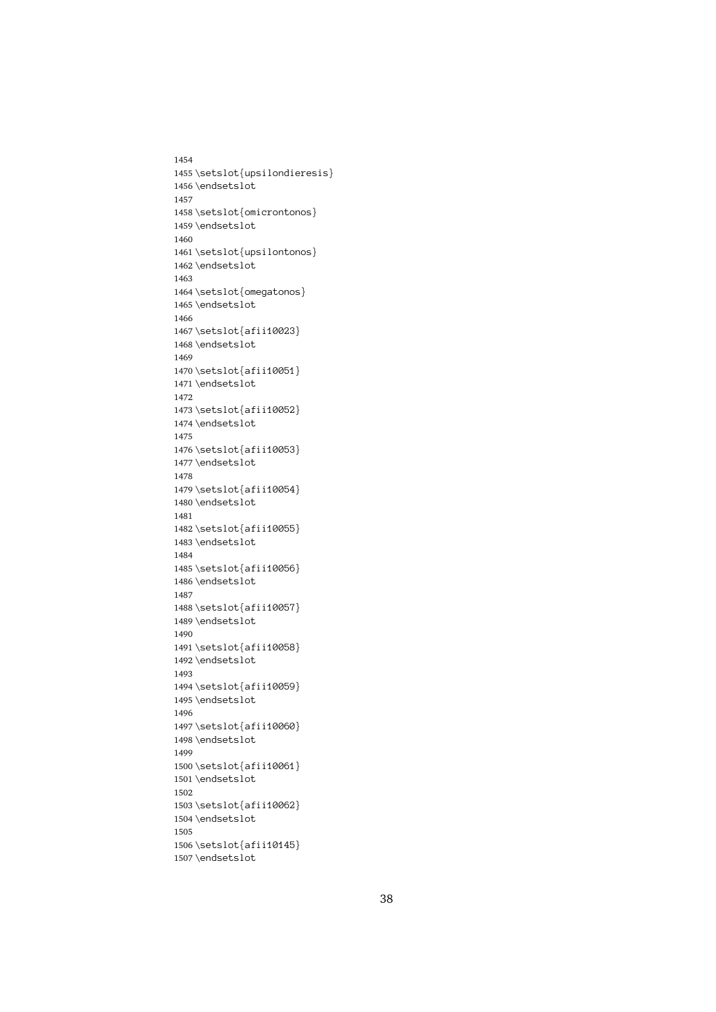1454 1455\setslot{upsilondieresis} \endsetslot<br>\setslot{omicrontonos}<br>\endsetslot 1456 \endsetslot \setslot{om<br>\setslot{om<br>\endsetslot<br>\setslot{up 1457 1458 \endsetslot<br>\setslot{upsilontonos}<br>\endsetslot 1459 \endsetslot \setslot{up<br>\endsetslot<br>\setslot{om 1460 1461 \endsetslot<br>\setslot{omegatonos}<br>\endsetslot 1462\endsetslot \setslot{om<br>\endsetslot<br>\setslot{af 1463 1464 \endsetslot<br>\setslot{afii10023}<br>\endsetslot 1465 \endsetslot \setslot{af<br>\endsetslot<br>\setslot{af 1466 1467 \endsetslot<br>\setslot{afii10051}<br>\endsetslot 1468 \endsetslot \setslot{af $\end{stacked}$ 1469 1470 \endsetslot<br>\setslot{afii10052}<br>\endsetslot 1471 \endsetslot \setslot{af $\end{stacked}$ 1472 1473 \endsetslot<br>\setslot<br>\setslot{afii10053}<br>\endsetslot 1474 \endsetslot \setslot $\{af\end{setslot}\setminus\{af$ 1475 1476 \endsetslot<br>\setslot{afii10054}<br>\endsetslot 1477\endsetslot \setslot{af<br>\endsetslot<br>\setslot{af 1478 1479 \endsetslot<br>\setslot{afii10055}<br>\endsetslot 1480 \endsetslot \setslot{af $\end{stacked}$ 1481 1482 \endsetslot<br>\setslot<br>\setslot{afii10056}<br>\endsetslot 1483 \endsetslot \setslot{af $\end{stacked}$ 1484 1485 \endsetslot<br>\setslot<br>\setslot{afii10057}<br>\endsetslot 1486 \endsetslot \setslot{af<br>\endsetslot<br>\setslot{af 1487 1488 \endsetslot<br>\setslot{afii10058}<br>\endsetslot 1489 \endsetslot \setslot{af $\end{stacked}$ 1490 1491 \endsetslot<br>\setslot{afii10059}<br>\endsetslot 1492 \endsetslot \setslot{af $\end{stacked}$ 1493 1494 \endsetslot<br>\setslot<br>\setslot{afii10060}<br>\endsetslot 1495 \endsetslot \setslot{af<br>\endsetslot<br>\setslot{af 1496 1497 \endsetslot<br>\setslot{afii10061}<br>\endsetslot 1498 \endsetslot \setslot{af<br>\endsetslot<br>\setslot{af 1499 1500 \endsetslot<br>\setslot{afii10062}<br>\endsetslot 1501 \endsetslot \setslot{af $\end{stacked}$ 1502 1503 \endsetslot<br>\setslot<br>\setslot{afii10145}<br>\endsetslot 1504 \endsetslot \<br>\setslot{af<br>\endsetslot 1505 1506  $\end{stacked}$ 1507 \endsetslot  $\overline{\phantom{a}}$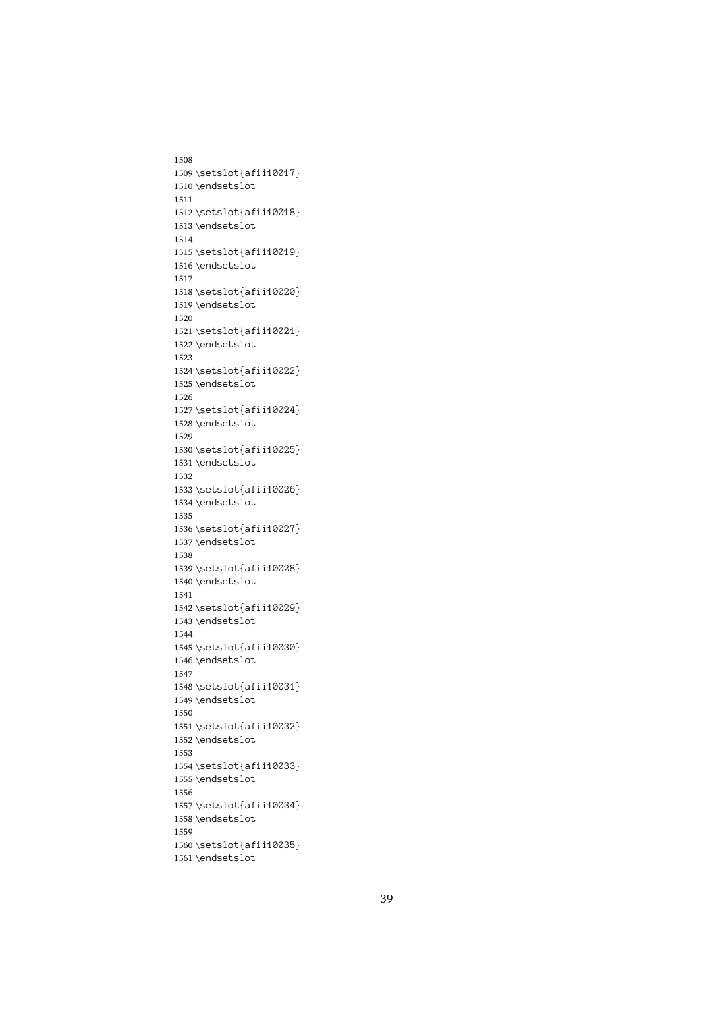1508 1509\setslot{afii10017} \endsetslot<br>\setslot{afii10018}<br>\endsetslot 1510 \endsetslot \setslot{af<br>\endsetslot<br>\setslot{af 1511 1512 \endsetslot<br>\setslot{afii10019}<br>\endsetslot 1513 \endsetslot \setslot{af $\end{stacked}$ 1514 1515 \endsetslot<br>\setslot{afii10020}<br>\endsetslot 1516 \setslot{af $\end{stacked}$ 1517 1518 \endsetslot<br>\setslot<br>\setslot{afii10021}<br>\endsetslot 1519 \endsetslot \setslot{af<br>\endsetslot<br>\endsetslot<br>\setslot{af 1520 1521 \endsetslot<br>\setslot{afii10022}<br>\endsetslot 1522 \endsetslot \setslot{af $\end{stacked}$ 1523 1524 \endsetslot<br>\setslot{afii10024}<br>\endsetslot 1525 \endsetslot \setslot{af $\end{stacked}$ 1526 1527 \endsetslot<br>\setslot<br>\setslot{afii10025}<br>\endsetslot 1528 \endsetslot \setslot $\{af\end{setslot}\setminus\{af$ 1529 1530 \endsetslot<br>\setslot{afii10026}<br>\endsetslot 1531 \endsetslot \setslot{af<br>\endsetslot<br>\setslot{af 1532 1533 \endsetslot<br>\setslot{afii10027}<br>\endsetslot 1534 \endsetslot \setslot{af $\end{stacked}$ 1535 1536 \endsetslot<br>\setslot<br>\setslot{afii10028}<br>\endsetslot 1537\endsetslot \setslot{af $\end{stacked}$ 1538 1539 \endsetslot<br>\setslot<br>\setslot{afii10029}<br>\endsetslot 1540 \endsetslot \setslot{af<br>\endsetslot<br>\setslot{af 1541 1542 \endsetslot<br>\setslot{afii10030}<br>\endsetslot 1543 \endsetslot \setslot{af $\end{stacked}$ 1544 1545 \endsetslot<br>\setslot{afii10031}<br>\endsetslot 1546 \endsetslot \setslot{af $\end{stacked}$ 1547 1548 \endsetslot<br>\setslot<br>\setslot{afii10032}<br>\endsetslot 1549 \endsetslot \setslot{af<br>\endsetslot<br>\setslot{af 1550 1551 \endsetslot<br>\setslot{afii10033}<br>\endsetslot 1552 \endsetslot \setslot{af<br>\endsetslot<br>\setslot{af 1553 1554 \endsetslot<br>\setslot{afii10034}<br>\endsetslot 1555 \endsetslot \setslot{af $\end{stacked}$ 1556 1557 \endsetslot<br>\setslot<br>\setslot{afii10035}<br>\endsetslot 1558 \<br>\setslot{af<br>\endsetslot 1559 1560 \endsetslot<br>\endsetslot 1561 \endsetslot  $\overline{\phantom{a}}$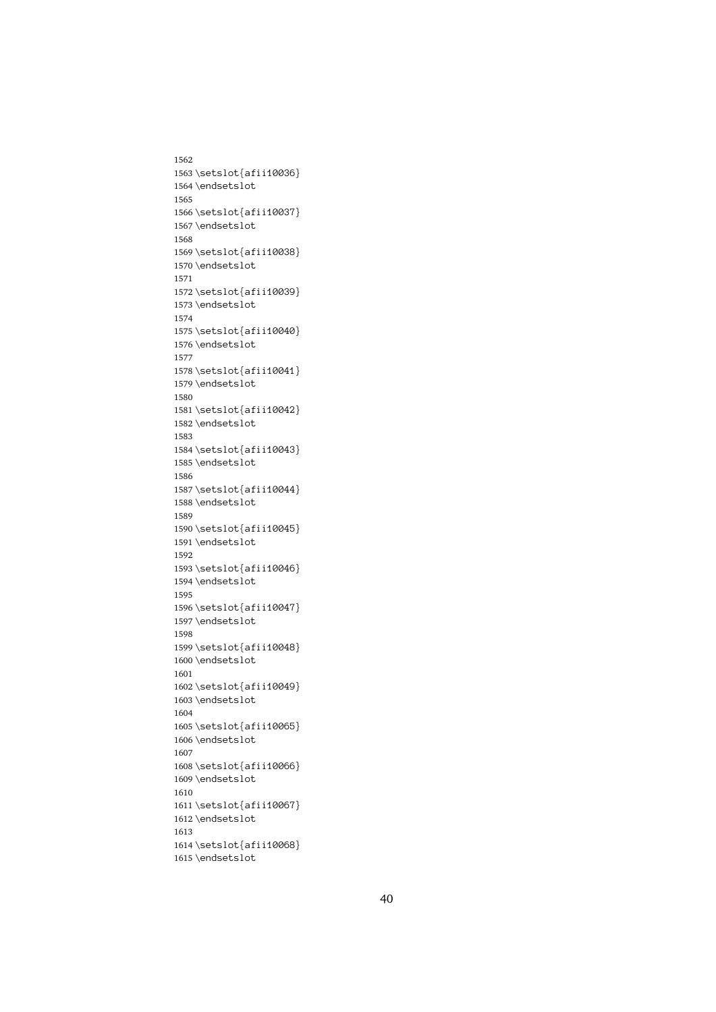1562 1563\setslot{afii10036} \endsetslot<br>\setslot{afii10037}<br>\endsetslot 1564 \endsetslot \setslot{af<br>\endsetslot<br>\setslot{af 1565 1566 \endsetslot<br>\setslot{afii10038}<br>\endsetslot 1567\endsetslot \setslot{af $\end{stacked}$ 1568 1569 \endsetslot<br>\setslot{afii10039}<br>\endsetslot 1570\endsetslot \setslot{af $\end{stacked}$ 1571 1572 \endsetslot<br>\setslot<br>\setslot{afii10040}<br>\endsetslot 1573 \endsetslot \setslot{af<br>\endsetslot<br>\endsetslot<br>\setslot{af 1574 1575 \endsetslot<br>\setslot{afii10041}<br>\endsetslot 1576 \endsetslot \setslot{af $\end{stacked}$ 1577 1578 \endsetslot<br>\setslot{afii10042}<br>\endsetslot 1579 \endsetslot \setslot{af $\end{stacked}$ 1580 1581 \endsetslot<br>\setslot<br>\setslot{afii10043}<br>\endsetslot 1582 \endsetslot \setslot $\{af\end{setslot}\setminus\{af$ 1583 1584 \endsetslot<br>\setslot{afii10044}<br>\endsetslot 1585 \endsetslot \setslot{af<br>\endsetslot<br>\setslot{af 1586 1587 \endsetslot<br>\setslot{afii10045}<br>\endsetslot 1588 \endsetslot \setslot{af $\end{stacked}$ 1589 1590 \endsetslot<br>\setslot<br>\setslot{afii10046}<br>\endsetslot 1591 \endsetslot \setslot{af $\end{stacked}$ 1592 1593 \endsetslot<br>\setslot<br>\setslot{afii10047}<br>\endsetslot 1594 \endsetslot \setslot{af<br>\endsetslot<br>\setslot{af 1595 1596 \endsetslot<br>\setslot{afii10048}<br>\endsetslot 1597\endsetslot \setslot{af $\end{stacked}$ 1598 1599 \endsetslot<br>\setslot{afii10049}<br>\endsetslot 1600 \endsetslot \setslot{af $\end{stacked}$ 1601 1602 \endsetslot<br>\setslot<br>\setslot{afii10065}<br>\endsetslot 1603 \endsetslot \setslot{af<br>\endsetslot<br>\setslot{af 1604 1605 \endsetslot<br>\setslot{afii10066}<br>\endsetslot 1606 \endsetslot \setslot{af<br>\endsetslot<br>\setslot{af 1607 1608 \endsetslot<br>\setslot{afii10067}<br>\endsetslot 1609 \endsetslot \setslot{af $\end{stacked}$ 1610 1611 \endsetslot<br>\setslot<br>\setslot{afii10068}<br>\endsetslot 1612 \endsetslot \<br>\setslot{af<br>\endsetslot 1613 1614 \endsetslot<br>\endsetslot 1615 \endsetslot  $\overline{\phantom{a}}$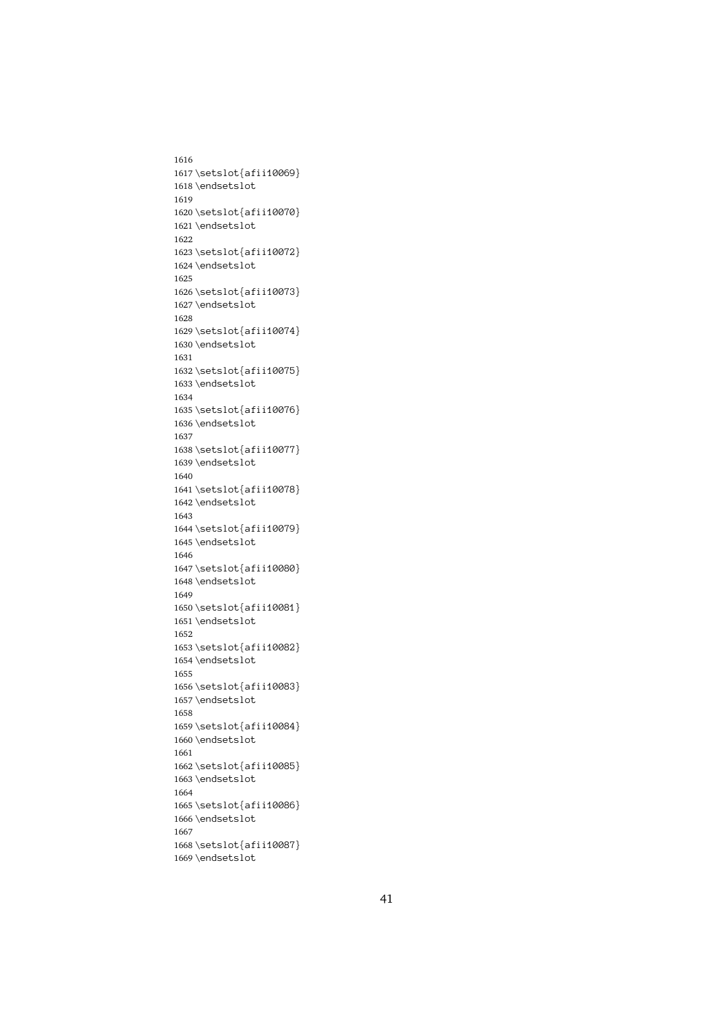1616 1617\setslot{afii10069} \endsetslot<br>\setslot{afii10070}<br>\endsetslot 1618 \endsetslot \setslot{af<br>\endsetslot<br>\setslot{af 1619 1620 \endsetslot<br>\setslot{afii10072}<br>\endsetslot 1621 \endsetslot \setslot{af $\end{stacked}$ 1622 1623 \endsetslot<br>\setslot{afii10073}<br>\endsetslot 1624 \setslot{af $\end{stacked}$ 1625 1626 \endsetslot<br>\setslot<br>\setslot{afii10074}<br>\endsetslot 1627\endsetslot \setslot{af<br>\endsetslot<br>\endsetslot<br>\setslot{af 1628 1629 \endsetslot<br>\setslot{afii10075}<br>\endsetslot 1630 \endsetslot \setslot{af $\end{stacked}$ 1631 1632 \endsetslot<br>\setslot{afii10076}<br>\endsetslot 1633 \endsetslot \setslot{af $\end{stacked}$ 1634 1635 \endsetslot<br>\setslot<br>\setslot{afii10077}<br>\endsetslot 1636 \endsetslot \setslot $\{af\end{setslot}\setminus\{af$ 1637 1638 \endsetslot<br>\setslot{afii10078}<br>\endsetslot 1639 \endsetslot \setslot{af<br>\endsetslot<br>\setslot{af 1640 1641 \endsetslot<br>\setslot{afii10079}<br>\endsetslot 1642 \endsetslot \setslot{af $\end{stacked}$ 1643 1644 \endsetslot<br>\setslot<br>\setslot{afii10080}<br>\endsetslot 1645 \endsetslot \setslot{af $\end{stacked}$ 1646 1647 \endsetslot<br>\setslot<br>\setslot{afii10081}<br>\endsetslot 1648 \endsetslot \setslot{af<br>\endsetslot<br>\setslot{af 1649 1650 \endsetslot<br>\setslot{afii10082}<br>\endsetslot 1651 \endsetslot \setslot{af $\end{stacked}$ 1652 1653 \endsetslot<br>\setslot{afii10083}<br>\endsetslot 1654 \endsetslot \setslot{af $\end{stacked}$ 1655 1656 \endsetslot<br>\setslot<br>\setslot{afii10084}<br>\endsetslot 1657\endsetslot \setslot{af<br>\endsetslot<br>\setslot{af 1658 1659 \endsetslot<br>\setslot{afii10085}<br>\endsetslot 1660 \endsetslot \setslot{af<br>\endsetslot<br>\setslot{af 1661 1662 \endsetslot<br>\setslot{afii10086}<br>\endsetslot 1663 \endsetslot \setslot{af $\end{stacked}$ 1664 1665 \endsetslot<br>\setslot<br>\setslot{afii10087}<br>\endsetslot 1666\endsetslot \<br>\setslot{af<br>\endsetslot 1667 1668 \endsetslot<br>\endsetslot 1669 \endsetslot  $\overline{\phantom{a}}$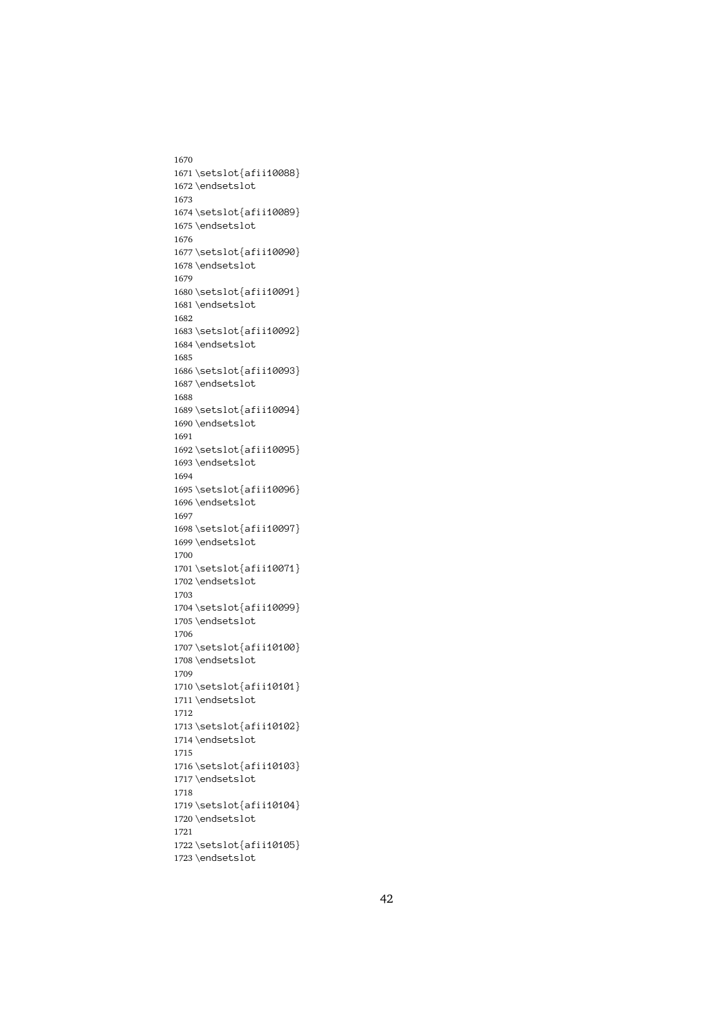1670 1671 \setslot{afii10088} \endsetslot<br>\setslot{afii10089}<br>\endsetslot 1672 \endsetslot \setslot{af<br>\endsetslot<br>\setslot{af 1673 1674 \endsetslot<br>\setslot{afii10090}<br>\endsetslot 1675 \endsetslot \setslot{af $\end{stacked}$ 1676 1677 \endsetslot<br>\setslot{afii10091}<br>\endsetslot 1678 \endsetslot \setslot{af $\end{stacked}$ 1679 1680 \endsetslot<br>\setslot<br>\setslot{afii10092}<br>\endsetslot 1681 \endsetslot \setslot{af<br>\endsetslot<br>\endsetslot<br>\setslot{af 1682 1683 \endsetslot<br>\setslot{afii10093}<br>\endsetslot 1684 \endsetslot \setslot{af $\end{stacked}$ 1685 1686 \endsetslot<br>\setslot{afii10094}<br>\endsetslot 1687\endsetslot \setslot{af $\end{stacked}$ 1688 1689 \endsetslot<br>\setslot<br>\setslot{afii10095}<br>\endsetslot 1690 \endsetslot \setslot $\{af\end{setslot}\setminus\{af\}$ 1691 1692 \endsetslot<br>\setslot{afii10096}<br>\endsetslot 1693 \endsetslot \setslot{af<br>\endsetslot<br>\setslot{af 1694 1695 \endsetslot<br>\setslot{afii10097}<br>\endsetslot 1696 \endsetslot \setslot{af $\end{stacked}$ 1697 1698 \endsetslot<br>\setslot{afii10071}<br>\endsetslot<br>} 1699 \endsetslot \setslot{af $\end{stacked}$ 1700 1701 \endsetslot<br>\setslot<br>\setslot{afii10099}<br>\endsetslot 1702 \endsetslot \setslot{af<br>\endsetslot<br>\setslot{af 1703 1704 \endsetslot<br>\setslot{afii10100}<br>\endsetslot 1705 \endsetslot \setslot{af $\end{stacked}$ 1706 1707 \endsetslot<br>\setslot{afii10101}<br>\endsetslot 1708 \endsetslot \setslot{af $\end{stacked}$ 1709 1710 \endsetslot<br>\setslot<br>\setslot{afii10102}<br>\endsetslot 1711 \setslot{af<br>\endsetslot<br>\setslot{af 1712 1713 \endsetslot<br>\setslot{afii10103}<br>\endsetslot 1714 \endsetslot \setslot{af<br>\endsetslot<br>\setslot{af 1715 1716 \endsetslot<br>\setslot{afii10104}<br>\endsetslot 1717\endsetslot \setslot{af $\end{stacked}$ 1718 1719 \endsetslot<br>\setslot<br>\setslot{afii10105}<br>\endsetslot 1720 \endsetslot \<br>\setslot{af<br>\endsetslot 1721 1722 \endsetslot<br>\endsetslot 1723 \endsetslot  $\overline{\phantom{a}}$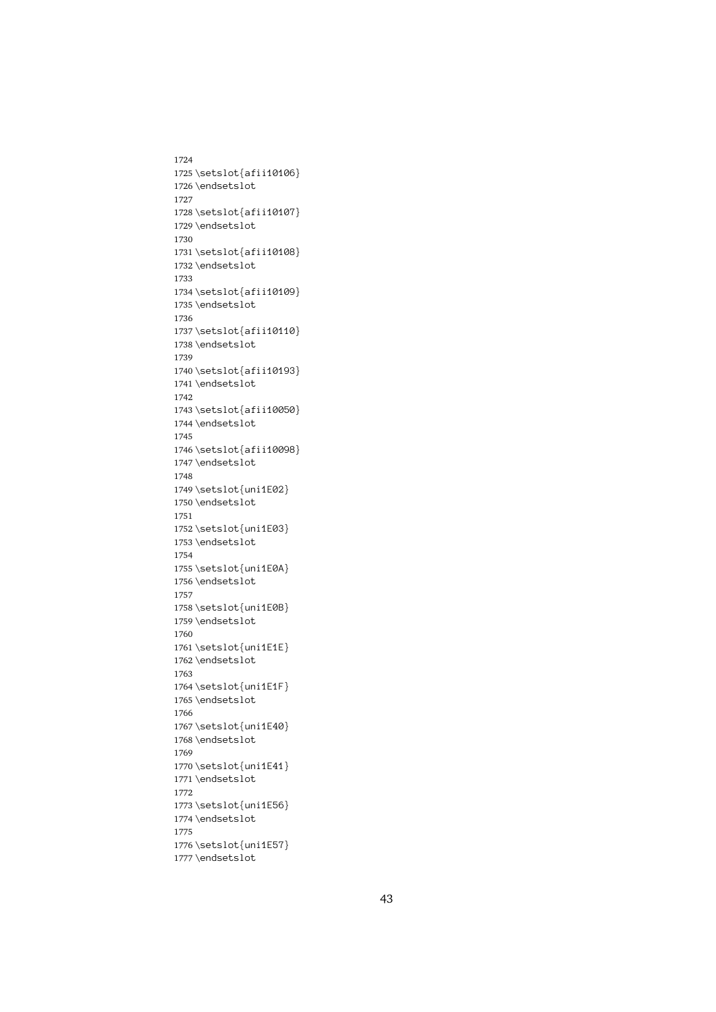1724 1725 \setslot{afii10106} \endsetslot<br>\setslot{afii10107}<br>\endsetslot 1726\endsetslot \setslot{af<br>\endsetslot<br>\setslot{af 1727 1728 \endsetslot<br>\setslot{afii10108}<br>\endsetslot 1729 \endsetslot \setslot{af $\end{stacked}$ 1730 1731 \endsetslot<br>\setslot{afii10109}<br>\endsetslot 1732 \endsetslot \setslot{af $\end{stacked}$ 1733 1734 \endsetslot<br>\setslot<br>\setslot{afii10110}<br>\endsetslot 1735 \endsetslot \setslot{af<br>\endsetslot<br>\setslot{af 1736 1737 \endsetslot<br>\setslot{afii10193}<br>\endsetslot 1738 \endsetslot \setslot{af $\end{stacked}$ 1739 1740 \endsetslot<br>\setslot{afii10050}<br>\endsetslot 1741 \endsetslot \setslot{af $\end{stacked}$ 1742 1743 \endsetslot<br>\setslot<br>\setslot{afii10098}<br>\endsetslot 1744 \endsetslot \setslot{af<br>\endsetslot<br>\setslot{un 1745 1746 \endsetslot<br>\setslot{uni1E02}<br>\endsetslot 1747\endsetslot \setslot{un<br>\setslot{un<br>\endsetslot<br>\setslot{un 1748 1749 \endsetslot<br>\setslot{uni1E03}<br>\endsetslot 1750 \endsetslot \setslot{un<br>\endsetslot<br>\setslot{un 1751 1752 \endsetslot<br>\setslot<br>\setslot{uni1E0A}<br>\endsetslot 1753 \endsetslot \setslot{un<br>\endsetslot<br>\setslot{un 1754 1755 \endsetslot<br>\setslot<br>\setslot{uni1E0B}<br>\endsetslot 1756 \endsetslot \setslot{un<br>\setslot{un<br>\endsetslot<br>\setslot{un 1757 1758 \endsetslot<br>\setslot{uni1E1E}<br>\endsetslot 1759 \endsetslot \setslot{un<br>\endsetslot<br>\setslot{un 1760 1761 \endsetslot<br>\setslot{uni1E1F}<br>\endsetslot 1762 \endsetslot \setslot{un<br>\endsetslot<br>\setslot{un 1763 1764 \endsetslot<br>\setslot<br>\setslot{uni1E40}<br>\endsetslot 1765 \setslot{un<br>\setslot{un<br>\endsetslot<br>\setslot{un 1766 1767 \endsetslot<br>\setslot{uni1E41}<br>\endsetslot 1768 \endsetslot \setslot{un<br>\setslot{un<br>\endsetslot<br>\setslot{un 1769 1770 \endsetslot<br>\setslot{uni1E56}<br>\endsetslot 1771 \endsetslot \setslot{un<br>\endsetslot<br>\setslot{un 1772 1773 \endsetslot<br>\setslot<br>\setslot{uni1E57}<br>\endsetslot 1774 \endsetslot \setslot{un<br>\endsetslot<br>\endsetslot 1775 1776 1777\endsetslot  $\overline{\phantom{a}}$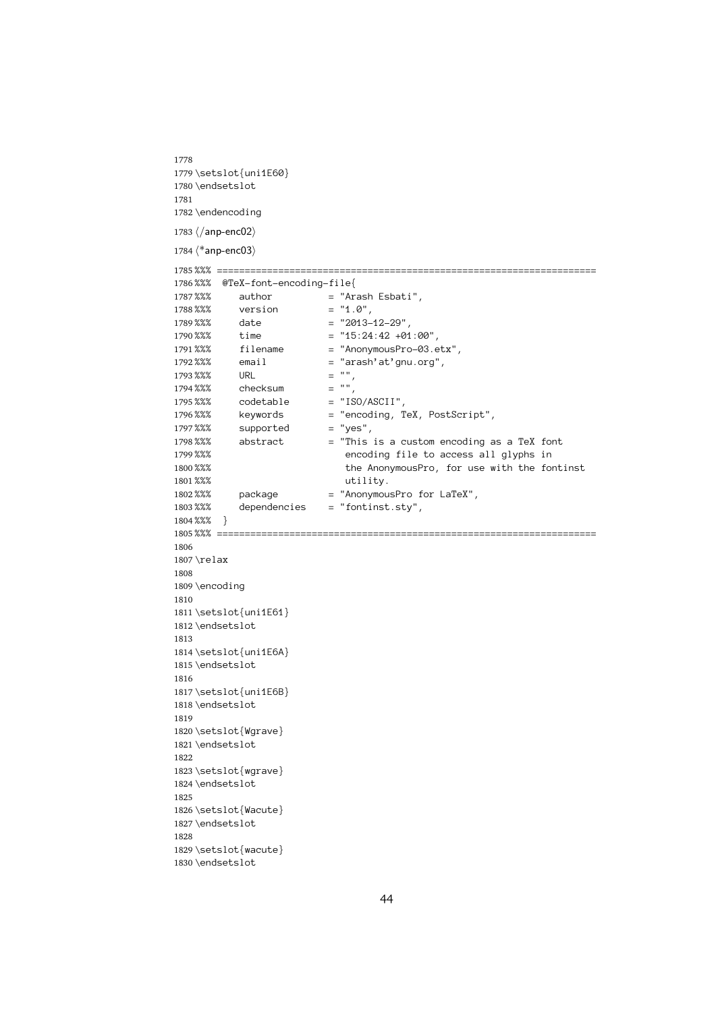1778 1779 \setslot{uni1E60} \endsetslot<br>\endencoding<br>\/anp-enc02\ 1780 \endsetslot \endencodin<br>\/endencodin<br>\/anp-enc02)<br>\\*anp-enc03) 1781 1782

1783  $\langle$ /anp-enc02 $\rangle$ 

1784  $\langle$ \*anp-enc03 $\rangle$ 

```
\langle/\text{anp-enc02}\rangle<br>
\langle*\text{anp-enc03}\rangle<br>
\frac{2\%}{\%}\times\text{anp-enc03}<br>
\frac{2\%}{\%}\times\text{anp-enc03}1785 %%% @TeX-font-encoding-file {\n   $\text{\$x36$} \quad \text{author} \quad = "Arash Eshati",\n   $\text{\$x88$} \quad \text{version} \quad = "1.0",\n   $\text{\$dx8$} \quad \text{date} \quad = "2013-12-29",\n   $\text{\$time$} \quad = "15:24:42 +01:00",\n   $\text{\$time$} \quad = "2013-12-29",\n   $\text{\$time$} \quad = "2013-12-29",\n   $\text{\$time$} \quad = "2013-12-29",\n   $\text{\$time$} \quad = "21786%%% @TeX-font-encoding-file{
                     author = "Arash Esbati",<br>
version = "1.0",<br>
date = "2013-12-29",<br>
time = "15:24:42 +01:00",<br>
filename = "AnonymousPro-03.etx",
1787%%%
          %%% version = "1.0",<br>%%% date = "2013-12-29",<br>%%% time = "15:24:42 +01:0<br>%%% filename = "AnonymousPro-0<br>%%% email = "arash'at'gnu.o
1788 %%%
          %%% date = "2013-<br>%%% time = "15:24<br>%%% filename = "4nony<br>%%% email = "arash" = "",<br>%%% URL = "",
1789 %%% time = "15:24:42 +01<br>%%% time = "15:24:42 +01<br>%%% email = "AnonymousPro<br>%%% URL = "",<br>%%% checksum = "",
1790 %%%
          %%% filename = "AnonymousPro-03.e<br>%%% email = "arash'at'gnu.org"<br>%%% URL = "",<br>%%% checksum = "",<br>%%% codetable = "ISO/ASCII",
 1791 %%% email = "arash'at'gnu.org",<br>%%% URL = "",<br>%%% checksum = "",<br>%%% codetable = "ISO/ASCII",<br>%%% keywords = "encoding, TeX, PostSc
1792%% email
          %%% email = "arash'at'gnu.org",<br>%%% URL = "",<br>%%% checksum = "",<br>%%% codetable = "ISO/ASCII",<br>%%% keywords = "encoding, TeX, Pos<br>%%% supported = "yes",
1793 %%% URL
          %%% URL = "",
1794%% checksum
          %%% codetable = "18%%<br>%%% keywords = "en<br>%%% supported = "ye<br>%%% abstract = "Th<br>%%% en
1795%% codetable
          %%% keywords = "encoding, T<br>%%% supported = "yes",<br>%%% abstract = "This is a c<br>%%% encoding fi<br>%%% the Anonymo
1796%%% keywords
 1797 %%% supported = "yes",<br>
1798 %%% abstract = "This is a custom encoding a<br>
1799 %%% encoding file to access all<br>
1800 %% the AnonymousPro, for use w<br>
1801 %% utility.<br>
1802 %% package = "AnonymousPro for LaTeX",
1798%% abstract
          %%% abstract and a continuous and a custom encoding file to access all glyphs in<br>%%% abstract the Anonymous Pro, for use with the font<br>%%% package = "Anonymous Pro for LaTeX",<br>%%% dependencies = "fontinst.sty",
1799 %%% the AnonymousPro, for use with the fo<br>%%% package = "AnonymousPro for LaTeX",<br>%%% dependencies = "fontinst.sty",<br>%%% }
1800 %%%
          %%% the AnonymousPro, for use with the fontinst
1801%%%
          %%% utility.
1802 %%%
          %%% package = "AnonymousPro for LaTeX",
1803%%%
          %%% dependencies = "fontinst.sty",
1804 %%%}
          %%% ==<br>\relax<br>\encod
 1805 \relax<br>\encoding
1806
 1807 \encod<br>\setsl<br>\endse
1808
1809 \encoding
          \setslot{<br>\endsetsl<br>\setslot{
1810
 1811 \endsetslot<br>\setslot<br>\setslot{uni1E6A}<br>\endsetslot
1812\endsetslot
          \setslot{un<br>\endsetslot<br>\setslot{un
1813
 1814 \endsetslot<br>\setslot<br>\setslot{uni1E6B}<br>\endsetslot
1815 \endsetslot
          \setslot{un<br>\setslot{un<br>\endsetslot<br>\setslot{Wg
1816
 1817 \endsetslot<br>\setslot{Wgrave}<br>\endsetslot
1818 \endsetslot
          \setslot{Wg<br>\endsetslot<br>\setslot{wg
1819
 1820 \endsetslot<br>\setslot{wgrave}<br>\endsetslot
1821 \endsetslot
          \setslot{wg<br>\endsetslot<br>\setslot{Wa
1822
 1823 \endsetslot<br>\setslot{Wacute}<br>\endsetslot
1824 \endsetslot
          \setslot{Wa<br>\endsetslot<br>\setslot{wa
1825
 1826 \endsetslot<br>\setslot{wacute}<br>\endsetslot
1827\endsetslot
          \setslot{wa<br>\setslot{wa<br>\endsetslot
1828
 1829 1830\endsetslot<br>1830\endsetslot
          \sum_{i=1}^{n}
```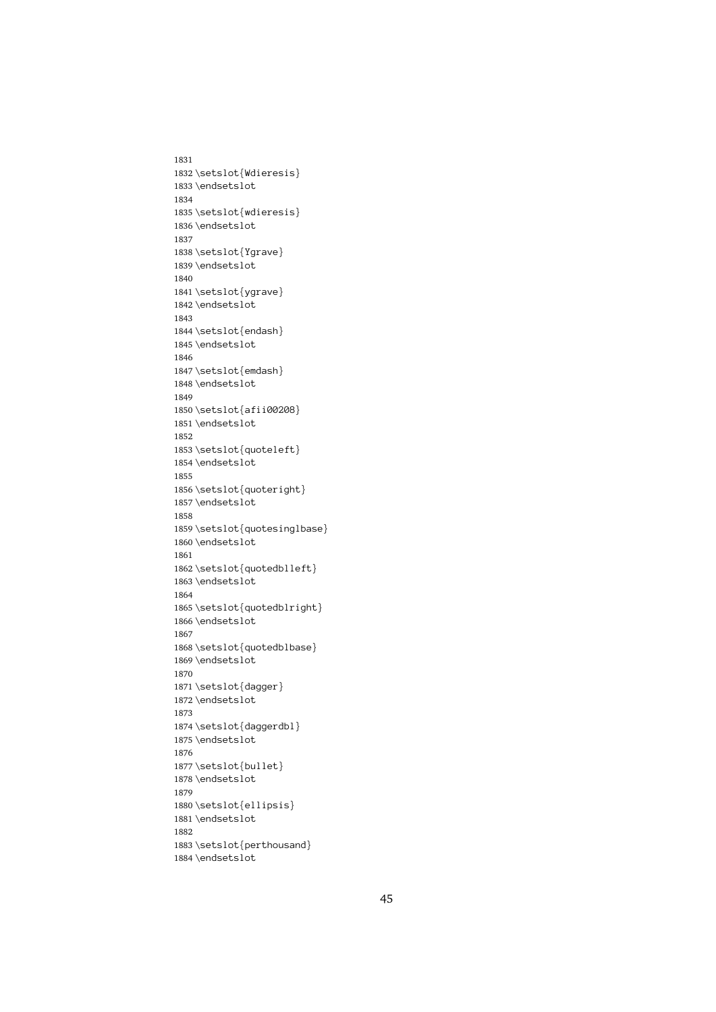1831 1832\setslot{Wdieresis} \endsetslot<br>\setslot{wdieresis}<br>\endsetslot 1833 \endsetslot \setslot{wd<br>\endsetslot<br>\setslot{Yg 1834 1835 \endsetslot<br>\setslot{Ygrave}<br>\endsetslot 1836 \endsetslot \setslot{Yg<br>\endsetslot<br>\setslot{yg 1837 1838 \endsetslot<br>\setslot{ygrave}<br>\endsetslot 1839 \endsetslot \setslot{yg<br>\endsetslot<br>\setslot{en 1840 1841 \endsetslot<br>\setslot{endash}<br>\endsetslot 1842 \endsetslot \setslot{en<br>\setslot{en<br>\endsetslot<br>\setslot{em 1843 1844 \endsetslot<br>\setslot{emdash}<br>\endsetslot 1845 \endsetslot \setslot{em<br>\endsetslot<br>\setslot{af 1846 1847 \endsetslot<br>\setslot{afii002<br>\endsetslot 1848 \endsetslot \setslot{af<br>\endsetslot<br>\setslot{qu 1849 1850 \endsetslot<br>\setslot{quoteleft}<br>\endsetslot 1851 \endsetslot \setslot{qu<br>\endsetslot<br>\setslot{qu 1852 1853 \endsetslot<br>\setslot{quoteright<br>\endsetslot 1854 \endsetslot \setslot{qu<br>\setslot{qu<br>\endsetslot<br>\setslot{qu 1855 1856 \endsetslot<br>\setslot{quotesinglb<br>\endsetslot 1857\endsetslot \setslot{qu<br>\endsetslot<br>\setslot{qu 1858 1859 \endsetslot<br>\setslot{quotedblleft}<br>\endsetslot 1860 \setslot{qu<br>\endsetslot<br>\setslot{qu 1861 1862 \endsetslot<br>\setslot{quotedblright<br>\endsetslot 1863 \endsetslot \setslot{qu<br>\setslot{qu<br>\endsetslot<br>\setslot{qu 1864 1865 \endsetslot<br>\setslot{quotedblbase}<br>\endsetslot 1866 \endsetslot \setslot{qu<br>\endsetslot<br>\setslot{da 1867 1868 \endsetslot<br>\setslot{dagger}<br>\endsetslot 1869 \endsetslot \setslot{da<br>\endsetslot<br>\setslot{da 1870 1871 \endsetslot<br>\setslot{daggerd<br>\endsetslot 1872 \endsetslot \setslot{da<br>\endsetslot<br>\setslot{bu 1873 1874 \endsetslot<br>\setslot{bullet}<br>\endsetslot 1875 \endsetslot \setslot{bu<br>\setslot{bu<br>\endsetslot<br>\setslot{el 1876 1877 \endsetslot<br>\setslot{ellipsi<br>\endsetslot 1878 \endsetslot \setslot{el<br>\endsetslot<br>\setslot{pe 1879 1880 \endsetslot<br>\setslot{perthousa<br>\endsetslot 1881 \setslot{pe<br>\endsetslot<br>\endsetslot 1882 1883  $\text{red}$ setslot 1884 \endsetslot

 $\overline{\phantom{a}}$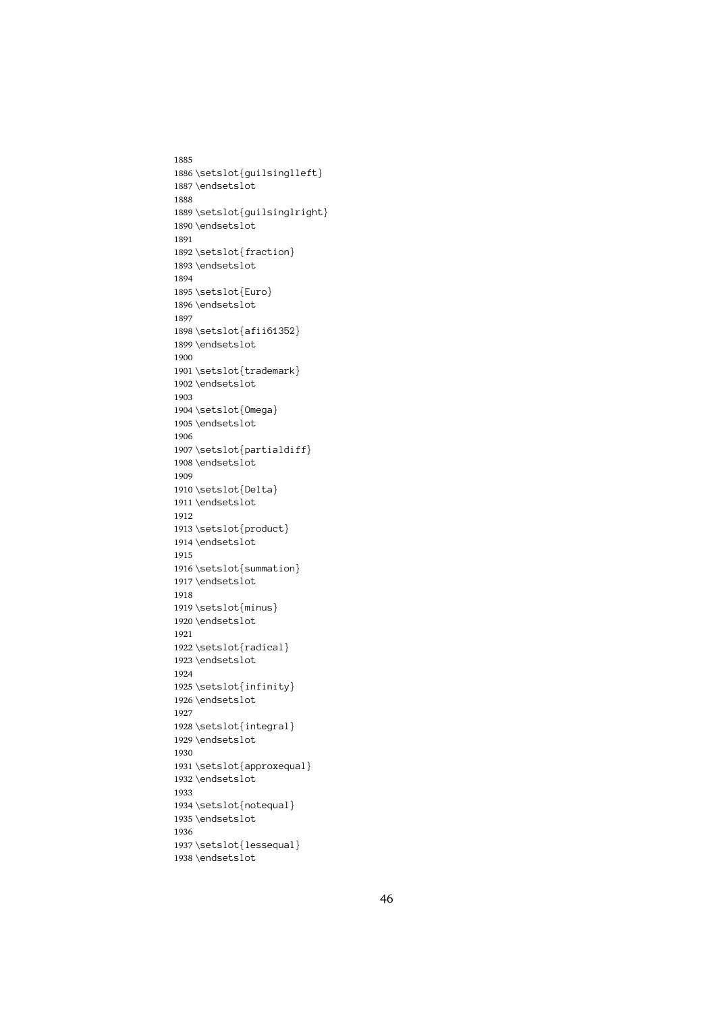1885 1886\setslot{guilsinglleft} \endsetslot<br>\setslot{guilsinglright<br>\endsetslot 1887\endsetslot \setslot{gu}<br>\setslot{gu}<br>\endsetslot<br>\setslot{fr 1888 1889 \endsetslot<br>\setslot{fraction}<br>\endsetslot 1890 \endsetslot \setslot{fr<br>\endsetslot<br>\setslot{Eu 1891 1892 \endsetslot<br>\setslot{Euro}<br>\endsetslot 1893 \endsetslot \setslot{Eu<br>\endsetslot<br>\setslot{af 1894 1895 \endsetslot<br>\setslot{afii6<br>\endsetslot 1896 \endsetslot \setslot{af<br>\endsetslot<br>\endsetslot<br>\setslot{tr 1897 1898 \endsetslot<br>\setslot{trademark}<br>\endsetslot 1899 \endsetslot \setslot{tr<br>\endsetslot<br>\setslot{0m 1900 1901 \endsetslot<br>\setslot{Omega}<br>\endsetslot 1902 \endsetslot \setslot{Om<br>\endsetslot<br>\setslot{pa 1903 1904 \endsetslot<br>\setslot{partia<br>\endsetslot<br>Omegastslot 1905 \endsetslot \setslot{pa<br>\endsetslot<br>\setslot{De 1906 1907 \endsetslot<br>\setslot{Delta}<br>\endsetslot 1908 \endsetslot \setslot{De<br>\setslot{De<br>\endsetslot<br>\setslot{pr 1909 1910 \endsetslot<br>\setslot{produc<br>\endsetslot 1911 \endsetslot \setslot{pr<br>\endsetslot<br>\setslot{su 1912 1913 \endsetslot<br>\setslot<br>\setslot{summatio<br>\endsetslot 1914 \endsetslot \setslot{su<br>\endsetslot<br>\setslot{mi 1915 1916 \endsetslot<br>\setslot<br>summation<br>\endsetslot<br>summation 1917\endsetslot \setslot{mi<br>\setslot{mi<br>\endsetslot<br>\setslot{ra 1918 1919 \endsetslot<br>\setslot{radica<br>\endsetslot 1920 \endsetslot \setslot{ra<br>\endsetslot<br>\setslot{in 1921 1922 \endsetslot<br>\setslot{infinity<br>\endsetslot 1923 \endsetslot \setslot{in<br>\endsetslot<br>\setslot{in 1924 1925 \endsetslot<br>\setslot{integral}<br>\endsetslot<br>} 1926 \setslot{in<br>\setslot{in<br>\endsetslot<br>\setslot{ap 1927 1928 \endsetslot<br>\setslot{approxequ<br>\endsetslot 1929 \endsetslot \setslot{ap<br>\endsetslot<br>\endsetslot<br>\setslot{no 1930 1931 \endsetslot<br>\setslot{notequal}<br>\endsetslot 1932 \endsetslot \setslot{no<br>\endsetslot<br>\setslot{le 1933 1934 \endsetslot<br>\setslot{lessequal<br>\endsetslot 1935 \endsetslot \<br>\setslot{le<br>\endsetslot 1936 1937 \endsetslot 1938 \endsetslot  $\overline{\phantom{a}}$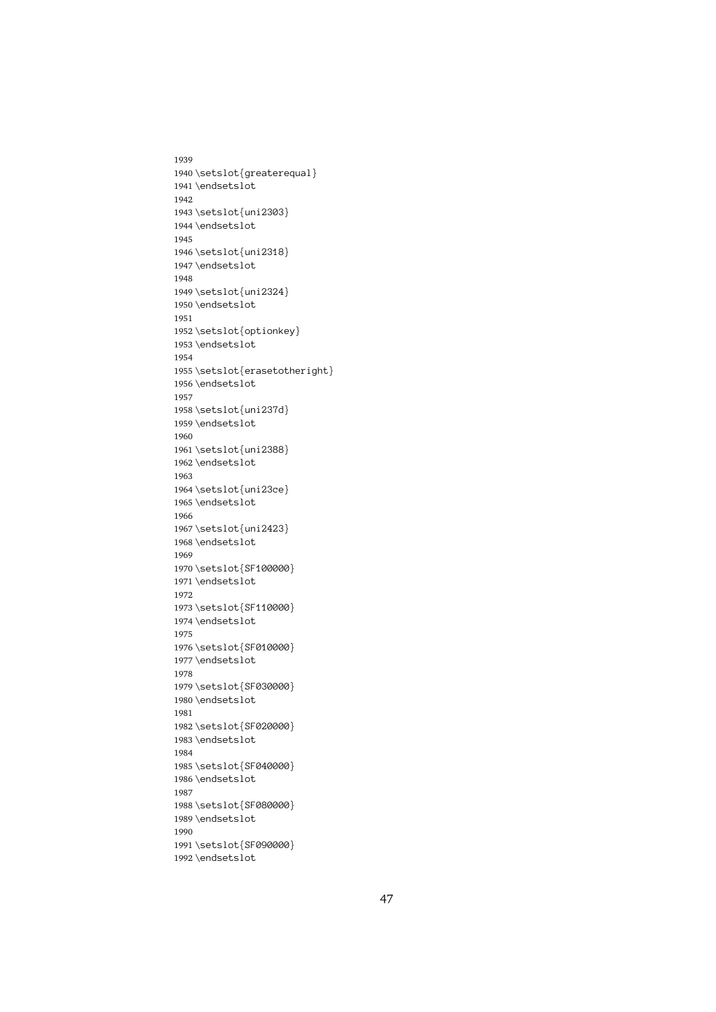1939 1940\setslot{greaterequal} \endsetslot<br>\setslot{uni2303}<br>\endsetslot 1941 \endsetslot \setslot{un<br>\setslot{un<br>\endsetslot<br>\setslot{un 1942 1943 \endsetslot<br>\setslot{uni2318}<br>\endsetslot 1944 \endsetslot \setslot{un<br>\endsetslot<br>\setslot{un 1945 1946 \endsetslot<br>\setslot{uni2324}<br>\endsetslot 1947\endsetslot \setslot{un<br>\endsetslot<br>\setslot{op 1948 1949 \endsetslot<br>\setslot<br>\setslot{optionke<br>\endsetslot 1950 \endsetslot \setslot{op<br>\setslot{op<br>\endsetslot<br>\setslot{er 1951 1952 \endsetslot<br>\setslot{erasetothe<br>\endsetslot 1953 \endsetslot \setslot{er<br>\endsetslot<br>\setslot{un 1954 1955 \endsetslot<br>\setslot{uni237d}<br>\endsetslot 1956 \endsetslot \setslot{un<br>\endsetslot<br>\setslot{un 1957 1958 \endsetslot<br>\setslot<br>\setslot{uni2388}<br>\endsetslot 1959 \endsetslot \setslot{un<br>\endsetslot<br>\setslot{un 1960 1961 \endsetslot<br>\setslot{uni23ce}<br>\endsetslot 1962 \endsetslot \setslot{un<br>\setslot{un<br>\endsetslot<br>\setslot{un 1963 1964 \endsetslot<br>\setslot{uni2423}<br>\endsetslot 1965 \endsetslot \setslot{un<br>\endsetslot<br>\setslot{SF 1966 1967 \endsetslot<br>\setslot<br>\setslot{SF100000<br>\endsetslot 1968 \endsetslot \setslot{SF<br>\endsetslot<br>\setslot{SF 1969 1970 \endsetslot<br>\setslot{SF110000}<br>\endsetslot<br>findsetslot 1971 \endsetslot \setslot{SF<br>\endsetslot<br>\setslot{SF 1972 1973 \endsetslot<br>\setslot{SF010000}<br>\endsetslot 1974 \endsetslot \setslot{SF<br>\endsetslot<br>\setslot{SF 1975 1976 \endsetslot<br>\setslot{SF030000}<br>\endsetslot 1977 \endsetslot \setslot{SF<br>\endsetslot<br>\setslot{SF 1978 1979 \endsetslot<br>\setslot{SF020000}<br>\endsetslot<br>F 1980 \endsetslot \setslot{SF<br>\endsetslot<br>\setslot{SF 1981 1982 \endsetslot<br>\setslot{SF040000}<br>\endsetslot 1983 \endsetslot \setslot{SF<br>\endsetslot<br>\setslot{SF 1984 1985 \endsetslot<br>\setslot{SF080000}<br>\endsetslot 1986 \endsetslot \setslot{SF<br>\endsetslot<br>\setslot{SF 1987 1988 \endsetslot<br>\setslot{SF090000}<br>\endsetslot<br>F 1989\endsetslot \setslot{SF<br>\endsetslot<br>} 1990 1991 1992\endsetslot<br>1992\endsetslot  $\overline{\phantom{a}}$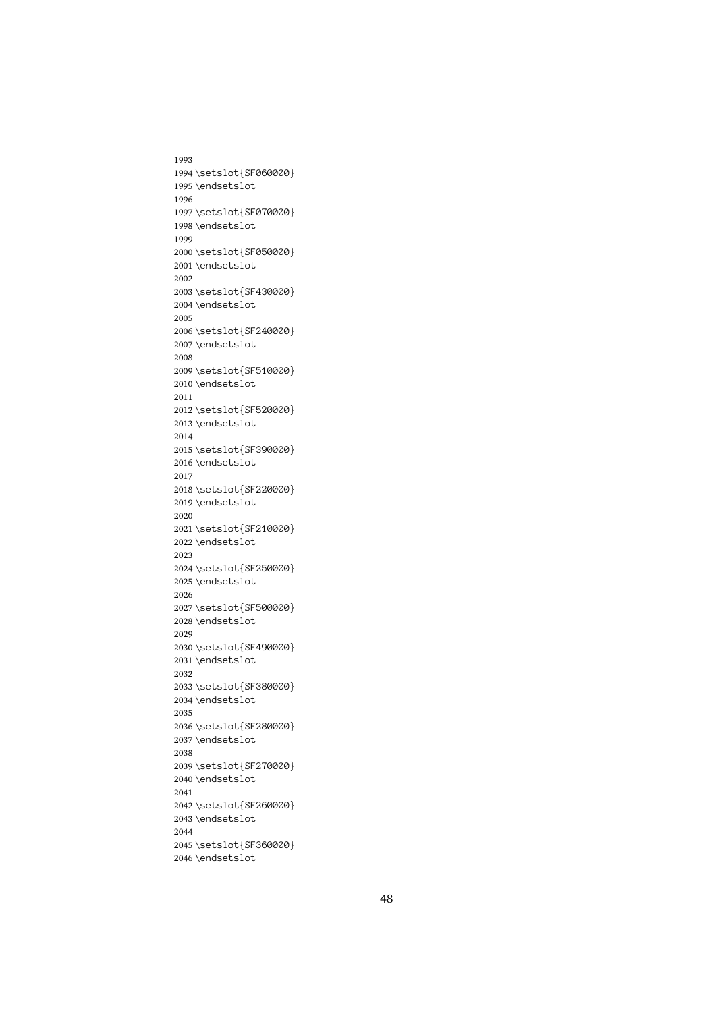1993 1994 \setslot{SF060000} \endsetslot<br>\setslot{SF070000}<br>\endsetslot 1995 \endsetslot \setslot{SF<br>\endsetslot<br>\setslot{SF 1996 1997 \endsetslot<br>\setslot{SF050000}<br>\endsetslot 1998 \endsetslot \setslot{SF<br>\endsetslot<br>\setslot{SF 1999 2000 \endsetslot<br>\setslot{SF430000}<br>\endsetslot 2001\endsetslot \setslot{SF<br>\endsetslot<br>\setslot{SF 2002 2003 \endsetslot<br>\setslot{SF240000}<br>\endsetslot 2004\endsetslot \setslot{SF<br>\endsetslot<br>\setslot{SF 2005 2006 \endsetslot<br>\setslot{SF510000}<br>\endsetslot 2007\endsetslot \setslot{SF<br>\endsetslot<br>\setslot{SF 2008 2009 \endsetslot<br>\setslot{SF520000}<br>\endsetslot 2010 \endsetslot \setslot{SF<br>\endsetslot<br>\setslot{SF 2011 2012 \endsetslot<br>\setslot{SF390000}<br>\endsetslot<br>} 2013 \endsetslot \setslot{SF<br>\endsetslot<br>\setslot{SF 2014 2015 \endsetslot<br>\setslot{SF220000}<br>\endsetslot 2016 \endsetslot \setslot{SF<br>\endsetslot<br>\setslot{SF 2017 2018 \endsetslot<br>\setslot{SF210000}<br>\endsetslot 2019 \endsetslot \setslot{SF<br>\endsetslot<br>\setslot{SF 2020 2021 \endsetslot<br>\setslot{SF250000}<br>\endsetslot 2022\endsetslot \setslot{SF<br>\endsetslot<br>\setslot{SF 2023 2024 \endsetslot<br>\setslot{SF500000}<br>\endsetslot<br>} 2025\endsetslot \setslot{SF<br>\endsetslot<br>\setslot{SF 2026 2027 \endsetslot<br>\setslot{SF490000}<br>\endsetslot 2028 \endsetslot \setslot{SF<br>\endsetslot<br>\setslot{SF 2029 2030 \endsetslot<br>\setslot{SF380000}<br>\endsetslot 2031\endsetslot \setslot{SF<br>\endsetslot<br>\setslot{SF 2032 2033 \endsetslot<br>\setslot{SF280000}<br>\endsetslot 2034 \endsetslot \setslot{SF<br>\endsetslot<br>\setslot{SF 2035 2036 \endsetslot<br>\setslot{SF270000}<br>\endsetslot 2037\endsetslot \setslot{SF<br>\endsetslot<br>\setslot{SF 2038 2039 \endsetslot<br>\setslot{SF260000}<br>\endsetslot 2040 \endsetslot \setslot{SF<br>\endsetslot<br>\setslot{SF 2041 2042 \endsetslot<br>\setslot{SF360000}<br>\endsetslot<br>F 2043 \endsetslot \setslot{SF<br>\endsetslot<br>} 2044 2045 2046\endsetslot  $\overline{\phantom{a}}$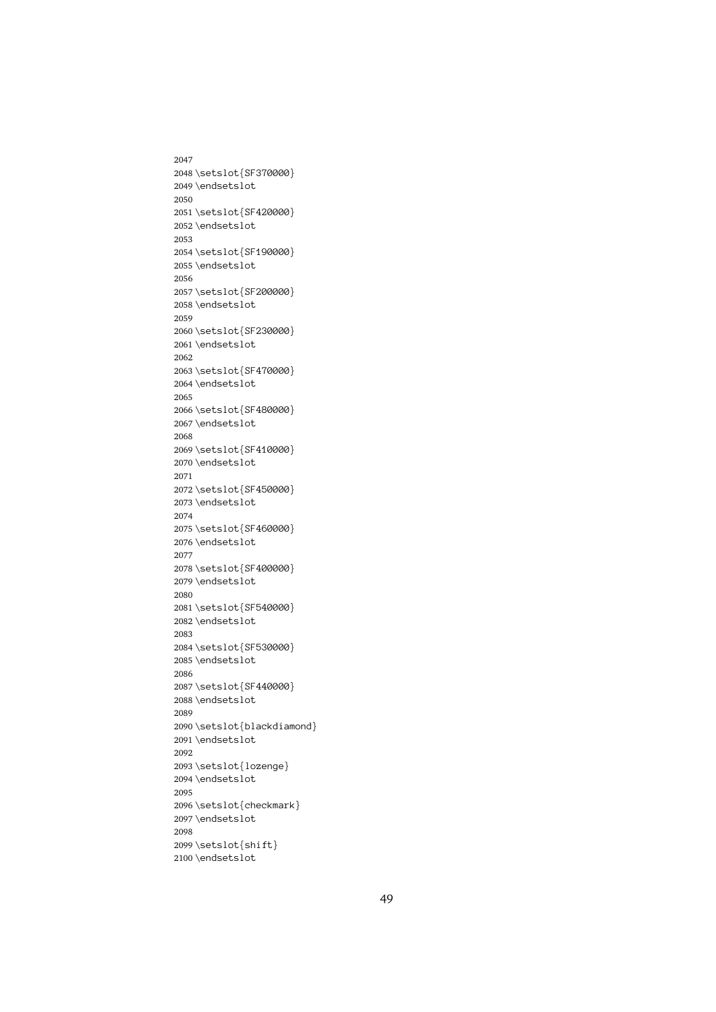2047 2048 \setslot{SF370000} \endsetslot<br>\setslot{SF420000}<br>\endsetslot 2049 \endsetslot \setslot{SF<br>\endsetslot<br>\setslot{SF 2050 2051 \endsetslot<br>\setslot{SF190000}<br>\endsetslot 2052 \endsetslot \setslot{SF<br>\endsetslot<br>\setslot{SF 2053 2054 \endsetslot<br>\setslot{SF200000}<br>\endsetslot 2055 \endsetslot \setslot{SF<br>\endsetslot<br>\setslot{SF 2056 2057 \endsetslot<br>\setslot{SF230000}<br>\endsetslot<br>@ 2058 \endsetslot \setslot{SF<br>\endsetslot<br>\setslot{SF 2059 2060 \endsetslot<br>\setslot{SF470000}<br>\endsetslot 2061\endsetslot \setslot{SF<br>\endsetslot<br>\setslot{SF 2062 2063 \endsetslot<br>\setslot{SF480000}<br>\endsetslot 2064 \endsetslot \setslot{SF<br>\endsetslot<br>\setslot{SF 2065 2066 \endsetslot<br>\setslot{SF410000}<br>\endsetslot 2067\endsetslot \setslot{SF<br>\endsetslot<br>\setslot{SF 2068 2069 \endsetslot<br>\setslot{SF450000}<br>\endsetslot 2070 \endsetslot \setslot{SF<br>\endsetslot<br>\setslot{SF 2071 2072 \endsetslot<br>\setslot{SF460000}<br>\endsetslot 2073 \endsetslot \setslot{SF<br>\endsetslot<br>\setslot{SF 2074 2075 \endsetslot<br>\setslot{SF400000}<br>\endsetslot<br>F 2076 \endsetslot \setslot{SF<br>\endsetslot<br>\setslot{SF 2077 2078 \endsetslot<br>\setslot{SF540000}<br>\endsetslot<br>@ 2079 \endsetslot \setslot{SF<br>\endsetslot<br>\setslot{SF 2080 2081 \endsetslot<br>\setslot{SF530000}<br>\endsetslot 2082 \endsetslot \setslot{SF<br>\endsetslot<br>\setslot{SF 2083 2084 \endsetslot<br>\setslot{SF440000}<br>\endsetslot 2085 \endsetslot \setslot{SF<br>\endsetslot<br>\setslot{bl 2086 2087 \endsetslot<br>\setslot{blackdiam<br>\endsetslot 2088\endsetslot \setslot{bl<br>\setslot{bl<br>\endsetslot<br>\setslot{lo 2089 2090 \endsetslot<br>\setslot{lozenge}<br>\endsetslot 2091\endsetslot \setslot{lo<br>\setslot{lo<br>\endsetslot<br>\setslot{ch 2092 2093 \endsetslot<br>\setslot{checkmar<br>\endsetslot 2094 \endsetslot \setslot{ch<br>\endsetslot<br>\setslot{sh 2095 2096 \endsetslot<br>\setslot<br>\setslot{shift}<br>\endsetslot 2097\endsetslot \setslot{sh<br>\endsetslot<br>\endsetslot 2098 2099 2100\endsetslot  $\overline{\phantom{a}}$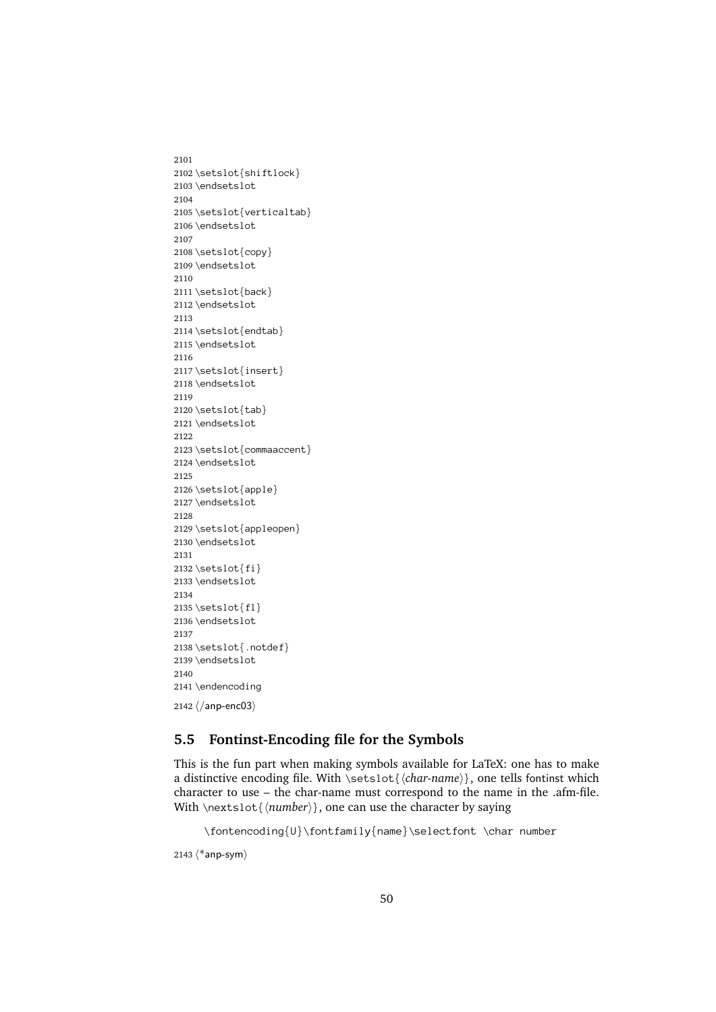2101 2102 \setslot{shiftlock} \endsetslot<br>\setslot{verticalta<br>\endsetslot 2103\endsetslot \setslot{ve<br>\setslot{ve<br>\endsetslot<br>\setslot{co 2104 2105 \endsetslot<br>\setslot{copy}<br>\endsetslot 2106 \endsetslot \setslot{co<br>\endsetslot<br>\setslot{ba 2107 2108 \endsetslot<br>\setslot{back}<br>\endsetslot 2109 \endsetslot \setslot{ba<br>\endsetslot<br>\setslot{en 2110 2111 \endsetslot<br>\setslot{endta<br>\endsetslot 2112 \setslot{en<br>\setslot{en<br>\endsetslot<br>\setslot{in 2113 2114 \endsetslot<br>\setslot{insert}<br>\endsetslot 2115 \endsetslot \setslot{in<br>\endsetslot<br>\setslot{ta 2116 2117  $\end{stacked} \setslot{\tab}\end{center}$ 2118 \endsetslot \setslot{ta<br>\endsetslot<br>\setslot{co 2119 2120 \endsetslot<br>\setslot{comm<br>\endsetslot 2121 \endsetslot \setslot{co<br>\endsetslot<br>\setslot{ap 2122 2123 \endsetslot<br>\setslot{apple}<br>\endsetslot 2124 \endsetslot \setslot{ap<br>\endsetslot<br>\setslot{ap 2125 2126 \endsetslot<br>\setslot<br>\setslot{appleo<br>\endsetslot 2127\endsetslot \setslot{ap<br>\endsetslot<br>\setslot{fi 2128 2129 \endsetslot<br>\setslot<br>\setslot{fi}<br>\endsetslot 2130 \endsetslot \setslot{fi<br>\endsetslot<br>\setslot{fl 2131 2132 \setslot{fi} 2133 \setslot{fl<br>\setslot{fl<br>\endsetslot<br>\setslot{.n 2134  $2135 \setminus \setminus \setminus \setminus \set$ \endsetslot<br>\setslot{.no<br>\endsetslot 2136 \setslot{.n<br>\endsetslot<br>\endencodin 2137 2138 \endsetslot<br>\endencoding<br> $\langle/\text{anp-enc03}\rangle$ 2139 \endsetslot \endencodin<br>\/anp-enc03) 2140 2141 \endencoding  $\langle$ /anp-enc03 $\rangle$ <br>Fontinst 2142  $\langle$ /anp-enc $03\rangle$ 

#### <span id="page-49-0"></span>**5.5 Fontinst-Encoding file for the Symbols**

This is the fun part when making symbols available for LaTeX: one has to make a distinctive encoding file. With  $\setminus \{char\$ {anen} \}, one tells fontinst which \setslot{*\char-name*}}, one tells fontinst which<br>e must correspond to the name in the .afm-file.<br>can use the character by saying<br>mily{name}\selectfont \char number character to use – the char-name must correspond to the name in the .afm-file. With  $\text{sot}\{ \number \}$ , one can use the character by saying

```
\fontencoding{U}\fontfamily{name}\selectfont \char number
\langle \text{un} \rangle<br>Sanp-sym\rangle
```

```
2143 \langle *anp\text{-sym} \rangle
```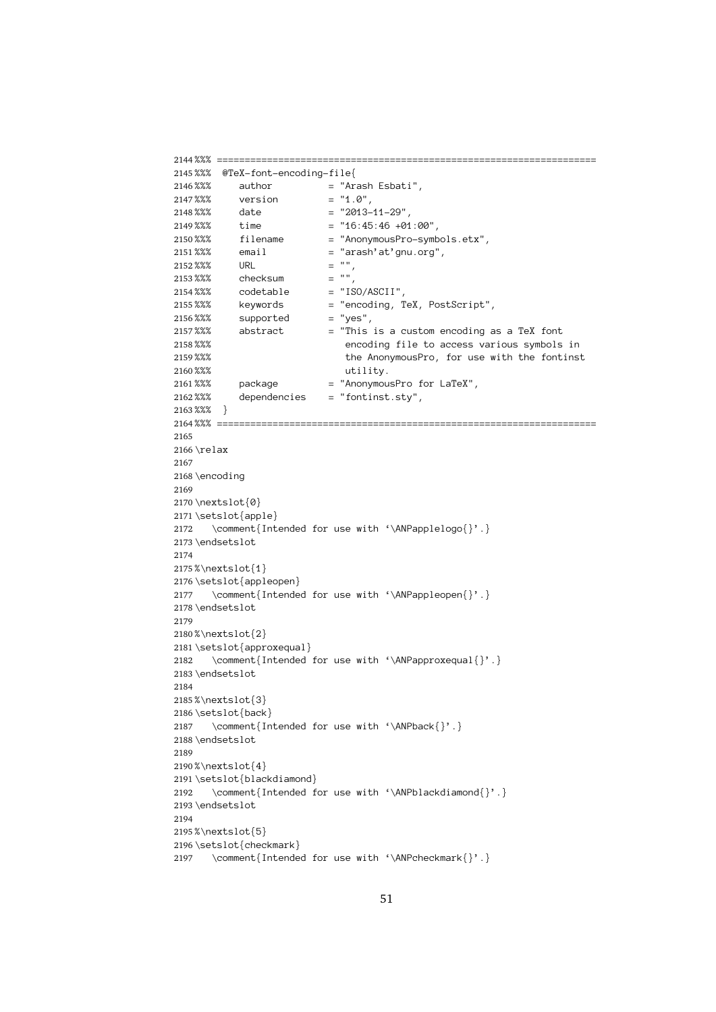```
2144 %%% ====================================================================
2145%%% @TeX-font-encoding-file{
          %%% author = "Ar<br>
%%% ersion = "1.<br>
%%% date = "20<br>
%%% time = "16<br>
%%% filename = "An
2146\%% author = "Arash Esbati",
          %%% version = "1.0",<br>%%% date = "2013-11-29",<br>%%% time = "16:45:46 +01:0<br>%%% filename = "AnonymousPro-s<br>%%% email = "arash'at'gnu.o
 2147 %%% date = "2013-<br>%%% time = "16:45<br>%%% filename = "Anony<br>%%% email = "arash" = "",
 2148 %%% time = "16:45:46 +01<br>%%% filename = "AnonymousPro<br>%%% email = "arash'at'gnu<br>%%% URL = "",<br>%%% checksum = "",
 2149 %%% filename = "AnonymousPro-symb<br>%%% email = "arash'at'gnu.org"<br>%%% URL = "",<br>%%% checksum = "",<br>%%% codetable = "ISO/ASCII",
 2150 %%% email = "arash'at'gnu.org",<br>%%% email = "arash'at'gnu.org",<br>%%% checksum = "",<br>%%% codetable = "ISO/ASCII",<br>%%% keywords = "encoding, TeX, PostScript"<br>%%% supported = "yes",
 2151 2152 %% URL = "",<br>
2153 %% checksum = "",<br>
2154 %% codetable = "ISO/ASCII",<br>
2155 %% keywords = "encoding, TeX, PostScript",<br>
2156 %% supported = "yes",<br>
2157 %% abstract = "This is a custom encoding a<br>
2158 %% the Anonymo
          %%% and the AnonymousPro, for use with the font<br>
%%% abstract the AnonymousPro, for use with the font<br>
%%% package and the This is a custom encoding to the TeX", dependencies and the This is a custom entity of the S<br>
%% de
2158%%%
          %%% the AnonymousPro, for use with the fontins<br>%%% package = "AnonymousPro for LaTeX",<br>%%% dependencies = "fontinst.sty",<br>%%% }
2159%%%
          %%% the AnonymousPro, for use with the fontinst
2160 %%%
          %%% utility.
2161%%%
          %%% package = "AnonymousPro for LaTeX",
2162 %%%
          %%% dependencies = "fontinst.sty",
2163%%%}
          %%% ==<br>%%% ==<br>\relax<br>\encod
 2164 \relax<br>\encoding
2165
 2166 \encod<br>\encod<br>\nexts<br>\setsl
2167
2168 \encoding
          \nextslot<br>\setslot{<br>\comme<br>\endsetsl
2169
2170 \nextslot\{\emptyset\}2171 \setslot{app<br>2172 \comment{<br>2173 \endsetslot<br>2174 2175 %\nextslot{1
 \setslot{apple}
2176 2172 \comment{Intended for use with '\ANPapplelogo{}'.}<br>dsetslot<br>extslot{1}<br>tslot{appleopen}<br>\comment{Intended for use with '\ANPappleopen{}'.}
2173 \endsetslot
          \\nextslot{<br>\setslot{ap\<br>\comment<br>\endsetslot
2174
2175%\nextslot{1}
          %\setslot{appl<br>\setslot{appl<br>\comment{I<br>\endsetslot<br>%\nextslot{2}
 \setslot{appleopen}
2177 \comment{Intended for use with '\ANPappleopen{}'.}<br>dsetslot<br>extslot{2}<br>tslot{approxequal}<br>\comment{Intended for use with '\ANPapproxequal{}'
2178 \endsetslot
          \\nextslot{<br>\setslot{ap\<br>\comment<br>\endsetslot
2179
 2180 \begin{array}{l} \textbf{2181} \setminus \textbf{2181} \setminus \textbf{2182} \setminus \textbf{2182} \setminus \textbf{2183} \setminus \textbf{2184} \end{array}\setslot{approxequal}
2182 \comment{Intended for use with '\ANPapproxequal{}'.}<br>dsetslot<br>extslot{3}<br>tslot{back}<br>\comment{Intended for use with '\ANPback{}'.}
2183 \endsetslot
          \\nextslot{<br>\setslot{ba<br>\comment<br>\endsetslot
2184
2185%\nextslot{3}
          %\setslot{back<br>\comment{I<br>\endsetslot<br>%\nextslot{4}
2186 \setslot{back}
 \setslot{back}
2187 \comment{Intended for use with '\ANPback{}'.}
2188\endsetslot
          %\nextslot{<br>%\nextslot{<br>\setslot{bl<br>\comment<br>\endsetslot
2189
2190 % \nexthtt{\text{'\char'13}}\n2190 % \nexthtt{\text{'\char'13}}\n3220 % \nexthtt{\text{'\char'13}}\n3320 % \nexthtt{\text{'\char'13}}\n3430 % \nexthtt{\text{'\char'13}}\n3530 % \nexthtt{\text{'\char'13}}\n3630 % \nexthtt{\text{'\char'13}}\n3730 % \nexthtt{\text{'\char'13}}\n3830 % \nexthtt{\text{'\char'13}}\n3930 % \nexthtt{\text{'\char'13}}\n3040 % \nexthtt{\text{'\char'13}}\n3240 % \nexthtt{\text{'2191\setslot{blac<br>2192 \comment{I<br>2192 \comment{I<br>2193\endsetslot<br>2194<br>2195%\nextslot{5}
 \setslot{blackdiamond}
2192 \comment{Intended for use with '\ANPblackdiamond{}'.}<br>dsetslot<br>extslot{5}<br>tslot{checkmark}<br>\comment{Intended for use with '\ANPcheckmark{}'.}
2193 \endsetslot
          %\nextslot{<br>%\nextslot{<br>\setslot{ch<br>\comment
2194
2195%\nextslot{5}
          \setminussetslot{chec\setminuscomment{I
2196 \setslot{checkmark}
 2197 \comment{Intended for use with '\ANPcheckmark{}'.}<br>51
```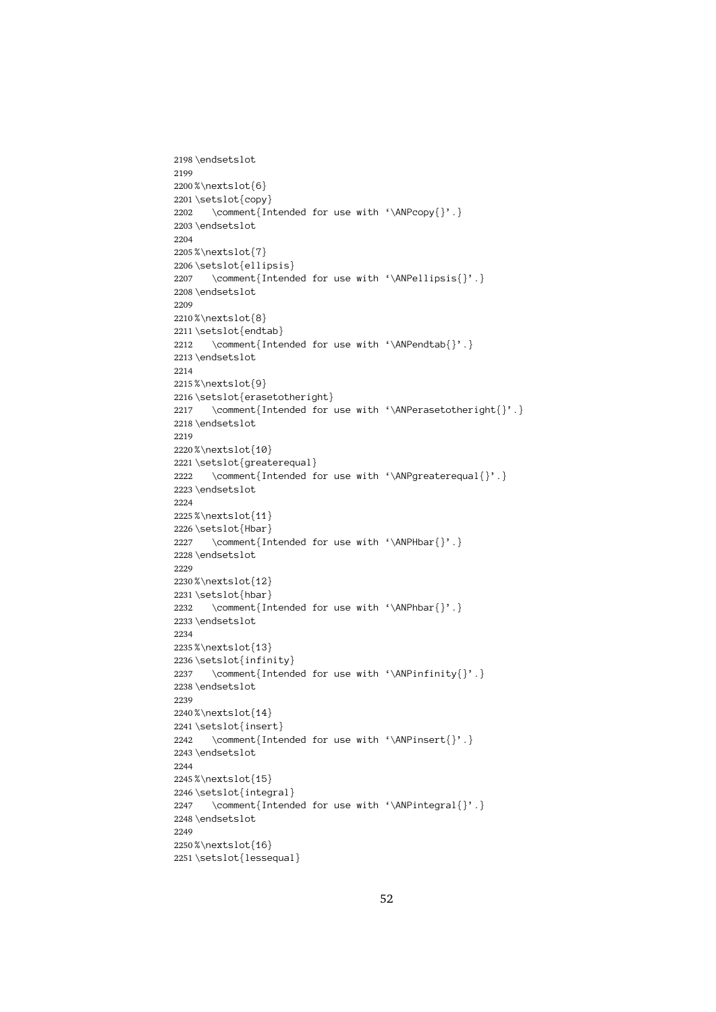```
2198 \endsetslot
 2199<br>2200%\nextslot{<br>2201\setslot{co<br>2202 \comment<br>2203\endsetslot
2199
2200%\nextslot{6}
 2201\setslot{copy<br>2201\setslot{copy<br>2202 \comment{I<br>2203\endsetslot<br>2204<br>2205%\nextslot{7}
 \setslot{copy}
2206 2202 \comment{Intended for use with '\ANPcopy{}'.}<br>dsetslot<br>extslot{7}<br>tslot{ellipsis}<br>\comment{Intended for use with '\ANPellipsis{
 2204<br>2205%\nextslot{<br>2206\setslot{el<br>2207 \comment<br>2208\endsetslot
2204
2205%\nextslot{7}
            \setslot{elli<br>\comment{I<br>\endsetslot<br>%\nextslot{8}
 %2007 \comment{Intended for use with '\ANPellipsis{}'.}<br>
2208\endsetslot<br>
2209<br>
2210%\nextslot{8}<br>
2211\setslot{endtab}<br>
2212 \comment{Intended for use with '\ANPendtab{}'.}
            %\nextslot{<br>%\nextslot{<br>\setslot{en<br>\endsetslot
2209
2210%\nextslot{8}
 2211 \setslot{endt}<br>2212 \comment{1}<br>2213 \endsetslot<br>2214 2215 %\nextslot{9}
 2212 \comment{Inte<br>2213 \endsetslot<br>2214<br>2215 %\nextslot{9}<br>2216 \setslot{eraseto
2212 \comment{Intended for use with '\ANPendtab{}'.}<br>dsetslot<br>extslot{9}<br>tslot{erasetotheright}<br>\comment{Intended for use with '\ANPerasetother
2213\endsetslot
            %\nextslot{<br>%\nextslot{<br>\setslot fer\comment<br>\endsetslot
2214
2215%\nextslot{9}
            \setslot{eras<br>\comment{I<br>\endsetslot<br>%\nextslot{10
 2217 \comment{Intended for<br>2218\endsetslot<br>2219<br>2220%\nextslot{10}<br>2221\setslot{greaterequal}
                    \comment{Intended for use with '\ANPerasetotheright{}'.}<br>dsetslot<br>extslot{10}<br>tslot{greaterequal}<br>\comment{Intended for use with '\ANPgreaterequal{}'.}
2218 \endsetslot
            %\nextslot{<br>%tslot{gr\comment<br>\endsetslot
2219
2220%\nextslot{10}
 %\nextslot{10}
2221 \comment{Intended for use with '\ANPgreaterequal{}'.}<br>\endsetslot<br>%\nextslot{11}<br>\setslot{Hbar}<br>\comment{Intended for use with '\ANPHbar{}'.}
2222 2223 \endsetslot
            \\nextslot{<br>\setslot{Hb<br>\comment<br>\endsetslot
2224
 2225 www.extslot{Hbar}<br>\setslot{Hbar}<br>\comment{In<br>\endsetslot<br>%\nextslot{12}
2226 \setslot{Hbar}
            \comment{In<br>\comment{In<br>\endsetslot<br>%\nextslot{12}<br>\setslot{hbar}
2227 \comment{Intended for use with '\ANPHbar{}'.}
                \comment{Intended for use with '\ANPhbar{}'.}
2228\endsetslot
            \\nextslot{<br>\setslot{hb<br>\comment<br>\endsetslot
2229
 2230 2231 \setslot{hbar}<br>2231 \setslot{hbar}<br>2232     \comment{In<br>2233 \endsetslot<br>2234<br>2235 %\nextslot{13}
 \setslot{hbar}
2236 2232 \comment{Intended for use with '\ANPhbar{}'.}<br>dsetslot<br>extslot{13}<br>tslot{infinity}<br>\comment{Intended for use with '\ANPinfinity{
2233 \endsetslot
            \\nextslot{<br>\setslot{in<br>\comment<br>\endsetslot
2234
2235%\nextslot{13}
            \setslot{infin<br>\comment{In<br>\endsetslot<br>%\nextslot{14}
 2237 \comment{Intend<br>2238 \endsetslot<br>2239<br>2240 %\nextslot{14}<br>2241 \setslot{insert}
                    \comment{Intended for use with '\ANPinfinity{}'.}<br>dsetslot<br>extslot{14}<br>tslot{insert}<br>\comment{Intended for use with '\ANPinsert{}'.}
2238 \endsetslot
            %\nextslot{<br>%\nextslot{<br>\setslot{in<br>\endsetslot
2239
2240%\nextslot{14}
            \setslot{inser<br>\comment{In<br>\endsetslot<br>%\nextslot{15}
2241\setslot{insert}
 2242 \comment{Inte<br>2243 \endsetslot<br>2243 \endsetslot<br>2245 %\nextslot{15}<br>2246 \setslot{integra
                    \comment{Intended for use with '\ANPinsert{}'.}<br>dsetslot<br>extslot{15}<br>tslot{integral}<br>\comment{Intended for use with '\ANPintegral{}'
2243\endsetslot
            %\nextslot{<br>%\nextslot{<br>\setslot{in<br>\endsetslot
2244
 2245 2246\setslot{integ<br>
2246\setslot{integ<br>
2247 \comment{In<br>
2248\endsetslot<br>
2249<br>
2250%\nextslot{16}
            \comment{Intend<br>\endsetslot<br>%\nextslot{16}<br>\setslot{lessequal
2247 \comment{Intended for use with '\ANPintegral{}'.}<br>dsetslot<br>extslot{16}<br>tslot{lessequal}
2248 \endsetslot
            \<br>%\nextslot{<br>\setslot{le
2249
2250%\nextslot{16}
 2251\setslot{lesse<br>2251\setslot{lesse
```
 $\left($  and  $\left($  and  $\left($  and  $\left($  and  $\left($  and  $\left($  and  $\left($  and  $\left($  and  $\left($  and  $\left($  and  $\left($  and  $\left($  and  $\left($  and  $\left($  and  $\left($  and  $\left($  and  $\left($  and  $\left($  and  $\left($  and  $\left($  and  $\left($  and  $\left($  and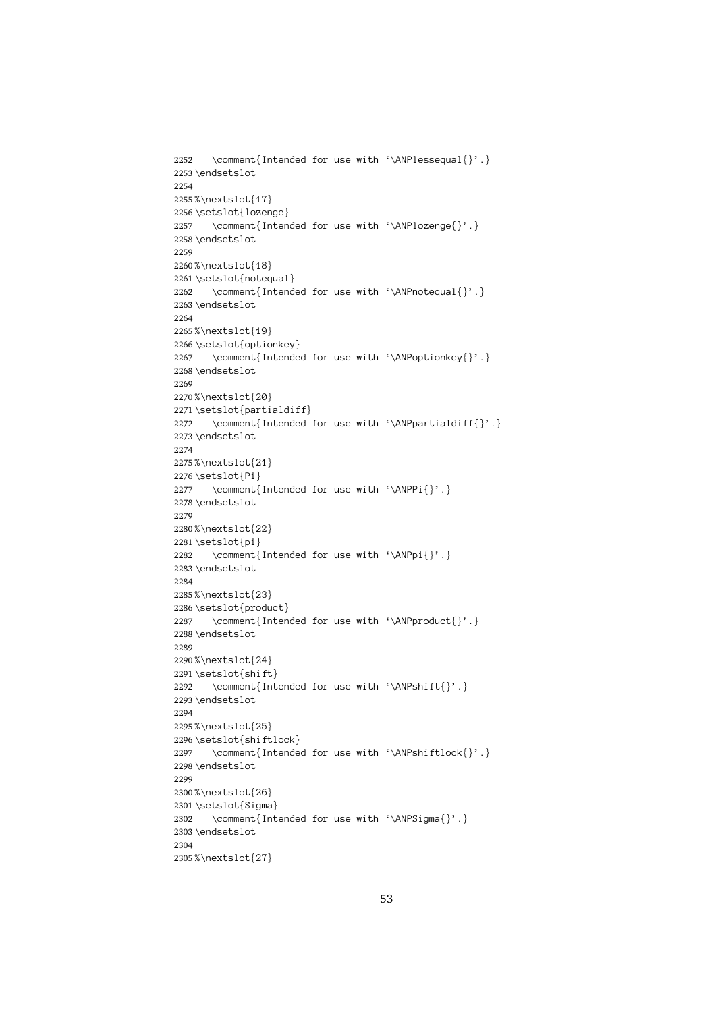```
2252
                   \comment{Intended for use with '\ANPlessequal{}'.}<br>dsetslot<br>extslot{17}<br>tslot{lozenge}<br>\comment{Intended for use with '\ANPlozenge{}'.}
2253 \endsetslot
           \\nextslot{<br>\setslot{lo<br>\comment<br>\endsetslot
2254
 2255 \setslot{lozen<br>\comment{In<br>\endsetslot<br>%\nextslot{18}
2256 \setslot{lozenge}
           \comment{Inten<br>\endsetslot<br>%\nextslot{18}<br>\setslot{notequal
2257 \comment{Intended for use with '\ANPlozenge{}'.}<br>dsetslot<br>extslot{18}<br>tslot{notequal}<br>\comment{Intended for use with '\ANPnotequal{}'.
2258\endsetslot
           %\nextslot{<br>%\nextslot{<br>\setslot{no<br>\endsetslot
2259
2260%\nextslot{18}
 %\nextslot{18}
2261 \comment{Intend<br>\endsetslot<br>%\nextslot{19}<br>\setslot{optionkey
2262 \comment{Intended for use with '\ANPnotequal{}'.}<br>dsetslot<br>extslot{19}<br>tslot{optionkey}<br>\comment{Intended for use with '\ANPoptionkey{}'.
2263\endsetslot
 \endsetslot
2268 2264
2265%\nextslot{19}
           \setslot{optio<br>\comment{In<br>\endsetslot<br>%\nextslot{20}
2266\setslot{optionkey}
 2267 \comment{Intende<br>2268 \endsetslot<br>2269<br>2270 %\nextslot{20}<br>2271 \setslot{partialdif
                   \comment{Intended for use with '\ANPoptionkey{}'.}<br>dsetslot<br>extslot{20}<br>tslot{partialdiff}<br>\comment{Intended for use with '\ANPpartialdiff{}'
           \\nextslot{<br>\setslot{pa<br>\comment<br>\endsetslot
2269
2270%\nextslot{20}
           \setslot{parti<br>\comment{In<br>\endsetslot<br>%\nextslot{21}
2271 \setslot{partialdiff}
 2272 \comment{Intended for use with '\ANPpartialdiff{}'.}<br>2273 \endsetslot<br>2274<br>2275%\nextslot{21}<br>2276 \setslot{Pi}<br>2277 \comment{Intended for use with '\ANPPi{}'.}
2273\endsetslot
           \\nextslot{<br>\setslot{Pi<br>\comment<br>\endsetslot
2274
2275%\nextslot{21}
              \comment{Intended for use with '\ANPPi{}'.}
2276\setslot{Pi}
           \comment{<br>\endsetslot<br>%\nextslot{2<br>\setslot{pi}
2277 \comment{Intended for use with '\ANPPi{}'.}
 2278 \\nextslot{<br>\setslot{pi<br>\comment<br>\endsetslot
2279
 2280 www.extslot{pi}<br>\setslot{pi}<br>\comment{In<br>\endsetslot<br>%\nextslot{23}
2281 \setminus \setminus \setminus \setminus \setminus \set\comment{<br>\endsetslot<br>%\nextslot{2<br>\setslot{pro
2282 \comment{Intended for use with '\ANPpi{}'.}<br>dsetslot<br>extslot{23}<br>tslot{product}<br>\comment{Intended for use with '\ANPproduct
2283\endsetslot
 \endsetslot
2288 2284
 2285 \setslot{produ<br>\comment{In<br>\endsetslot<br>%\nextslot{24}
2286\setslot{product}
           \comment{Inten<br>\endsetslot<br>%\nextslot{24}<br>\setslot{shift}
2287 \comment{Intended for use with '\ANPproduct{}'.}<br>dsetslot<br>extslot{24}<br>tslot{shift}<br>\comment{Intended for use with '\ANPshift{}'.}
           %\nextslot{<br>%\nextslot{<br>\setslot{sh<br>\comment<br>\endsetslot
2289
2290%\nextslot{24}
           \setslot{shift<br>\comment{In<br>\endsetslot<br>%\nextslot{25}
2291 \setslot{shift}
 2292 \comment{Int<br>2293 \endsetslot<br>2294<br>2295 %\nextslot{25}<br>2296 \setslot{shiftl
                   \comment{Intended for use with '\ANPshift{}'.}<br>dsetslot<br>extslot{25}<br>tslot{shiftlock}<br>\comment{Intended for use with '\ANPshiftlock{
2293\endsetslot
           %\nextslot{<br>%\nextslot{<br>\setslot{sh<br>\comment<br>\endsetslot
2294
 2295 2296\setslot{shift<br>2297 \comment{In<br>2297 \comment{In<br>2298\endsetslot<br>2299<br>2300%\nextslot{26}
           \comment{Intende<br>\endsetslot<br>%\nextslot{26}<br>\setslot{Sigma}
2297 \comment{Intended for use with '\ANPshiftlock{}'.}<br>dsetslot<br>extslot{26}<br>tslot{Sigma}<br>\comment{Intended for use with '\ANPSigma{}'.}
2298\endsetslot
           %\nextslot{<br>%tslot{Si<br>\comment<br>\endsetslot
2299
 2300 2301\setslot{Sigma<br>2302 \comment{In<br>2302 \comment{In<br>2303\endsetslot<br>2304<br>2305%\nextslot{27}
           \comment{Int}<br>\comment{Int}<br>\endsetslot<br>%\nextslot{27}
2302 \comment{Intended for use with '\ANPSigma{}'.}<br>dsetslot<br>extslot{27}
2303 \endsetslot
           \\nextslot{<br>\
2304
 2305
```
 $\mathcal{L}_{\text{2}}$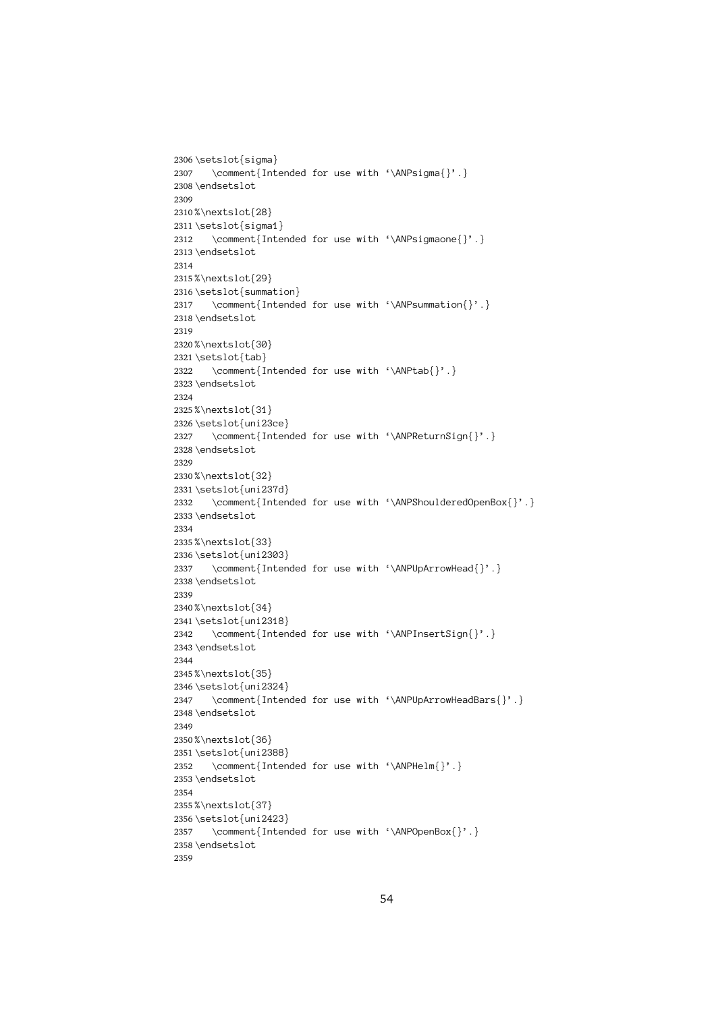```
2306 \setslot{sigma}
 2307 \comment{Int<br>2308 \endsetslot<br>2308 \endsetslot<br>2310 % \nextslot{28}<br>2311 \setslot{sigma1
                  \mathrm{Intended} for use with '\ANPsigmaone{}'.}
2308\endsetslot
            %\nextslot{<br>%\nextslot{<br>\setslot{si<br>\endsetslot
2309
 2310 2311 \setslot{sigma<br>2312 \comment{In<br>2312 \comment{In<br>2313 \endsetslot<br>2314<br>2315 %\nextslot{29}
 2312 \comment{Inte<br>2312 \comment{Inte<br>2313 \endsetslot<br>2314<br>2315 %\nextslot{29}<br>2316 \setslot{summati
2312 \comment{Intended for use with '\ANPsigmaone{}'.}<br>dsetslot<br>extslot{29}<br>tslot{summation}<br>\comment{Intended for use with '\ANPsummation{}'.
2313\endsetslot
            \\nextslot{<br>\setslot{su<br>\comment<br>\endsetslot
2314
2315%\nextslot{29}
            \setslot{summa<br>\comment{In<br>\endsetslot<br>%\nextslot{30}
 2317 \comment{Intended for use with '\ANPsummation{}'.}<br>2318\endsetslot<br>2319<br>2320%\nextslot{30}<br>2321\setslot{tab}<br>2322 \comment{Intended for use with '\ANPtab{}'.}
2318 \endsetslot
 2319<br>2320%\nextslot{<br>2321\setslot{ta<br>2322 \comment<br>2323\endsetslot
2319
2320%\nextslot{30}
 2321 \setslot{tab}<br>2322 \comment{In<br>2322 \comment{In<br>2323 \endsetslot<br>2324<br>2325 %\nextslot{31}
            \comment{I<br>\endsetslot<br>%\nextslot{31<br>\setslot{uni2
2322 \comment{Intended for use with '\ANPtab{}'.}<br>dsetslot<br>extslot{31}<br>tslot{uni23ce}<br>\comment{Intended for use with '\ANPReturnSi
            \\nextslot{<br>\setslot{un<br>\comment<br>\endsetslot
2324
 2325 www.extslot{uni23<br>\setslot{uni23<br>\comment{In<br>\endsetslot<br>%\nextslot{32}
2326\setslot{uni23ce}
 2327 \comment{Inten<br>2328 \endsetslot<br>2328 \endsetslot<br>2329<br>2330 %\nextslot{32}<br>2331 \setslot{uni237d}
                   \mathrm{Intended} for use with '\ANPShoulderedOpenBox{}'.}
2328 \endsetslot
 2329<br>2330 %\nextslot{<br>2331 \setslot{un<br>2332 \comment<br>2333 \endsetslot
2329
2330%\nextslot{32}
 2331 \setslot{uni23<br>
2331 \setslot{uni23<br>
2332 \comment{In<br>
2333 \endsetslot<br>
2334<br>
2335 %\nextslot{33}
 2332 \comment{Inten<br>2333 \endsetslot<br>2333 \endsetslot<br>2334<br>2335 %\nextslot{33}<br>2336 \setslot{uni2303}
2332 \comment{Intended for use with '\ANPShoulderedOpenBox{}'.}<br>dsetslot<br>extslot{33}<br>tslot{uni2303}<br>\comment{Intended for use with '\ANPUpArrowHead{}'.}
            %\nextslot{<br>%\nextslot{<br>\setslot{un}<br>\endsetslot
2334
2335%\nextslot{33}
            \setslot{uni23<br>\comment{In<br>\endsetslot<br>%\nextslot{34}
 2337 \comment{Inten<br>2338 \endsetslot<br>2338 \endsetslot<br>2339<br>2340 %\nextslot{34}<br>2341 \setslot{uni2318}
                     \comment{Intended for use with '\ANPUpArrowHead{}'.}<br>dsetslot<br>extslot{34}<br>tslot{uni2318}<br>\comment{Intended for use with '\ANPInsertSign{}'.}
2338 \endsetslot
 2339<br>2339<br>2340%\nextslot{<br>2341\setslot{un<br>2342 \comment<br>2343\endsetslot
2339
2340%\nextslot{34}
            \setslot{uni23<br>\comment{In<br>\endsetslot<br>%\nextslot{35}
2341\setslot{uni2318}
            \comment{Inten<br>\endsetslot<br>%\nextslot{35}<br>\setslot{uni2324}
2342 \comment{Intended for use with '\ANPInsertSign{}'.}<br>dsetslot<br>extslot{35}<br>tslot{uni2324}<br>\comment{Intended for use with '\ANPUpArrowHeadBars
            \\nextslot{<br>\setslot{un<br>\comment<br>\endsetslot
2344
2345%\nextslot{35}
            \setslot{uni23<br>\comment{In<br>\endsetslot<br>%\nextslot{36}
2346 \setslot{uni2324}
            \comment{Intended for use with '\ANPUpArrowHeadBars{}'.}<br>\endsetslot<br>%\nextslot{36}<br>\setslot{uni2388}<br>\comment{Intended for use with '\ANPHelm{}'.}
2347
2348 \endsetslot
            \\nextslot{<br>\setslot{un<br>\comment<br>\endsetslot
2349
2350%\nextslot{36}
 2351\setslot{uri23<br>2351\setslot{uri23<br>2352 \comment{In<br>2353\endsetslot<br>2354<br>2355%\nextslot{37}
            \comment{Inten<br>\endsetslot<br>%\nextslot{37}<br>\setslot{uni2423}
2352 \comment{Intended for use with '\ANPHelm{}'.}<br>dsetslot<br>extslot{37}<br>tslot{uni2423}<br>\comment{Intended for use with '\ANPOpenBox{}
2353 \endsetslot
            \\nextslot{<br>\setslot{un<br>\comment<br>\endsetslot
2354
2355%\nextslot{37}
 2356 \setslot{uri24<br>2356 \setslot{uri24<br>2357     \comment{In<br>2358 \endsetslot<br>2359
            \comment{Intended for use with '\ANPOpenBox{}'.}<br>\endsetslot<br>54
2357 2358 \endsetslot
            \sum_{i=1}^{n}2359
```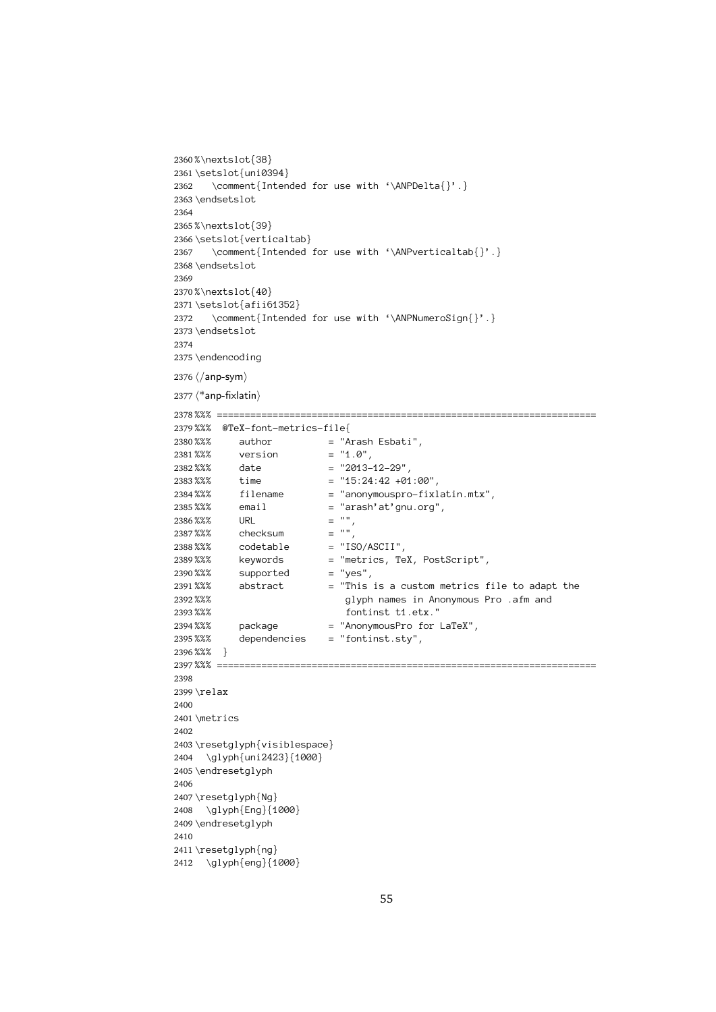```
2360%\nextslot{38}
 2361\setslot{uni03<br>2362 \comment{In<br>2362 \comment{In<br>2363\endsetslot<br>2364<br>2365%\nextslot{39}
 2362 \comment{Inten<br>2363 \endsetslot<br>2363 \endsetslot<br>2364<br>2365 %\nextslot{39}<br>2366 \setslot{vertical
2362
                \comment{Intended for use with '\ANPDelta{}'.}<br>dsetslot<br>extslot{39}<br>tslot{verticaltab}<br>\comment{Intended for use with '\ANPverticalta
2363 \endsetslot
         \\nextslot{<br>\setslot{ve<br>\comment<br>\endsetslot
2364
2365%\nextslot{39}
         \setslot{verti<br>\comment{In<br>\endsetslot<br>%\nextslot{40}
 \setslot{verticaltab}
2367 \comment{Intended for use with '\ANPverticaltab{}'.}<br>dsetslot<br>extslot{40}<br>tslot{afii61352}<br>\comment{Intended for use with '\ANPNumeroSign{}'.}
2368 \endsetslot
         \\nextslot{<br>\setslot{af<br>\comment<br>\endsetslot
2369
2370%\nextslot{40}
 2371\setslot{afii6<br>2372 \comment{In<br>2372 \comment{In<br>2373\endersolot<br>2374<br>2375\endercoding
         \comment{Intended for use with '\ANPNumeroSign{}'.}<br>\endsetslot<br>\endencoding<br>\/anp-sym}
2372 2373 \endsetslot
 2374<br>2375 \endencoding<br>2376 \langleanp-sym}<br>2377 \langle *anp-fixlatin}
2374
2375 \endencoding
         \endencoding
2376 \langle / anp-sym\rangle2378 %%% @TeX-font-metrics-file{<br>%%% author = "Arash Esbati",<br>%%% version = "1.0",<br>%%% date = "2013-12-29",<br>%%% time = "15:24:42 +01:00",
2379%%% @TeX-font-metrics-file{
         %%% author = "A<br>%%% author = "A<br>%%% version = "1<br>%%% date = "2<br>%%% time = "1<br>%%% filename = "a
2380\,\% \%\qquad \qquad \textrm{author}\qquad \qquad =\text{ "Arash Esbati",}%%% version = "1.0",<br>%%% date = "2013-12-29",<br>%%% time = "15:24:42 +01:0<br>%%% filename = "anonymouspro-f<br>%%% email = "arash'at'gnu.o
2381%%% version
         %%% date = "2013-<br>%%% time = "15:24<br>%%% filename = "anony<br>%%% email = "arash" = "",
2382 %%% date
 %%%%% time = "15:24:42 +01:00",<br>
2383 %%% filename = "anonymouspro-fixlatin.mtx",<br>
2385 %%% email = "arash'at'gnu.org",<br>
2386 %%% URL = "",<br>
2387 %%% codetable = "150/ASCII",<br>
2389 %%% keywords = "metrics, TeX, PostScript"
2386 %%% URL = "",
2387 % % checksum
         %%% codetable = "IS%% exprords = "me%%% supported = "ye%%% abstract = "Th<br>%%% supported = "ye%%% abstract = "Th
2388 %%%
         %%% keywords = "metrics, Te<br>%%% supported = "yes",<br>%% abstract = "This is a c<br>%%% supported = "This is a c<br>%%% glyph names<br>fontinst t1
2389 %%% supported = "yes",<br>%%% abstract = "This is a custom metrics f<br>%%% glyph names in Anonymous P<br>%%% package = "AnonymousPro for LaTeX",
2390 %%%
         %%% abstract = "This<br>%%% supported = "This<br>%%% fonti<br>%%% package = "Anony<br>%%% dependencies = "fonti
2391 %%% glyph names in Anonymous Pro .afm and<br>%%% package = "Anonymous Pro for LaTeX",<br>%%% dependencies = "fontinst.sty",<br>%%% }
2392 %%%
         %%% glyph names in Anonymous Pro .afm and
2393 %%% fontinst t1.etx."
2394 %%%
         %%% package = "AnonymousPro for LaTeX",
2395 %%%
         %%% dependencies = "fontinst.sty",
2396 % % }
 %%% }
2397 \relax<br>\metrics
2398
2399 \relax
         \metri<br>\reset<br>\gly
2400
2401\metrics
         \resetgl<br>\glyph<br>\endrese
2402
 2403 2404 \glyph{uni2423}{1000}<br>2405 \endresetglyph<br>2406<br>2407 \resetglyph{Ng}<br>2408 \glyph{Eng}{1000}
             \graph<br>ndresetglyph<br>esetglyph{Ng}<br>\glyph{Eng}{1000}<br>ndresetglyph
2405 \endresetglyph
         \resetglyph{Ng<br>\glyph{Eng}{<br>\endresetglyph
2406
2407\resetglyph{Ng}
 2408 \glyph{Eng}{1<br>2409 \endresetglyph<br>2410<br>2411 \resetglyph{ng}<br>2412 \glyph{eng}{1
             \glyph{ng}<br>ndresetglyph<br>esetglyph{ng}{1000}
2409\endresetalvph
         \resetglyph{ng<br>\glyph{eng}{
2410
 2411
```

```
2412 \quad \qquad \qquad \qquad \qquad<br>2412 \qquad \qquad \qquad \qquad \qquad\frac{1}{2}
```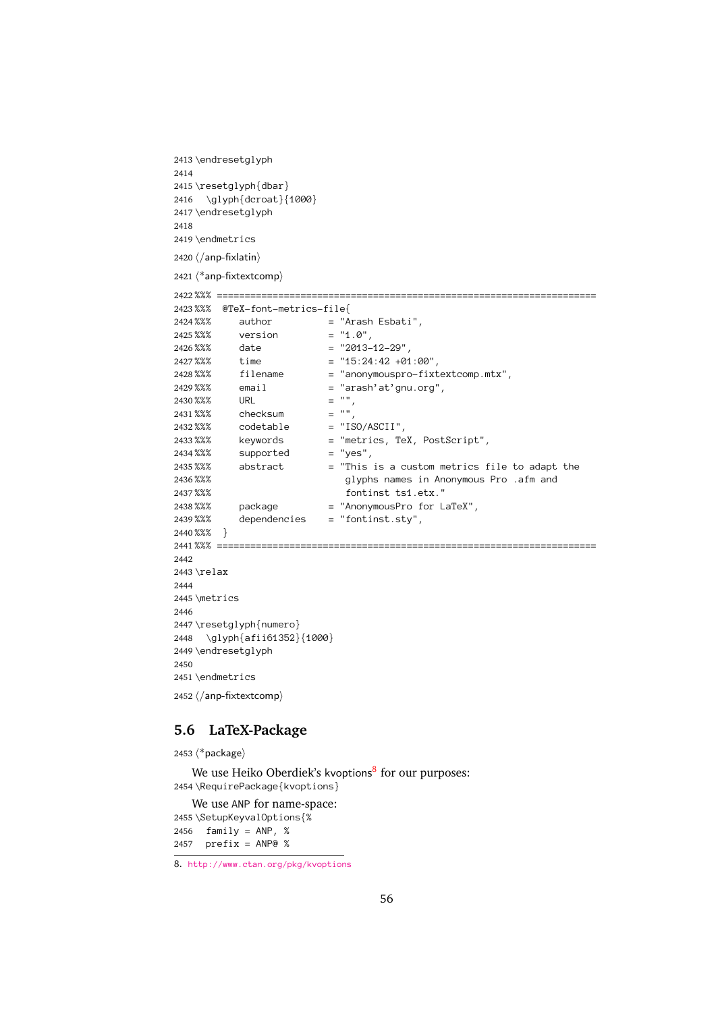```
2413 \endresetglyph
        \resetglyph{db<br>\glyph{dcroa<br>\endresetglyph
2414
2415\resetalvph{dbar}
 2416 \glyph{dcroat}{<br>2416 \glyph{dcroat}{<br>2417 \endresetglyph<br>2418<br>2420 (/ann-fivlatin)
            \glyph{dcroate}<br>ndresetglyph<br>anp-fixlatin}
2417 \endresetglyph
 2418<br>
2419 \endmetrics<br>
2420 (/anp-fixlatin)<br>
2421 (*anp-fixtextcomp)
2418
2419 \endmetrics
        \endmetrics
2420 \langle /anp-fixlatin\rangle2422 %%% ====================================================================
2423%%% @TeX-font-metrics-file{
        %%% author = "A<br>%%% version = "1<br>%%% date = "2<br>%%% time = "1<br>%%% filename = "a
2424\%% author = "Arash Esbati",
        %%% version = "1.0",<br>%%% date = "2013-12-29",<br>%%% time = "15:24:42 +01:0<br>%%% filename = "anonymouspro-f<br>%%% email = "arash'at'gnu.o
 2425 %%% date = "2013-<br>%%% time = "15:24<br>%%% filename = "anony<br>%%% email = "arash" = "",<br>%%% URL = "",
 2426 %%% time = "15:24:42 +01<br>%%% time = "15:24:42 +01<br>%%% email = "anonymouspro<br>%%% URL = "",<br>%%% checksum = "",
 2427 %%% filename = "anonymouspro-fixt"<br>%%% email = "arash'at'gnu.org"<br>%%% URL = "",<br>%%% checksum = "",<br>%%% codetable = "ISO/ASCII",
 2428 %%% email = "arash'at'gnu.org",<br>%%% URL = "",<br>%%% checksum = "",<br>%%% codetable = "ISO/ASCII",<br>%%% keywords = "metrics, TeX, PostScript",<br>%%% supported = "yes",
 2429 2430 %%% URL = "",<br>
2431 %%% checksum = "",<br>
2432 %%% codetable = "ISO/ASCII",<br>
2433 %%% keywords = "metrics, TeX, PostScript",<br>
2434 %%% supported = "yes",<br>
2435 %%% abstract = "This is a custom metrics f<br>
2436 %%% packag
        %%% glyphs names in Anonymous Pro .afm and<br>
%%% package = "Anonymous Pro for LaTeX",<br>
%%% dependencies = "fontinst.sty",<br>
%%% }
2436%%%
        %%% glyphs names in Anonymous Pro .afm and
2437%%%
        %%% fontinst ts1.etx."
2438%%%
        %%% package = "AnonymousPro for LaTeX",
2439%%%
        %%% dependencies = "fontinst.sty",
2440 %%% }
 )<br>2441 %%% ==<br>2442<br>2443 \relax<br>2444<br>2445 \metri
 2441 \relax<br>\metrics
2442
2443 \relax
        \metri<br>\metri<br>\reset<br>\gly
2444
        \resetgl<br>\glyph<br>\endrese
2446
2447\resetglyph{numero}
 2448 \glyph{afii61352}<br>2448 \glyph{afii61352}<br>2449 \endresetglyph<br>2450<br>2452 (/ann-fixtextcomn)
            \glyph<br>ndresetglyph<br>amp-fixtextcomp}
2449 \endresetglyph
        \endmetrics<br>\/anp-fixtextcom
2450
2451\endmetrics
        \langle/anp-fixtextL<br>LaTeX-l
 2452 \langle/anp-fixtextcomp\rangle
```
#### <span id="page-55-0"></span>**5.6 LaTeX-Package**

2453  $\langle$ \*package $\rangle$ 

We use Heiko Oberdiek's kvoptions<sup>[8](#page-55-1)</sup> for our purposes: 2454 \RequirePackage{kvoptions}

We use ANP for name-space:<br>  $\Set{X\setminus \Set{byvalOptions}}{X \cdot \text{family = AND} % \cdot \text{prefix = AND} % \cdot \text{query} % \cdot \text{query} % \cdot \text{query} % \cdot \text{query} % \cdot \text{query} % \cdot \text{query} % \cdot \text{query} % \cdot \text{query} % \cdot \text{query} % \cdot \text{query} % \cdot \text{query} % \cdot \text{query} % \cdot \text{query} % \cdot \text{query} % \cdot \text{query} % \cdot \text{query} % \cdot \text{query} % \cdot \text{query} % \cdot \text{query} % \cdot \text$ Ne use ANP for name-space:<br>
\SetupKeyvalOptions{%<br>
family = ANP, %<br>
prefix = ANP@ %<br>
ttp://www.ctan.org/pkg/kvopti 2455 \SetupKeyvalOptions{% 2456 family =  $ANP$ , % 2457  $prefix = AND@ %$ <br>8. http://www.ctan.org/p

```
p:///www.ctan.org/poster \frac{p}{p}8. http://www.ctan.org/pkg/kvoptions
```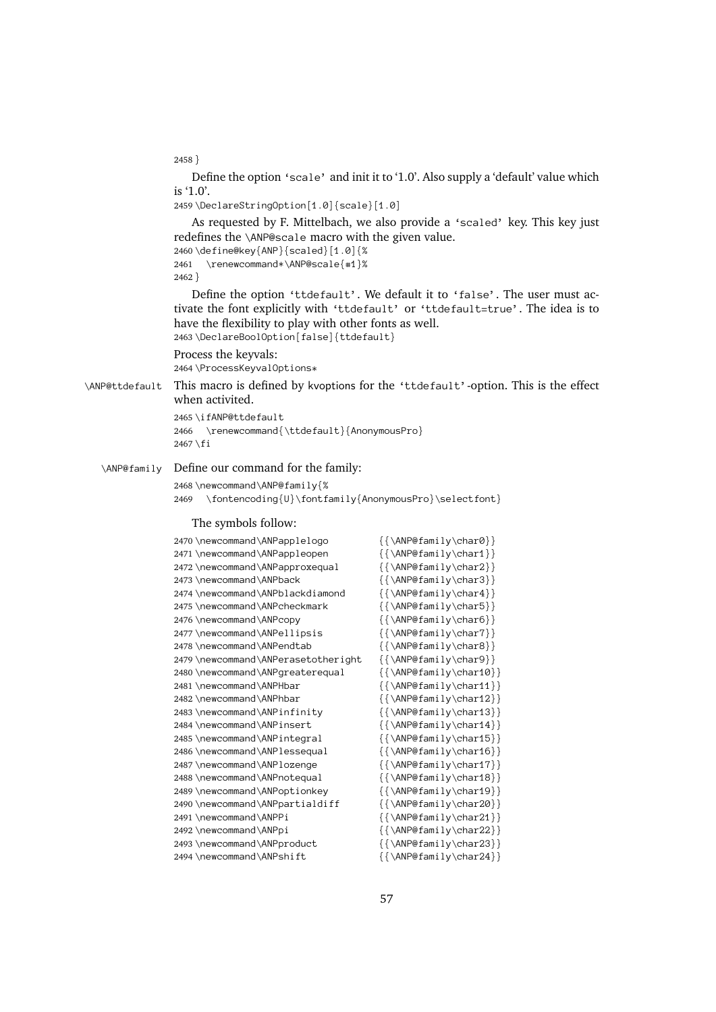$2458$ }

}<br>)<br>} is '1.0'.

2459\DeclareStringOption[1.0]{scale}[1.0]

Define the option 'scale' and init it to '1.0'. Also supply a 'default' value which<br>|.0'.<br>|DeclareStringOption[1.0] {scale}[1.0]<br>|As requested by F. Mittelbach, we also provide a 'scaled' key. This key just<br>|efines the \AN As requested by F. Mittelbach, we also<br>efines the \ANP@scale macro with the gi<br>\define@key{ANP}{scaled}[1.0]{%<br>\renewcommand\*\ANP@scale{#1}% redefines the \ANP@scale macro with the given value.

2460\define@key{ANP}{scaled}[1.0]{% 2461  $2462$ 

l \renewcommand\*\ANP@scale{#1}%<br>2}<br>Define the option 'ttdefault'. We default it to 'false'. The user must ac-%:<br>And the given value.<br>
\define@key{ANP}{scaled}[1.0]{%<br>
\renewcommand\*\ANP@scale{#1}%<br>
}<br>
Define the option 'ttdefault'. We default it to<br>
te the font explicitly with 'ttdefault' or 'ttdef<br>
a the flavibility to play with fine the option 'ttdefault'. If<br>the font explicitly with 'ttdef<br>he flexibility to play with other<br>expression is falsed itterf ) <br><br>}<br><br><br><br><br><br> Define the option 'ttdefault'. We default it to 'false'. The user must actric the font explicitly with 'ttdefault' or 'ttdefault=true'. The idea is to the flexibility to play with other fonts as well.<br>
\DeclareBoolOption[f tivate the font explicitly with 'ttdefault' or 'ttdefault=true'. The idea is to<br>have the flexibility to play with other fonts as well.<br>2463 \DeclareBoolOption[false]{ttdefault}<br>Process the keyvals:<br>2464 \ProcessKeyvalOptio have the flexibility to play with other fonts as well.

```
2463\DeclareBoolOption[false]{ttdefault}
```
Process the keyvals: 2464\ProcessKeyvalOptions\*

\DeclareBoolOption[false]{ttdefault} \ANP@ttdefault This macro is defined by kvoptions for the 'ttdefault'-option. This is the effect<br>when activited.<br>2465\ifANP@ttdefault<br>2466\renewcommand{\ttdefault}{AnonymousPro}<br>2467\fi when activited.

```
: macro is defined by kw<br>
in activited.<br>
\ifANP@ttdefault<br>
\renewcommand{\ttdef
2465 \ifANP@ttdefault
\ifANP@ttdefault
2466 2467\fi
```

```
i<br>
e our command for the family:<br>
ewcommand\ANP@family{%<br>
\fontencoding{U}\fontfamily{AnonymousPr
                                                       \begin{array}{c}\n\text{ne} \\
\text{ne} \\
\end{array}\ANP@family Define our command for the family:<br>
2468 \n\newcommand\AP@family{\%}<br>
2469 \n\font+nend\Q0 \fontencoding {U} \fontfamily {<br>
The symbols follow:<br>
2470 \n\newcommand\AP900|0002468\newcommand\ANP@family{%
```
#### The symbols follow:

| \fontencoding{U}\fontfamily{AnonymousPro}\selectfont}<br>2469 |                                                  |
|---------------------------------------------------------------|--------------------------------------------------|
| The symbols follow:                                           |                                                  |
| 2470 \newcommand \ANPapplelogo                                | $\{\{\lambda \text{NP@fami}\}\}\$                |
| 2471 \newcommand \ANPappleopen                                | $\{\{\text{ANP@family\char1}\}\}$                |
| 2472 \newcommand \ANPapproxequal                              | $\{\{\lambda \text{NP@family}\ \text{char2}\}\$  |
| 2473 \newcommand \ANPback                                     | $\{\{\lambda \text{NP@family}\ \text{char3}\}\}$ |
| 2474 \newcommand\ANPblackdiamond                              |                                                  |
| 2475 \newcommand \ANPcheckmark                                | $\{\{\lambda \text{NP@fami}\}\}$                 |
| 2476 \newcommand \ANPcopy                                     |                                                  |
| 2477\newcommand\ANPellipsis                                   | $\{\{\lambda \text{NP@family}\ \text{char7}\}\$  |
| 2478 \newcommand \ANPendtab                                   | $\{\{\lambda \text{NP@fami}\}\}$                 |
| 2479 \newcommand \ANPerasetotheright                          | $\{\{\text{ANP@family\} }\}$                     |
| 2480 \newcommand \ANPgreaterequal                             | $\{\{\lambda \text{NP@fami}\}\}$                 |
| 2481 \newcommand \ANPHbar                                     |                                                  |
| 2482 \newcommand \ANPhbar                                     | $\{\{\text{ANP@family\char12}\}\}$               |
| 2483 \newcommand \ANPinfinity                                 |                                                  |
| 2484 \newcommand \ANPinsert                                   | $\{\{\text{ANP@family\char14}\}\}$               |
| 2485 \newcommand \ANPintegral                                 | $\{\{\lambda \text{NP@fami}\}\}\$                |
| 2486 \newcommand \ANPlessequal                                | $\{\{\lambda \text{NP@fami}\}\$                  |
| 2487 \newcommand \ANPlozenge                                  | $\{\{\lambda \text{NP@fami}\}\}$                 |
| 2488 \newcommand \ANPnotequal                                 | $\{\{\text{ANP@family\char18}\}\}$               |
| 2489 \newcommand \ANPoptionkey                                | $\{\{\lambda \text{NP@fami}\}\}$                 |
| 2490 \newcommand \ANPpartialdiff                              | $\{\{\lambda \text{NP@fami}\}\$                  |
| 2491 \newcommand \ANPPi                                       |                                                  |
| 2492 \newcommand \ANPpi                                       | $\{\{\text{ANP@family\char22}\}\}$               |
| 2493 \newcommand \ANPproduct                                  | $\{\{\lambda \text{NP@fami}\}\}\$                |
| 2494 \newcommand \ANPshift                                    |                                                  |
|                                                               |                                                  |
|                                                               | 57                                               |
|                                                               |                                                  |